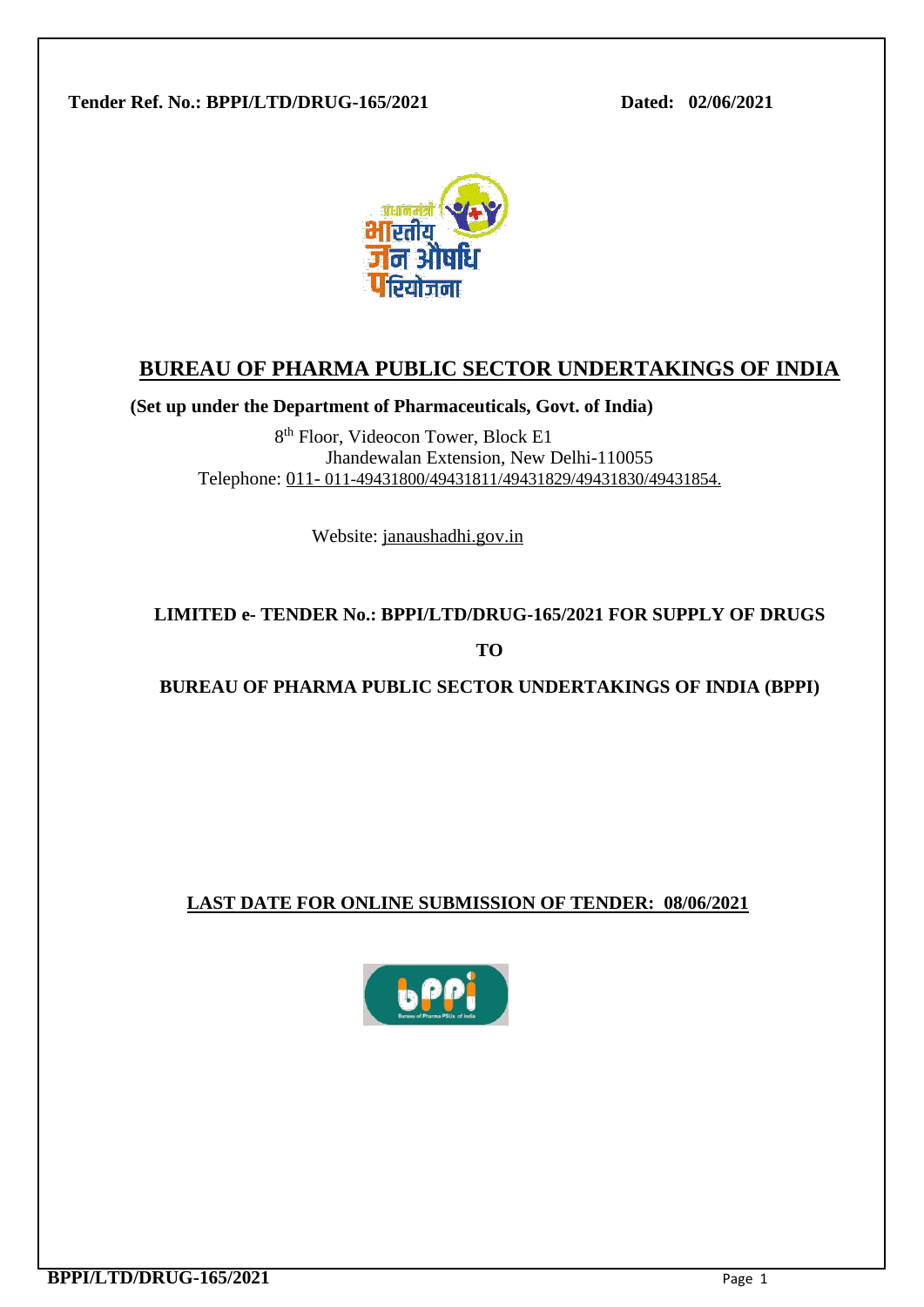**Tender Ref. No.: BPPI/LTD/DRUG-165/2021 Dated: 02/06/2021**



# **BUREAU OF PHARMA PUBLIC SECTOR UNDERTAKINGS OF INDIA**

**(Set up under the Department of Pharmaceuticals, Govt. of India)**

8 th Floor, Videocon Tower, Block E1 Jhandewalan Extension, New Delhi-110055 Telephone: 011- 011-49431800/49431811/49431829/49431830/49431854.

Website: janaushadhi.gov.in

# **LIMITED e- TENDER No.: BPPI/LTD/DRUG-165/2021 FOR SUPPLY OF DRUGS**

**TO**

**BUREAU OF PHARMA PUBLIC SECTOR UNDERTAKINGS OF INDIA (BPPI)** 

## **LAST DATE FOR ONLINE SUBMISSION OF TENDER: 08/06/2021**

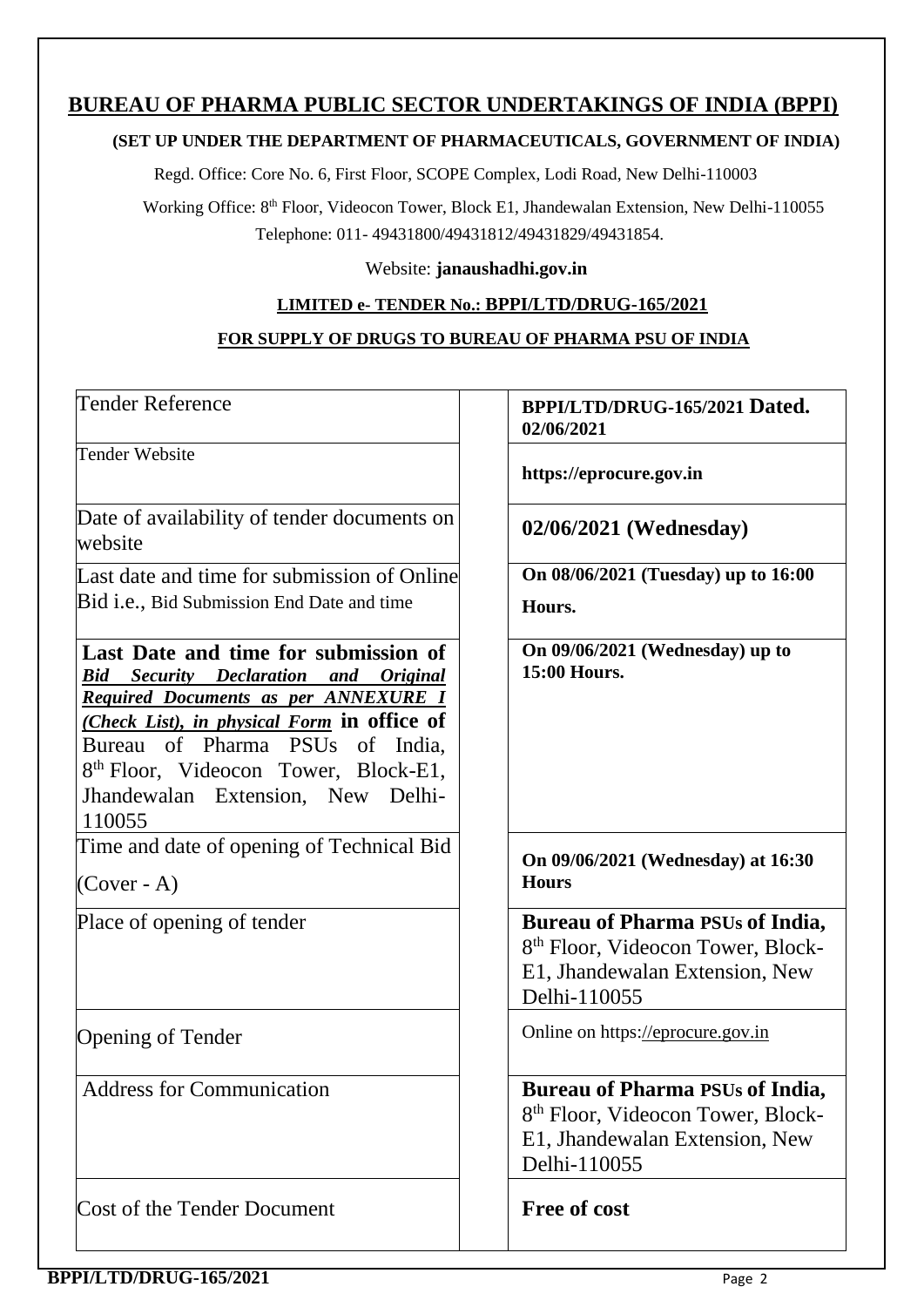## **BUREAU OF PHARMA PUBLIC SECTOR UNDERTAKINGS OF INDIA (BPPI)**

#### **(SET UP UNDER THE DEPARTMENT OF PHARMACEUTICALS, GOVERNMENT OF INDIA)**

Regd. Office: Core No. 6, First Floor, SCOPE Complex, Lodi Road, New Delhi-110003

Working Office: 8th Floor, Videocon Tower, Block E1, Jhandewalan Extension, New Delhi-110055 Telephone: 011- 49431800/49431812/49431829/49431854.

Website: **janaushadhi.gov.in**

### **LIMITED e- TENDER No.: BPPI/LTD/DRUG-165/2021**

### **FOR SUPPLY OF DRUGS TO BUREAU OF PHARMA PSU OF INDIA**

| Tender Reference                                                                                                                                                                                                                                                                                                                                   | BPPI/LTD/DRUG-165/2021 Dated.<br>02/06/2021                                                                                               |
|----------------------------------------------------------------------------------------------------------------------------------------------------------------------------------------------------------------------------------------------------------------------------------------------------------------------------------------------------|-------------------------------------------------------------------------------------------------------------------------------------------|
| <b>Tender Website</b>                                                                                                                                                                                                                                                                                                                              | https://eprocure.gov.in                                                                                                                   |
| Date of availability of tender documents on<br>website                                                                                                                                                                                                                                                                                             | 02/06/2021 (Wednesday)                                                                                                                    |
| Last date and time for submission of Online                                                                                                                                                                                                                                                                                                        | On 08/06/2021 (Tuesday) up to 16:00                                                                                                       |
| Bid i.e., Bid Submission End Date and time                                                                                                                                                                                                                                                                                                         | Hours.                                                                                                                                    |
| Last Date and time for submission of<br><b>Bid Security Declaration and</b><br><i><b>Original</b></i><br>Required Documents as per ANNEXURE I<br>( <i>Check List</i> ), in <i>physical Form</i> in office of<br>Bureau of Pharma PSUs of India.<br>8 <sup>th</sup> Floor, Videocon Tower, Block-E1,<br>Jhandewalan Extension, New Delhi-<br>110055 | On 09/06/2021 (Wednesday) up to<br>15:00 Hours.                                                                                           |
| Time and date of opening of Technical Bid<br>$(Cover - A)$                                                                                                                                                                                                                                                                                         | On 09/06/2021 (Wednesday) at 16:30<br><b>Hours</b>                                                                                        |
| Place of opening of tender                                                                                                                                                                                                                                                                                                                         | <b>Bureau of Pharma PSUs of India,</b><br>8 <sup>th</sup> Floor, Videocon Tower, Block-<br>E1, Jhandewalan Extension, New<br>Delhi-110055 |
| <b>Opening of Tender</b>                                                                                                                                                                                                                                                                                                                           | Online on https://eprocure.gov.in                                                                                                         |
| <b>Address for Communication</b>                                                                                                                                                                                                                                                                                                                   | <b>Bureau of Pharma PSUs of India,</b><br>8 <sup>th</sup> Floor, Videocon Tower, Block-<br>E1, Jhandewalan Extension, New<br>Delhi-110055 |
| Cost of the Tender Document                                                                                                                                                                                                                                                                                                                        | <b>Free of cost</b>                                                                                                                       |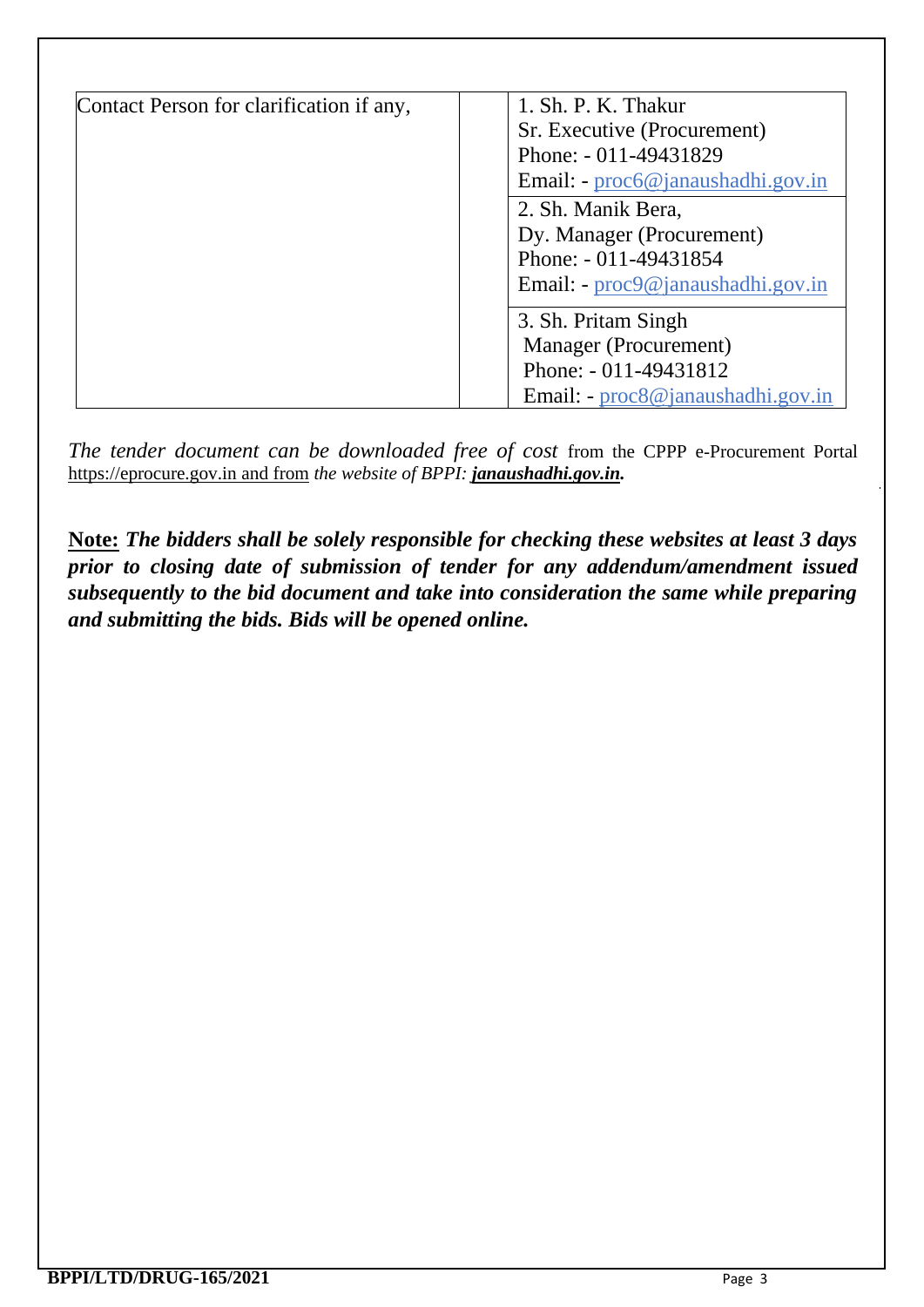| Contact Person for clarification if any, | 1. Sh. P. K. Thakur                 |
|------------------------------------------|-------------------------------------|
|                                          | Sr. Executive (Procurement)         |
|                                          | Phone: - 011-49431829               |
|                                          | Email: - proc6@janaushadhi.gov.in   |
|                                          | 2. Sh. Manik Bera,                  |
|                                          | Dy. Manager (Procurement)           |
|                                          | Phone: - 011-49431854               |
|                                          | Email: - proc9@janaushadhi.gov.in   |
|                                          | 3. Sh. Pritam Singh                 |
|                                          | Manager (Procurement)               |
|                                          | Phone: - 011-49431812               |
|                                          | Email: $-proc8@$ janaushadhi.gov.in |

*The tender document can be downloaded free of cost from the CPPP e-Procurement Portal* [https://eprocure.gov.in](https://eprocure.gov.in/) and from *the website of BPPI: janaushadhi.gov.in.* 

**Note:** *The bidders shall be solely responsible for checking these websites at least 3 days prior to closing date of submission of tender for any addendum/amendment issued subsequently to the bid document and take into consideration the same while preparing and submitting the bids. Bids will be opened online.*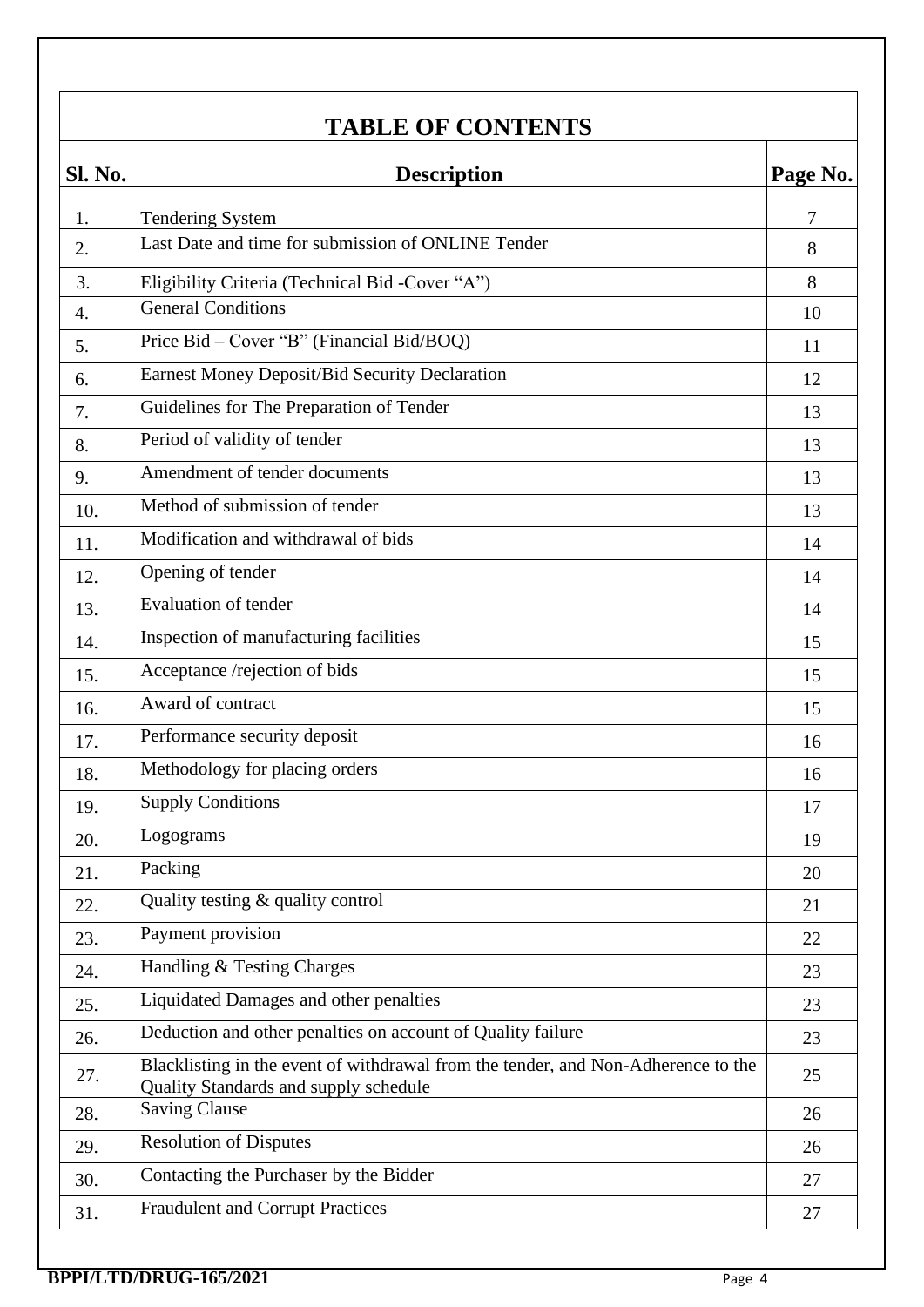# **TABLE OF CONTENTS**

| Sl. No. | <b>Description</b><br>Page No.                                                                                             |    |  |
|---------|----------------------------------------------------------------------------------------------------------------------------|----|--|
| 1.      | <b>Tendering System</b>                                                                                                    | 7  |  |
| 2.      | Last Date and time for submission of ONLINE Tender                                                                         | 8  |  |
| 3.      | Eligibility Criteria (Technical Bid -Cover "A")                                                                            | 8  |  |
| 4.      | <b>General Conditions</b>                                                                                                  | 10 |  |
| 5.      | Price Bid – Cover "B" (Financial Bid/BOQ)                                                                                  | 11 |  |
| 6.      | Earnest Money Deposit/Bid Security Declaration                                                                             | 12 |  |
| 7.      | Guidelines for The Preparation of Tender                                                                                   | 13 |  |
| 8.      | Period of validity of tender                                                                                               | 13 |  |
| 9.      | Amendment of tender documents                                                                                              | 13 |  |
| 10.     | Method of submission of tender                                                                                             | 13 |  |
| 11.     | Modification and withdrawal of bids                                                                                        | 14 |  |
| 12.     | Opening of tender                                                                                                          | 14 |  |
| 13.     | Evaluation of tender                                                                                                       | 14 |  |
| 14.     | Inspection of manufacturing facilities                                                                                     | 15 |  |
| 15.     | Acceptance /rejection of bids                                                                                              | 15 |  |
| 16.     | Award of contract                                                                                                          | 15 |  |
| 17.     | Performance security deposit                                                                                               | 16 |  |
| 18.     | Methodology for placing orders                                                                                             | 16 |  |
| 19.     | <b>Supply Conditions</b>                                                                                                   | 17 |  |
| 20.     | Logograms                                                                                                                  | 19 |  |
| 21.     | Packing                                                                                                                    | 20 |  |
| 22.     | Quality testing & quality control                                                                                          | 21 |  |
| 23.     | Payment provision                                                                                                          | 22 |  |
| 24.     | Handling & Testing Charges                                                                                                 | 23 |  |
| 25.     | Liquidated Damages and other penalties                                                                                     | 23 |  |
| 26.     | Deduction and other penalties on account of Quality failure                                                                | 23 |  |
| 27.     | Blacklisting in the event of withdrawal from the tender, and Non-Adherence to the<br>Quality Standards and supply schedule | 25 |  |
| 28.     | <b>Saving Clause</b>                                                                                                       | 26 |  |
| 29.     | <b>Resolution of Disputes</b>                                                                                              | 26 |  |
| 30.     | Contacting the Purchaser by the Bidder                                                                                     | 27 |  |
| 31.     | <b>Fraudulent and Corrupt Practices</b>                                                                                    | 27 |  |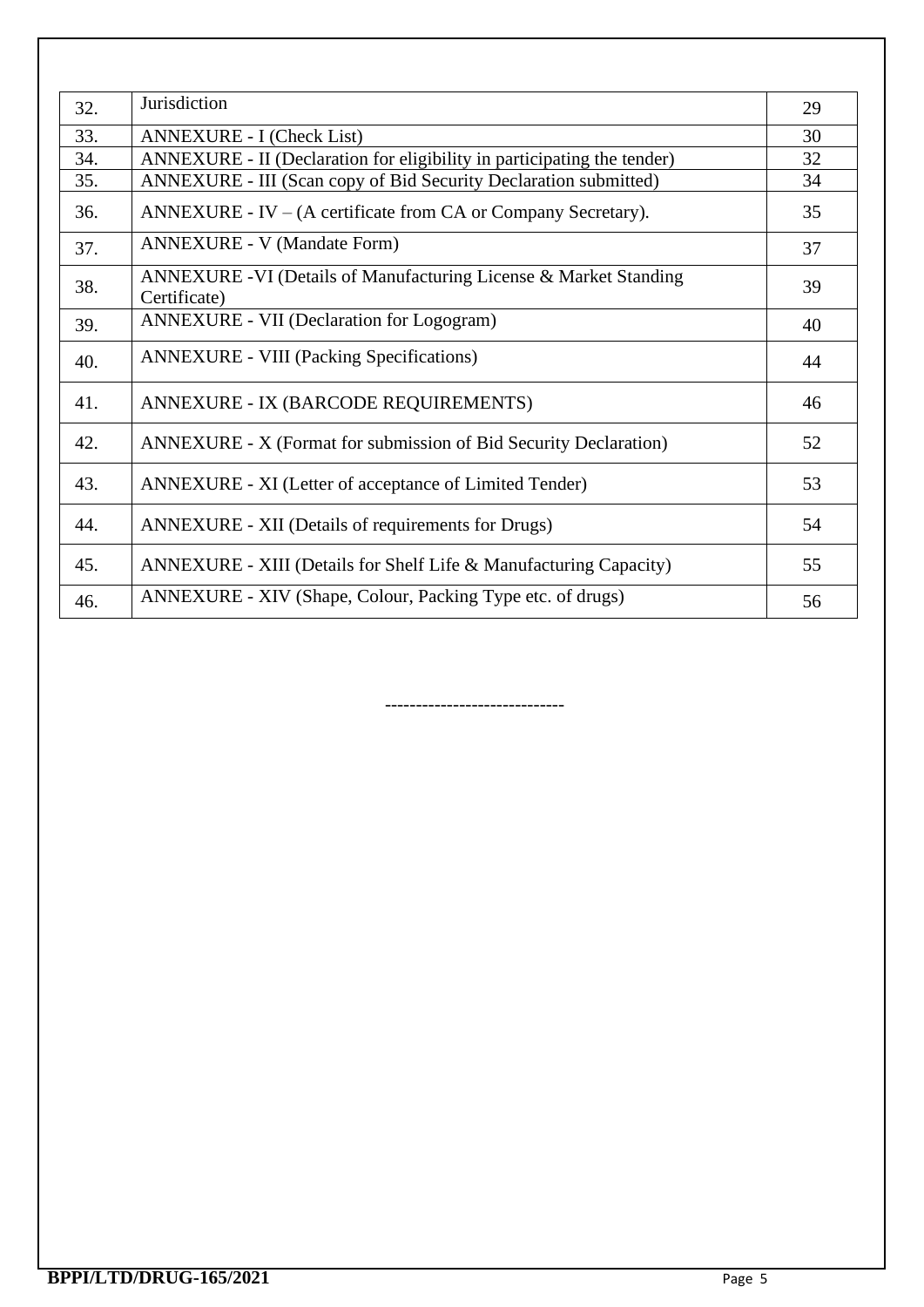| 32. | Jurisdiction                                                                     | 29 |
|-----|----------------------------------------------------------------------------------|----|
| 33. | <b>ANNEXURE - I (Check List)</b>                                                 | 30 |
| 34. | ANNEXURE - II (Declaration for eligibility in participating the tender)          | 32 |
| 35. | ANNEXURE - III (Scan copy of Bid Security Declaration submitted)                 | 34 |
| 36. | ANNEXURE - IV $-$ (A certificate from CA or Company Secretary).                  | 35 |
| 37. | <b>ANNEXURE - V (Mandate Form)</b>                                               | 37 |
| 38. | ANNEXURE -VI (Details of Manufacturing License & Market Standing<br>Certificate) | 39 |
| 39. | <b>ANNEXURE - VII (Declaration for Logogram)</b>                                 | 40 |
| 40. | <b>ANNEXURE - VIII (Packing Specifications)</b>                                  | 44 |
| 41. | ANNEXURE - IX (BARCODE REQUIREMENTS)                                             | 46 |
| 42. | ANNEXURE - X (Format for submission of Bid Security Declaration)                 | 52 |
| 43. | ANNEXURE - XI (Letter of acceptance of Limited Tender)                           | 53 |
| 44. | ANNEXURE - XII (Details of requirements for Drugs)                               | 54 |
| 45. | ANNEXURE - XIII (Details for Shelf Life & Manufacturing Capacity)                | 55 |
| 46. | ANNEXURE - XIV (Shape, Colour, Packing Type etc. of drugs)                       | 56 |

-----------------------------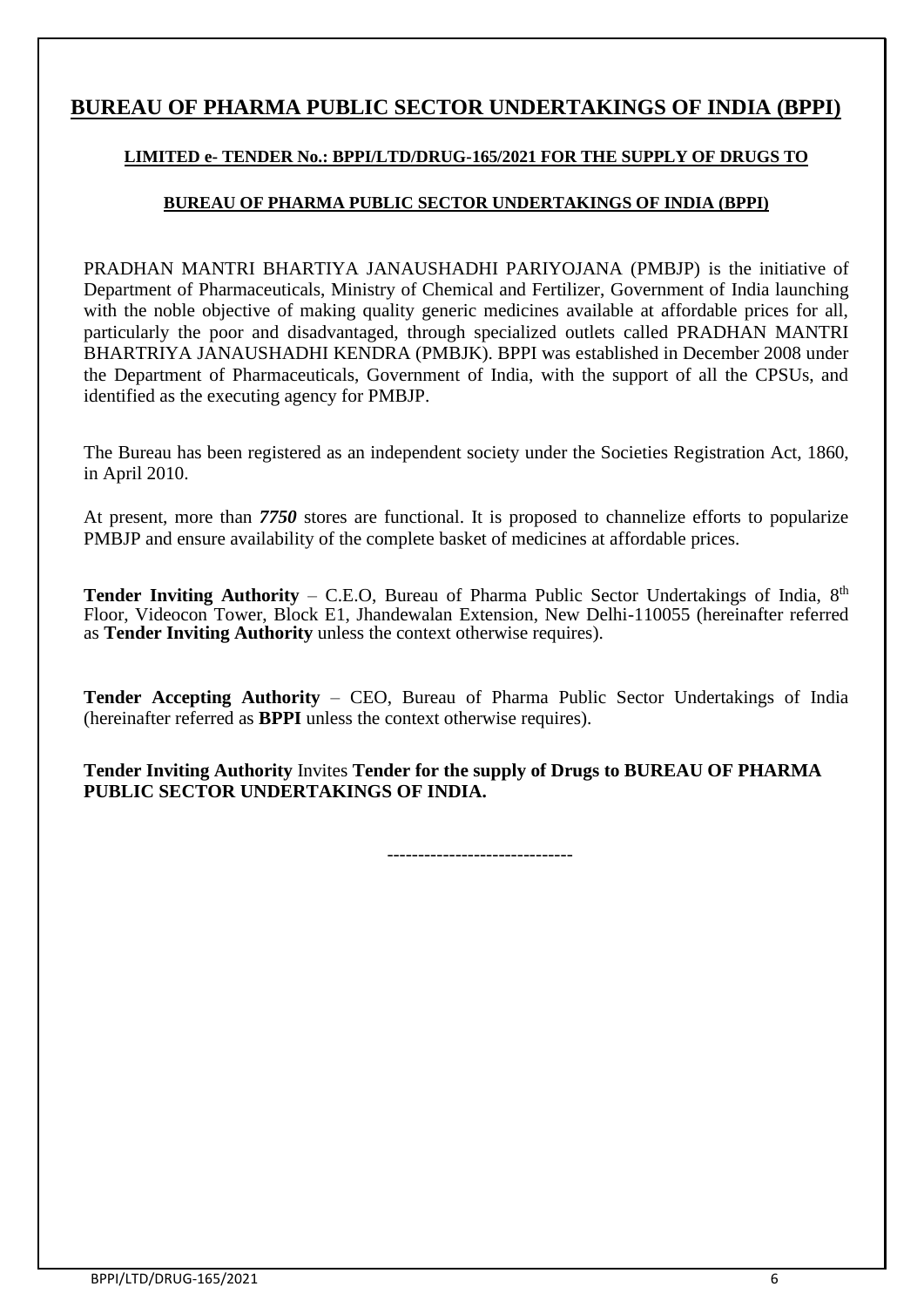## **BUREAU OF PHARMA PUBLIC SECTOR UNDERTAKINGS OF INDIA (BPPI)**

### **LIMITED e- TENDER No.: BPPI/LTD/DRUG-165/2021 FOR THE SUPPLY OF DRUGS TO**

#### **BUREAU OF PHARMA PUBLIC SECTOR UNDERTAKINGS OF INDIA (BPPI)**

PRADHAN MANTRI BHARTIYA JANAUSHADHI PARIYOJANA (PMBJP) is the initiative of Department of Pharmaceuticals, Ministry of Chemical and Fertilizer, Government of India launching with the noble objective of making quality generic medicines available at affordable prices for all, particularly the poor and disadvantaged, through specialized outlets called PRADHAN MANTRI BHARTRIYA JANAUSHADHI KENDRA (PMBJK). BPPI was established in December 2008 under the Department of Pharmaceuticals, Government of India, with the support of all the CPSUs, and identified as the executing agency for PMBJP.

The Bureau has been registered as an independent society under the Societies Registration Act, 1860, in April 2010.

At present, more than *7750* stores are functional. It is proposed to channelize efforts to popularize PMBJP and ensure availability of the complete basket of medicines at affordable prices.

Tender Inviting Authority – C.E.O, Bureau of Pharma Public Sector Undertakings of India, 8<sup>th</sup> Floor, Videocon Tower, Block E1, Jhandewalan Extension, New Delhi-110055 (hereinafter referred as **Tender Inviting Authority** unless the context otherwise requires).

**Tender Accepting Authority** – CEO, Bureau of Pharma Public Sector Undertakings of India (hereinafter referred as **BPPI** unless the context otherwise requires).

**Tender Inviting Authority** Invites **Tender for the supply of Drugs to BUREAU OF PHARMA PUBLIC SECTOR UNDERTAKINGS OF INDIA.**

------------------------------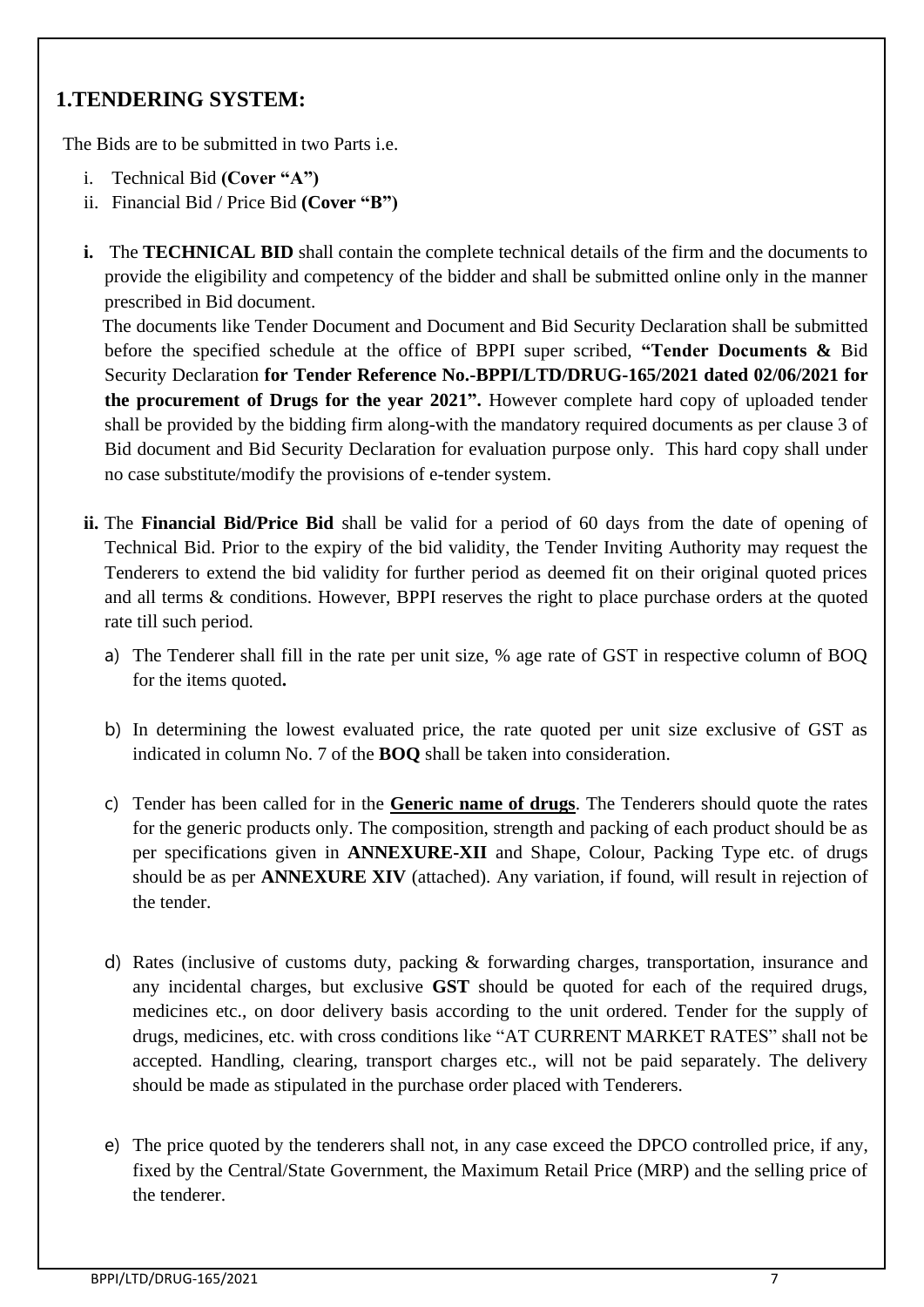## **1.TENDERING SYSTEM:**

The Bids are to be submitted in two Parts i.e.

- i. Technical Bid **(Cover "A")**
- ii. Financial Bid / Price Bid **(Cover "B")**
- **i.** The **TECHNICAL BID** shall contain the complete technical details of the firm and the documents to provide the eligibility and competency of the bidder and shall be submitted online only in the manner prescribed in Bid document.

 The documents like Tender Document and Document and Bid Security Declaration shall be submitted before the specified schedule at the office of BPPI super scribed, **"Tender Documents &** Bid Security Declaration **for Tender Reference No.-BPPI/LTD/DRUG-165/2021 dated 02/06/2021 for the procurement of Drugs for the year 2021".** However complete hard copy of uploaded tender shall be provided by the bidding firm along-with the mandatory required documents as per clause 3 of Bid document and Bid Security Declaration for evaluation purpose only. This hard copy shall under no case substitute/modify the provisions of e-tender system.

- **ii.** The **Financial Bid/Price Bid** shall be valid for a period of 60 days from the date of opening of Technical Bid. Prior to the expiry of the bid validity, the Tender Inviting Authority may request the Tenderers to extend the bid validity for further period as deemed fit on their original quoted prices and all terms & conditions. However, BPPI reserves the right to place purchase orders at the quoted rate till such period.
	- a) The Tenderer shall fill in the rate per unit size, % age rate of GST in respective column of BOQ for the items quoted**.**
	- b) In determining the lowest evaluated price, the rate quoted per unit size exclusive of GST as indicated in column No. 7 of the **BOQ** shall be taken into consideration.
	- c) Tender has been called for in the **Generic name of drugs**. The Tenderers should quote the rates for the generic products only. The composition, strength and packing of each product should be as per specifications given in **ANNEXURE-XII** and Shape, Colour, Packing Type etc. of drugs should be as per **ANNEXURE XIV** (attached). Any variation, if found, will result in rejection of the tender.
	- d) Rates (inclusive of customs duty, packing & forwarding charges, transportation, insurance and any incidental charges, but exclusive **GST** should be quoted for each of the required drugs, medicines etc., on door delivery basis according to the unit ordered. Tender for the supply of drugs, medicines, etc. with cross conditions like "AT CURRENT MARKET RATES" shall not be accepted. Handling, clearing, transport charges etc., will not be paid separately. The delivery should be made as stipulated in the purchase order placed with Tenderers.
	- e) The price quoted by the tenderers shall not, in any case exceed the DPCO controlled price, if any, fixed by the Central/State Government, the Maximum Retail Price (MRP) and the selling price of the tenderer.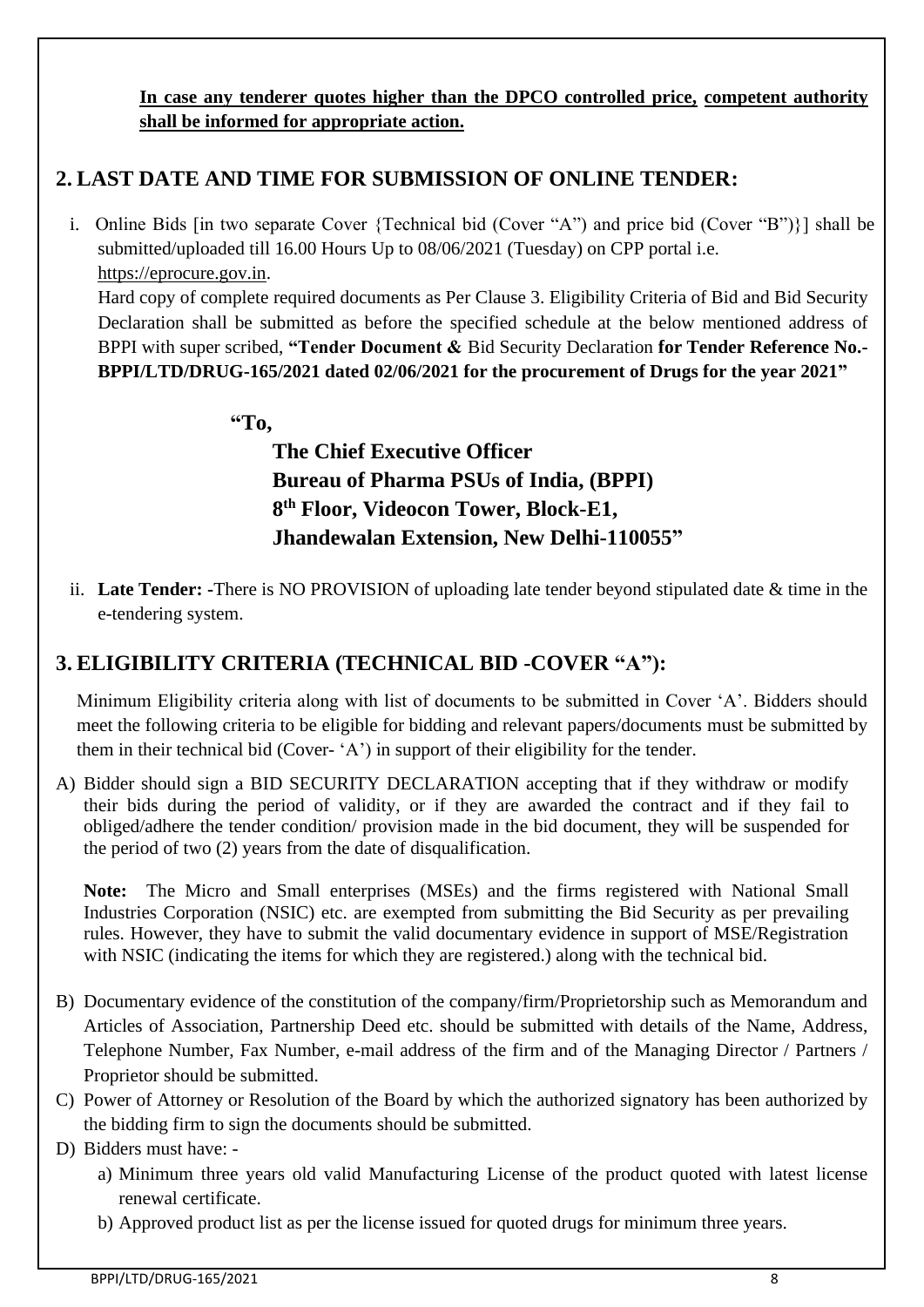**In case any tenderer quotes higher than the DPCO controlled price, competent authority shall be informed for appropriate action.**

## **2. LAST DATE AND TIME FOR SUBMISSION OF ONLINE TENDER:**

i. Online Bids [in two separate Cover {Technical bid (Cover "A") and price bid (Cover "B")}] shall be submitted/uploaded till 16.00 Hours Up to 08/06/2021 (Tuesday) on CPP portal i.e. [https://eprocure.gov.in.](https://eprocure.gov.in/)

Hard copy of complete required documents as Per Clause 3. Eligibility Criteria of Bid and Bid Security Declaration shall be submitted as before the specified schedule at the below mentioned address of BPPI with super scribed, **"Tender Document &** Bid Security Declaration **for Tender Reference No.- BPPI/LTD/DRUG-165/2021 dated 02/06/2021 for the procurement of Drugs for the year 2021"**

**"To,**

**The Chief Executive Officer Bureau of Pharma PSUs of India, (BPPI) 8 th Floor, Videocon Tower, Block-E1, Jhandewalan Extension, New Delhi-110055"**

ii. **Late Tender: -**There is NO PROVISION of uploading late tender beyond stipulated date & time in the e-tendering system.

# **3. ELIGIBILITY CRITERIA (TECHNICAL BID -COVER "A"):**

Minimum Eligibility criteria along with list of documents to be submitted in Cover 'A'. Bidders should meet the following criteria to be eligible for bidding and relevant papers/documents must be submitted by them in their technical bid (Cover- 'A') in support of their eligibility for the tender.

A) Bidder should sign a BID SECURITY DECLARATION accepting that if they withdraw or modify their bids during the period of validity, or if they are awarded the contract and if they fail to obliged/adhere the tender condition/ provision made in the bid document, they will be suspended for the period of two (2) years from the date of disqualification.

**Note:** The Micro and Small enterprises (MSEs) and the firms registered with National Small Industries Corporation (NSIC) etc. are exempted from submitting the Bid Security as per prevailing rules. However, they have to submit the valid documentary evidence in support of MSE/Registration with NSIC (indicating the items for which they are registered.) along with the technical bid.

- B) Documentary evidence of the constitution of the company/firm/Proprietorship such as Memorandum and Articles of Association, Partnership Deed etc. should be submitted with details of the Name, Address, Telephone Number, Fax Number, e-mail address of the firm and of the Managing Director / Partners / Proprietor should be submitted.
- C) Power of Attorney or Resolution of the Board by which the authorized signatory has been authorized by the bidding firm to sign the documents should be submitted.

D) Bidders must have: -

- a) Minimum three years old valid Manufacturing License of the product quoted with latest license renewal certificate.
- b) Approved product list as per the license issued for quoted drugs for minimum three years.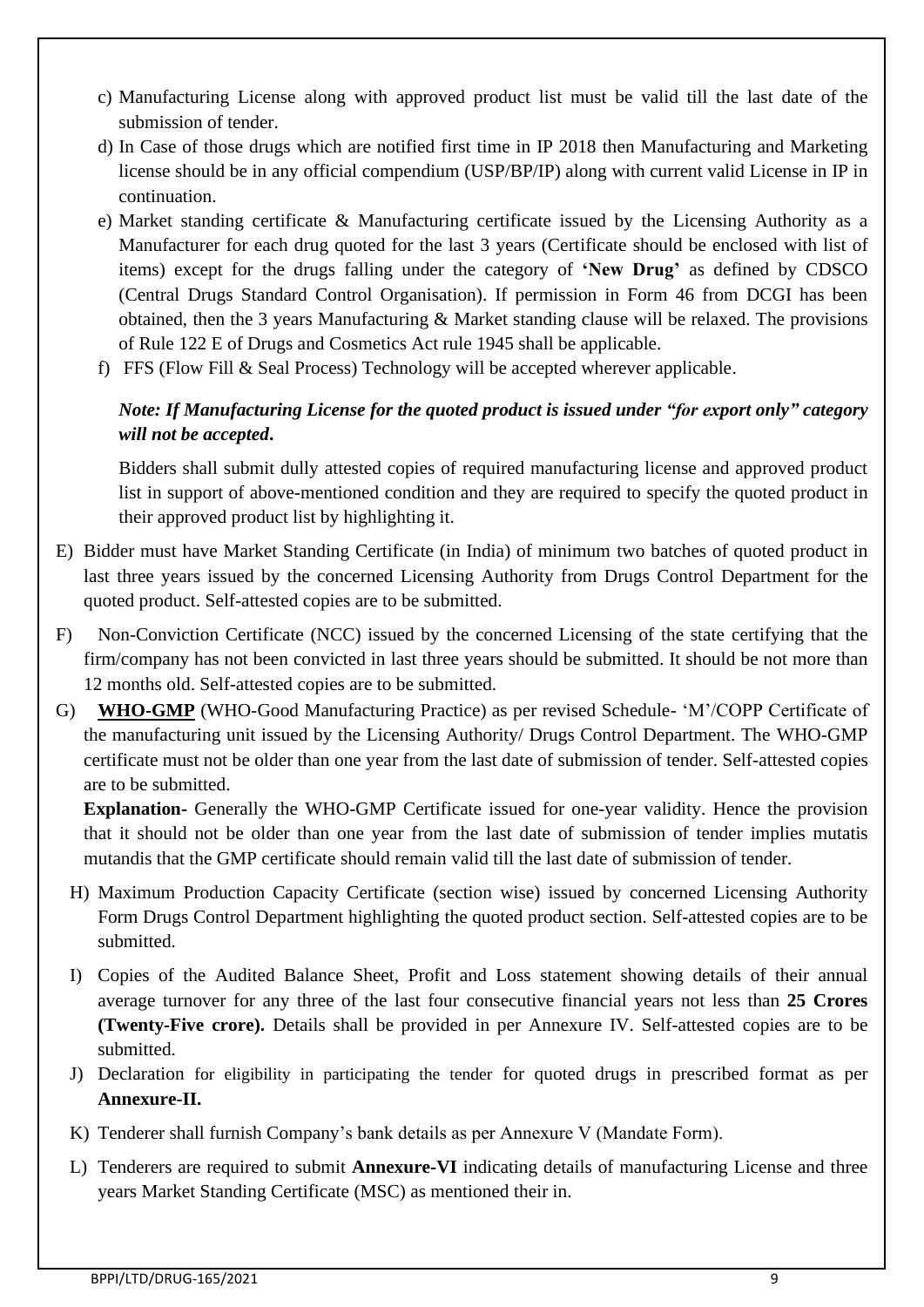- c) Manufacturing License along with approved product list must be valid till the last date of the submission of tender.
- d) In Case of those drugs which are notified first time in IP 2018 then Manufacturing and Marketing license should be in any official compendium (USP/BP/IP) along with current valid License in IP in continuation.
- e) Market standing certificate & Manufacturing certificate issued by the Licensing Authority as a Manufacturer for each drug quoted for the last 3 years (Certificate should be enclosed with list of items) except for the drugs falling under the category of **'New Drug'** as defined by CDSCO (Central Drugs Standard Control Organisation). If permission in Form 46 from DCGI has been obtained, then the 3 years Manufacturing & Market standing clause will be relaxed. The provisions of Rule 122 E of Drugs and Cosmetics Act rule 1945 shall be applicable.
- f) FFS (Flow Fill & Seal Process) Technology will be accepted wherever applicable.

## *Note: If Manufacturing License for the quoted product is issued under "for export only" category will not be accepted***.**

Bidders shall submit dully attested copies of required manufacturing license and approved product list in support of above-mentioned condition and they are required to specify the quoted product in their approved product list by highlighting it.

- E) Bidder must have Market Standing Certificate (in India) of minimum two batches of quoted product in last three years issued by the concerned Licensing Authority from Drugs Control Department for the quoted product. Self-attested copies are to be submitted.
- F) Non-Conviction Certificate (NCC) issued by the concerned Licensing of the state certifying that the firm/company has not been convicted in last three years should be submitted. It should be not more than 12 months old. Self-attested copies are to be submitted.
- G) **WHO-GMP** (WHO-Good Manufacturing Practice) as per revised Schedule- 'M'/COPP Certificate of the manufacturing unit issued by the Licensing Authority/ Drugs Control Department. The WHO-GMP certificate must not be older than one year from the last date of submission of tender. Self-attested copies are to be submitted.

**Explanation-** Generally the WHO-GMP Certificate issued for one-year validity. Hence the provision that it should not be older than one year from the last date of submission of tender implies mutatis mutandis that the GMP certificate should remain valid till the last date of submission of tender.

- H) Maximum Production Capacity Certificate (section wise) issued by concerned Licensing Authority Form Drugs Control Department highlighting the quoted product section. Self-attested copies are to be submitted.
- I) Copies of the Audited Balance Sheet, Profit and Loss statement showing details of their annual average turnover for any three of the last four consecutive financial years not less than **25 Crores (Twenty-Five crore).** Details shall be provided in per Annexure IV. Self-attested copies are to be submitted.
- J) Declaration for eligibility in participating the tender for quoted drugs in prescribed format as per **Annexure-II.**
- K) Tenderer shall furnish Company's bank details as per Annexure V (Mandate Form).
- L) Tenderers are required to submit **Annexure-VI** indicating details of manufacturing License and three years Market Standing Certificate (MSC) as mentioned their in.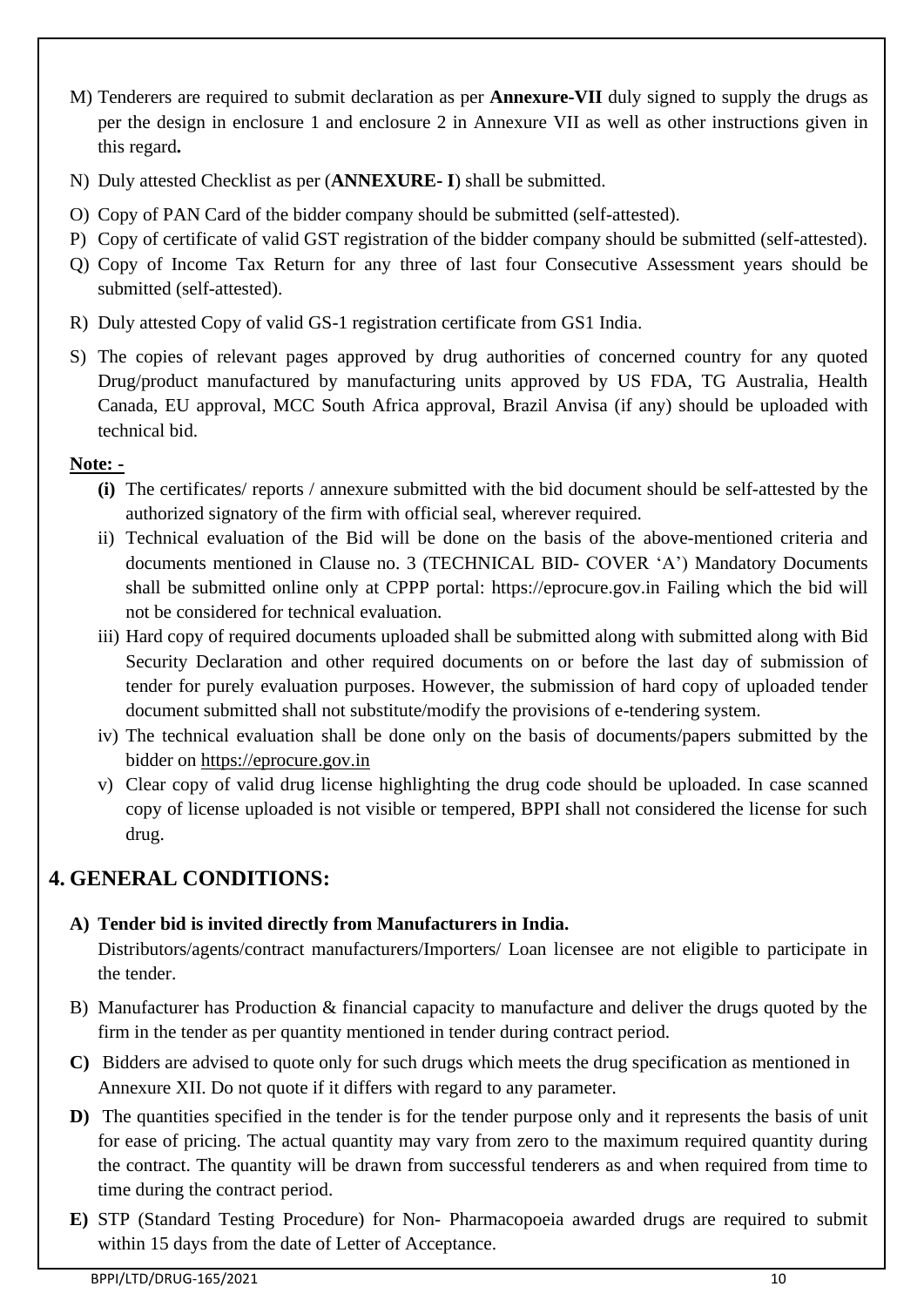- M) Tenderers are required to submit declaration as per **Annexure-VII** duly signed to supply the drugs as per the design in enclosure 1 and enclosure 2 in Annexure VII as well as other instructions given in this regard**.**
- N) Duly attested Checklist as per (**ANNEXURE- I**) shall be submitted.
- O) Copy of PAN Card of the bidder company should be submitted (self-attested).
- P) Copy of certificate of valid GST registration of the bidder company should be submitted (self-attested).
- Q) Copy of Income Tax Return for any three of last four Consecutive Assessment years should be submitted (self-attested).
- R) Duly attested Copy of valid GS-1 registration certificate from GS1 India.
- S) The copies of relevant pages approved by drug authorities of concerned country for any quoted Drug/product manufactured by manufacturing units approved by US FDA, TG Australia, Health Canada, EU approval, MCC South Africa approval, Brazil Anvisa (if any) should be uploaded with technical bid.

### **Note: -**

- **(i)** The certificates/ reports / annexure submitted with the bid document should be self-attested by the authorized signatory of the firm with official seal, wherever required.
- ii) Technical evaluation of the Bid will be done on the basis of the above-mentioned criteria and documents mentioned in Clause no. 3 (TECHNICAL BID- COVER 'A') Mandatory Documents shall be submitted online only at CPPP portal: https://eprocure.gov.in Failing which the bid will not be considered for technical evaluation.
- iii) Hard copy of required documents uploaded shall be submitted along with submitted along with Bid Security Declaration and other required documents on or before the last day of submission of tender for purely evaluation purposes. However, the submission of hard copy of uploaded tender document submitted shall not substitute/modify the provisions of e-tendering system.
- iv) The technical evaluation shall be done only on the basis of documents/papers submitted by the bidder on [https://eprocure.gov.in](https://eprocure.gov.in/)
- v) Clear copy of valid drug license highlighting the drug code should be uploaded. In case scanned copy of license uploaded is not visible or tempered, BPPI shall not considered the license for such drug.

## **4. GENERAL CONDITIONS:**

### **A) Tender bid is invited directly from Manufacturers in India.**

Distributors/agents/contract manufacturers/Importers/ Loan licensee are not eligible to participate in the tender.

- B) Manufacturer has Production & financial capacity to manufacture and deliver the drugs quoted by the firm in the tender as per quantity mentioned in tender during contract period.
- **C)** Bidders are advised to quote only for such drugs which meets the drug specification as mentioned in Annexure XII. Do not quote if it differs with regard to any parameter.
- **D)** The quantities specified in the tender is for the tender purpose only and it represents the basis of unit for ease of pricing. The actual quantity may vary from zero to the maximum required quantity during the contract. The quantity will be drawn from successful tenderers as and when required from time to time during the contract period.
- **E)** STP (Standard Testing Procedure) for Non- Pharmacopoeia awarded drugs are required to submit within 15 days from the date of Letter of Acceptance.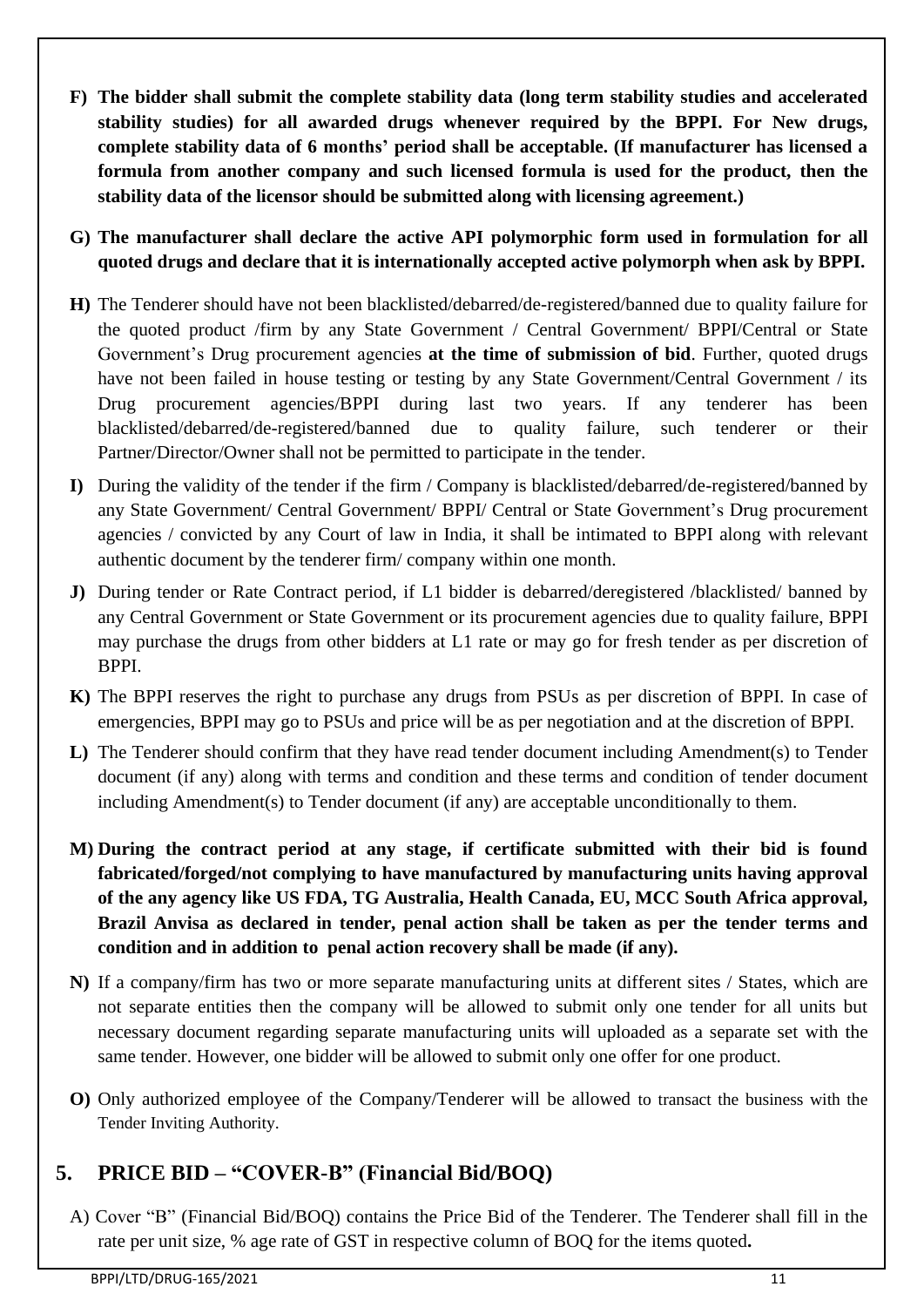**F) The bidder shall submit the complete stability data (long term stability studies and accelerated stability studies) for all awarded drugs whenever required by the BPPI. For New drugs, complete stability data of 6 months' period shall be acceptable. (If manufacturer has licensed a formula from another company and such licensed formula is used for the product, then the stability data of the licensor should be submitted along with licensing agreement.)**

**G) The manufacturer shall declare the active API polymorphic form used in formulation for all quoted drugs and declare that it is internationally accepted active polymorph when ask by BPPI.**

- **H)** The Tenderer should have not been blacklisted/debarred/de-registered/banned due to quality failure for the quoted product /firm by any State Government / Central Government/ BPPI/Central or State Government's Drug procurement agencies **at the time of submission of bid**. Further, quoted drugs have not been failed in house testing or testing by any State Government/Central Government / its Drug procurement agencies/BPPI during last two years. If any tenderer has been blacklisted/debarred/de-registered/banned due to quality failure, such tenderer or their Partner/Director/Owner shall not be permitted to participate in the tender.
- **I)** During the validity of the tender if the firm / Company is blacklisted/debarred/de-registered/banned by any State Government/ Central Government/ BPPI/ Central or State Government's Drug procurement agencies / convicted by any Court of law in India, it shall be intimated to BPPI along with relevant authentic document by the tenderer firm/ company within one month.
- **J)** During tender or Rate Contract period, if L1 bidder is debarred/deregistered /blacklisted/ banned by any Central Government or State Government or its procurement agencies due to quality failure, BPPI may purchase the drugs from other bidders at L1 rate or may go for fresh tender as per discretion of BPPI.
- **K)** The BPPI reserves the right to purchase any drugs from PSUs as per discretion of BPPI. In case of emergencies, BPPI may go to PSUs and price will be as per negotiation and at the discretion of BPPI.
- **L)** The Tenderer should confirm that they have read tender document including Amendment(s) to Tender document (if any) along with terms and condition and these terms and condition of tender document including Amendment(s) to Tender document (if any) are acceptable unconditionally to them.
- **M) During the contract period at any stage, if certificate submitted with their bid is found fabricated/forged/not complying to have manufactured by manufacturing units having approval of the any agency like US FDA, TG Australia, Health Canada, EU, MCC South Africa approval, Brazil Anvisa as declared in tender, penal action shall be taken as per the tender terms and condition and in addition to penal action recovery shall be made (if any).**
- **N)** If a company/firm has two or more separate manufacturing units at different sites / States, which are not separate entities then the company will be allowed to submit only one tender for all units but necessary document regarding separate manufacturing units will uploaded as a separate set with the same tender. However, one bidder will be allowed to submit only one offer for one product.
- **O)** Only authorized employee of the Company/Tenderer will be allowed to transact the business with the Tender Inviting Authority.

# **5. PRICE BID – "COVER-B" (Financial Bid/BOQ)**

A) Cover "B" (Financial Bid/BOQ) contains the Price Bid of the Tenderer. The Tenderer shall fill in the rate per unit size, % age rate of GST in respective column of BOQ for the items quoted**.**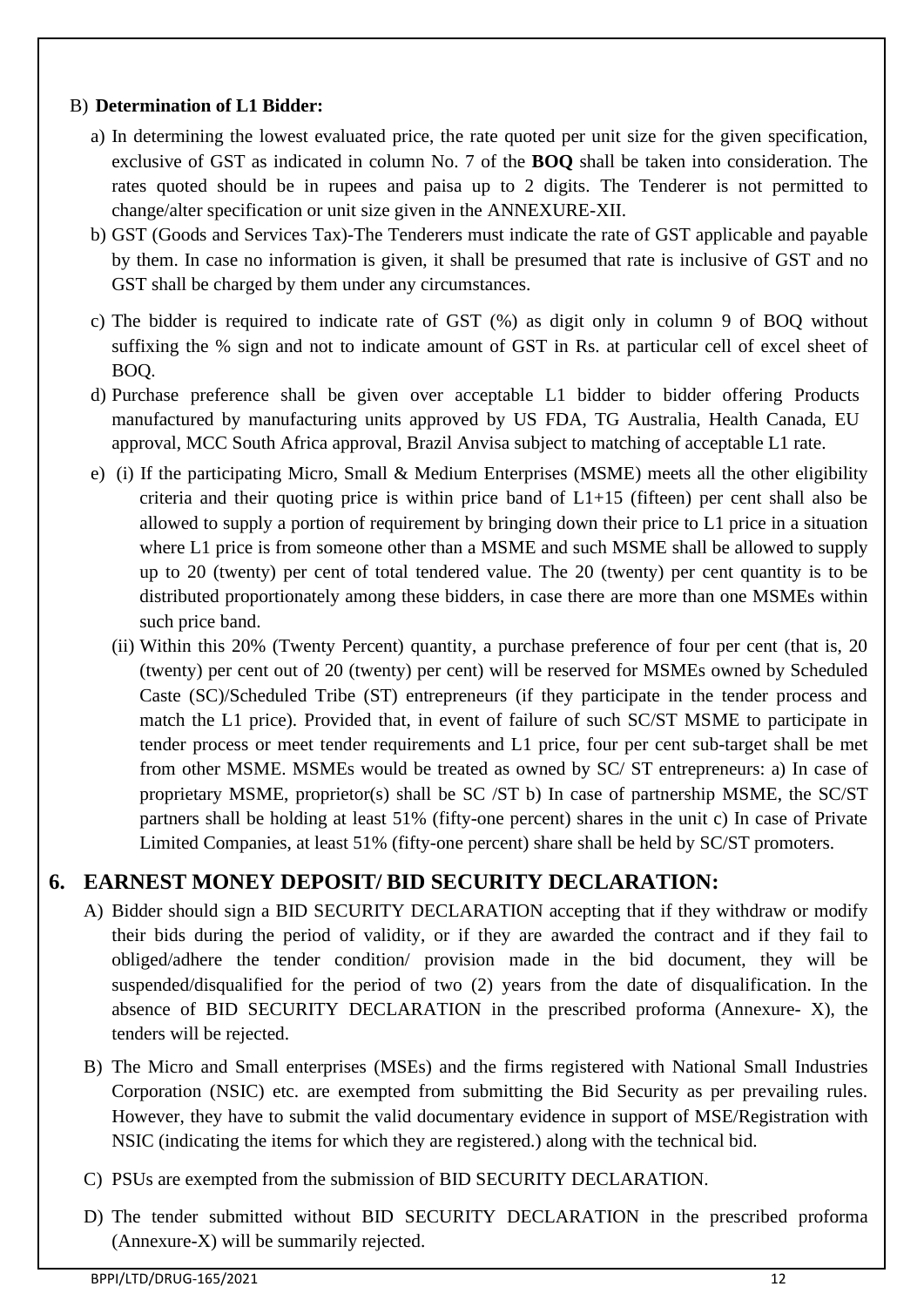### B) **Determination of L1 Bidder:**

- a) In determining the lowest evaluated price, the rate quoted per unit size for the given specification, exclusive of GST as indicated in column No. 7 of the **BOQ** shall be taken into consideration. The rates quoted should be in rupees and paisa up to 2 digits. The Tenderer is not permitted to change/alter specification or unit size given in the ANNEXURE-XII.
- b) GST (Goods and Services Tax)-The Tenderers must indicate the rate of GST applicable and payable by them. In case no information is given, it shall be presumed that rate is inclusive of GST and no GST shall be charged by them under any circumstances.
- c) The bidder is required to indicate rate of GST (%) as digit only in column 9 of BOQ without suffixing the % sign and not to indicate amount of GST in Rs. at particular cell of excel sheet of BOQ.
- d) Purchase preference shall be given over acceptable L1 bidder to bidder offering Products manufactured by manufacturing units approved by US FDA, TG Australia, Health Canada, EU approval, MCC South Africa approval, Brazil Anvisa subject to matching of acceptable L1 rate.
- e) (i) If the participating Micro, Small & Medium Enterprises (MSME) meets all the other eligibility criteria and their quoting price is within price band of L1+15 (fifteen) per cent shall also be allowed to supply a portion of requirement by bringing down their price to L1 price in a situation where L1 price is from someone other than a MSME and such MSME shall be allowed to supply up to 20 (twenty) per cent of total tendered value. The 20 (twenty) per cent quantity is to be distributed proportionately among these bidders, in case there are more than one MSMEs within such price band.
	- (ii) Within this 20% (Twenty Percent) quantity, a purchase preference of four per cent (that is, 20 (twenty) per cent out of 20 (twenty) per cent) will be reserved for MSMEs owned by Scheduled Caste (SC)/Scheduled Tribe (ST) entrepreneurs (if they participate in the tender process and match the L1 price). Provided that, in event of failure of such SC/ST MSME to participate in tender process or meet tender requirements and L1 price, four per cent sub-target shall be met from other MSME. MSMEs would be treated as owned by SC/ ST entrepreneurs: a) In case of proprietary MSME, proprietor(s) shall be SC /ST b) In case of partnership MSME, the SC/ST partners shall be holding at least 51% (fifty-one percent) shares in the unit c) In case of Private Limited Companies, at least 51% (fifty-one percent) share shall be held by SC/ST promoters.

## **6. EARNEST MONEY DEPOSIT/ BID SECURITY DECLARATION:**

- A) Bidder should sign a BID SECURITY DECLARATION accepting that if they withdraw or modify their bids during the period of validity, or if they are awarded the contract and if they fail to obliged/adhere the tender condition/ provision made in the bid document, they will be suspended/disqualified for the period of two (2) years from the date of disqualification. In the absence of BID SECURITY DECLARATION in the prescribed proforma (Annexure- X), the tenders will be rejected.
- B) The Micro and Small enterprises (MSEs) and the firms registered with National Small Industries Corporation (NSIC) etc. are exempted from submitting the Bid Security as per prevailing rules. However, they have to submit the valid documentary evidence in support of MSE/Registration with NSIC (indicating the items for which they are registered.) along with the technical bid.
- C) PSUs are exempted from the submission of BID SECURITY DECLARATION.
- D) The tender submitted without BID SECURITY DECLARATION in the prescribed proforma (Annexure-X) will be summarily rejected.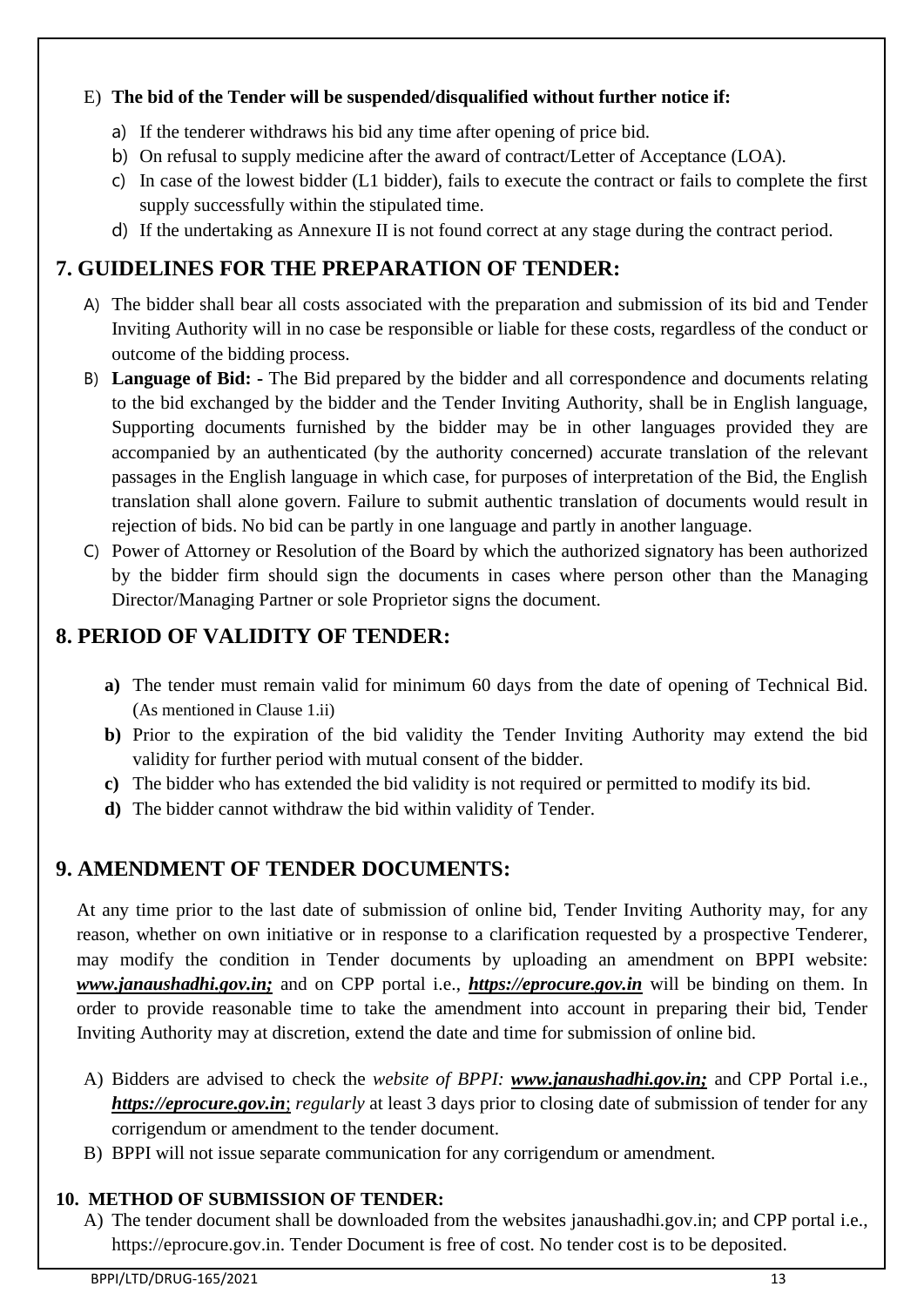### E) **The bid of the Tender will be suspended/disqualified without further notice if:**

- a) If the tenderer withdraws his bid any time after opening of price bid.
- b) On refusal to supply medicine after the award of contract/Letter of Acceptance (LOA).
- c) In case of the lowest bidder (L1 bidder), fails to execute the contract or fails to complete the first supply successfully within the stipulated time.
- d) If the undertaking as Annexure II is not found correct at any stage during the contract period.

# **7. GUIDELINES FOR THE PREPARATION OF TENDER:**

- A) The bidder shall bear all costs associated with the preparation and submission of its bid and Tender Inviting Authority will in no case be responsible or liable for these costs, regardless of the conduct or outcome of the bidding process.
- B) **Language of Bid: -** The Bid prepared by the bidder and all correspondence and documents relating to the bid exchanged by the bidder and the Tender Inviting Authority, shall be in English language, Supporting documents furnished by the bidder may be in other languages provided they are accompanied by an authenticated (by the authority concerned) accurate translation of the relevant passages in the English language in which case, for purposes of interpretation of the Bid, the English translation shall alone govern. Failure to submit authentic translation of documents would result in rejection of bids. No bid can be partly in one language and partly in another language.
- C) Power of Attorney or Resolution of the Board by which the authorized signatory has been authorized by the bidder firm should sign the documents in cases where person other than the Managing Director/Managing Partner or sole Proprietor signs the document.

# **8. PERIOD OF VALIDITY OF TENDER:**

- **a)** The tender must remain valid for minimum 60 days from the date of opening of Technical Bid. (As mentioned in Clause 1.ii)
- **b)** Prior to the expiration of the bid validity the Tender Inviting Authority may extend the bid validity for further period with mutual consent of the bidder.
- **c)** The bidder who has extended the bid validity is not required or permitted to modify its bid.
- **d)** The bidder cannot withdraw the bid within validity of Tender.

# **9. AMENDMENT OF TENDER DOCUMENTS:**

At any time prior to the last date of submission of online bid, Tender Inviting Authority may, for any reason, whether on own initiative or in response to a clarification requested by a prospective Tenderer, may modify the condition in Tender documents by uploading an amendment on BPPI website: *www.janaushadhi.gov.in;* and on CPP portal i.e., *https://eprocure.gov.in* will be binding on them. In order to provide reasonable time to take the amendment into account in preparing their bid, Tender Inviting Authority may at discretion, extend the date and time for submission of online bid.

- A) Bidders are advised to check the *website of BPPI: www.janaushadhi.gov.in;* and CPP Portal i.e., *https://eprocure.gov.in*; *regularly* at least 3 days prior to closing date of submission of tender for any corrigendum or amendment to the tender document.
- B) BPPI will not issue separate communication for any corrigendum or amendment.

## **10. METHOD OF SUBMISSION OF TENDER:**

A) The tender document shall be downloaded from the websites janaushadhi.gov.in; and CPP portal i.e., https://eprocure.gov.in. Tender Document is free of cost. No tender cost is to be deposited.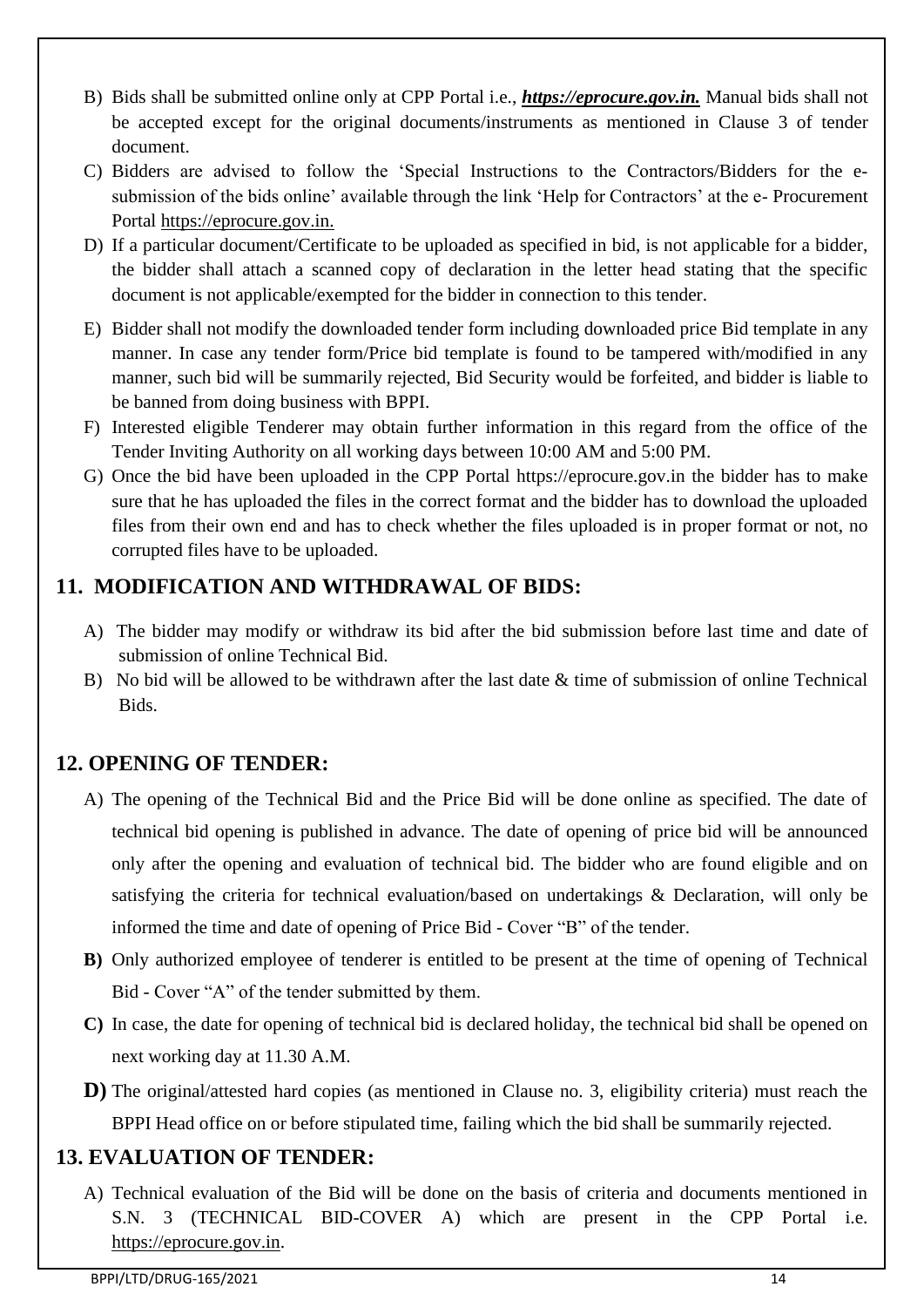- B) Bids shall be submitted online only at CPP Portal i.e., *https://eprocure.gov.in.* Manual bids shall not be accepted except for the original documents/instruments as mentioned in Clause 3 of tender document.
- C) Bidders are advised to follow the 'Special Instructions to the Contractors/Bidders for the e‐ submission of the bids online' available through the link 'Help for Contractors' at the e‐ Procurement Portal [https://eprocure.gov.in.](https://eprocure.gov.in/)
- D) If a particular document/Certificate to be uploaded as specified in bid, is not applicable for a bidder, the bidder shall attach a scanned copy of declaration in the letter head stating that the specific document is not applicable/exempted for the bidder in connection to this tender.
- E) Bidder shall not modify the downloaded tender form including downloaded price Bid template in any manner. In case any tender form/Price bid template is found to be tampered with/modified in any manner, such bid will be summarily rejected, Bid Security would be forfeited, and bidder is liable to be banned from doing business with BPPI.
- F) Interested eligible Tenderer may obtain further information in this regard from the office of the Tender Inviting Authority on all working days between 10:00 AM and 5:00 PM.
- G) Once the bid have been uploaded in the CPP Portal https://eprocure.gov.in the bidder has to make sure that he has uploaded the files in the correct format and the bidder has to download the uploaded files from their own end and has to check whether the files uploaded is in proper format or not, no corrupted files have to be uploaded.

# **11. MODIFICATION AND WITHDRAWAL OF BIDS:**

- A) The bidder may modify or withdraw its bid after the bid submission before last time and date of submission of online Technical Bid.
- B) No bid will be allowed to be withdrawn after the last date & time of submission of online Technical Bids.

# **12. OPENING OF TENDER:**

- A) The opening of the Technical Bid and the Price Bid will be done online as specified. The date of technical bid opening is published in advance. The date of opening of price bid will be announced only after the opening and evaluation of technical bid. The bidder who are found eligible and on satisfying the criteria for technical evaluation/based on undertakings & Declaration, will only be informed the time and date of opening of Price Bid - Cover "B" of the tender.
- **B)** Only authorized employee of tenderer is entitled to be present at the time of opening of Technical Bid - Cover "A" of the tender submitted by them.
- **C)** In case, the date for opening of technical bid is declared holiday, the technical bid shall be opened on next working day at 11.30 A.M.
- **D**) The original/attested hard copies (as mentioned in Clause no. 3, eligibility criteria) must reach the BPPI Head office on or before stipulated time, failing which the bid shall be summarily rejected.

# **13. EVALUATION OF TENDER:**

A) Technical evaluation of the Bid will be done on the basis of criteria and documents mentioned in S.N. 3 (TECHNICAL BID-COVER A) which are present in the CPP Portal i.e. [https://eprocure.gov.in.](https://eprocure.gov.in/)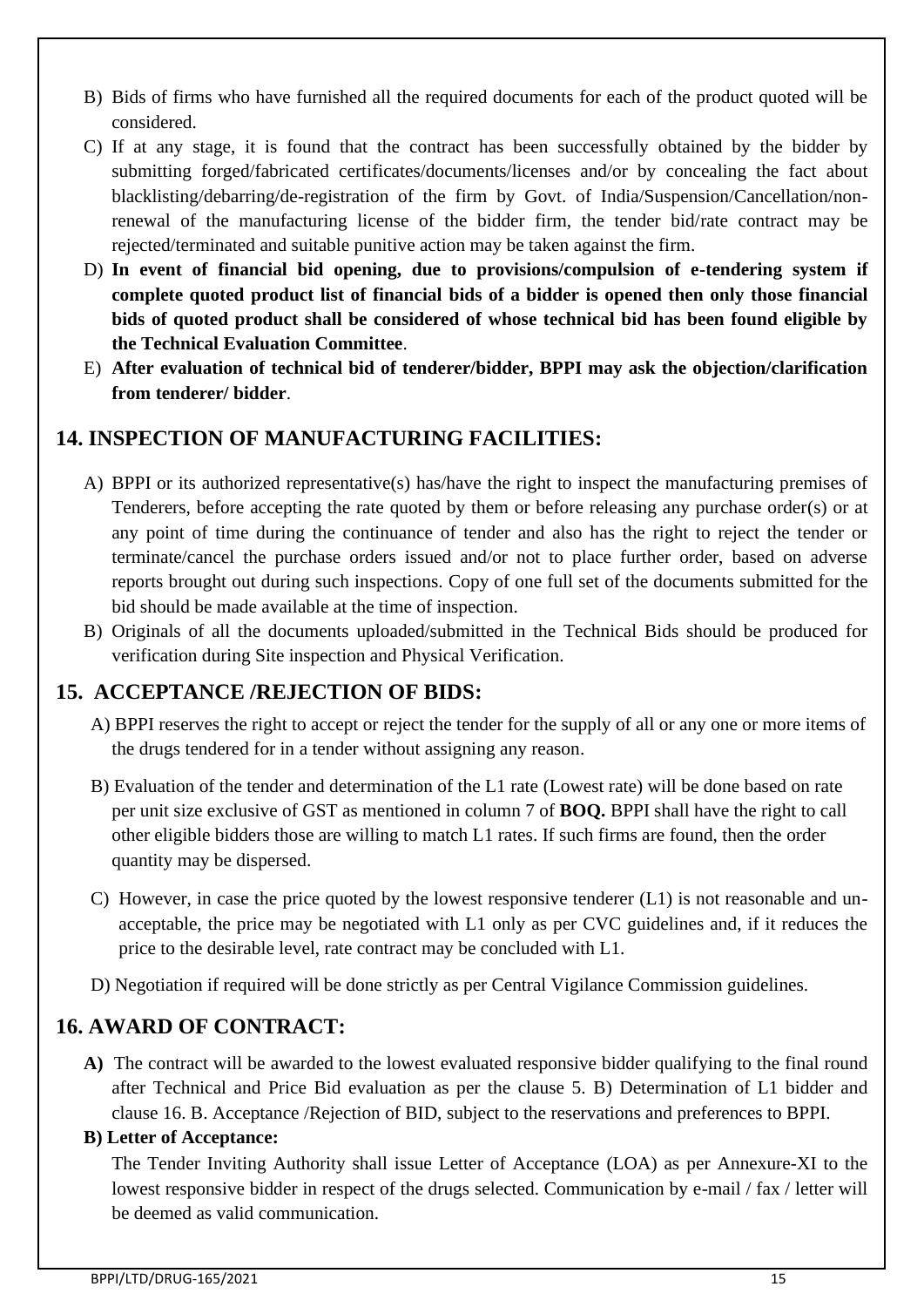- B) Bids of firms who have furnished all the required documents for each of the product quoted will be considered.
- C) If at any stage, it is found that the contract has been successfully obtained by the bidder by submitting forged/fabricated certificates/documents/licenses and/or by concealing the fact about blacklisting/debarring/de-registration of the firm by Govt. of India/Suspension/Cancellation/nonrenewal of the manufacturing license of the bidder firm, the tender bid/rate contract may be rejected/terminated and suitable punitive action may be taken against the firm.
- D) **In event of financial bid opening, due to provisions/compulsion of e-tendering system if complete quoted product list of financial bids of a bidder is opened then only those financial bids of quoted product shall be considered of whose technical bid has been found eligible by the Technical Evaluation Committee**.
- E) **After evaluation of technical bid of tenderer/bidder, BPPI may ask the objection/clarification from tenderer/ bidder**.

## **14. INSPECTION OF MANUFACTURING FACILITIES:**

- A) BPPI or its authorized representative(s) has/have the right to inspect the manufacturing premises of Tenderers, before accepting the rate quoted by them or before releasing any purchase order(s) or at any point of time during the continuance of tender and also has the right to reject the tender or terminate/cancel the purchase orders issued and/or not to place further order, based on adverse reports brought out during such inspections. Copy of one full set of the documents submitted for the bid should be made available at the time of inspection.
- B) Originals of all the documents uploaded/submitted in the Technical Bids should be produced for verification during Site inspection and Physical Verification.

# **15. ACCEPTANCE /REJECTION OF BIDS:**

- A) BPPI reserves the right to accept or reject the tender for the supply of all or any one or more items of the drugs tendered for in a tender without assigning any reason.
- B) Evaluation of the tender and determination of the L1 rate (Lowest rate) will be done based on rate per unit size exclusive of GST as mentioned in column 7 of **BOQ.** BPPI shall have the right to call other eligible bidders those are willing to match L1 rates. If such firms are found, then the order quantity may be dispersed.
- C) However, in case the price quoted by the lowest responsive tenderer (L1) is not reasonable and unacceptable, the price may be negotiated with L1 only as per CVC guidelines and, if it reduces the price to the desirable level, rate contract may be concluded with L1.
- D) Negotiation if required will be done strictly as per Central Vigilance Commission guidelines.

# **16. AWARD OF CONTRACT:**

**A)** The contract will be awarded to the lowest evaluated responsive bidder qualifying to the final round after Technical and Price Bid evaluation as per the clause 5. B) Determination of L1 bidder and clause 16. B. Acceptance /Rejection of BID, subject to the reservations and preferences to BPPI.

### **B) Letter of Acceptance:**

The Tender Inviting Authority shall issue Letter of Acceptance (LOA) as per Annexure-XI to the lowest responsive bidder in respect of the drugs selected. Communication by e-mail / fax / letter will be deemed as valid communication.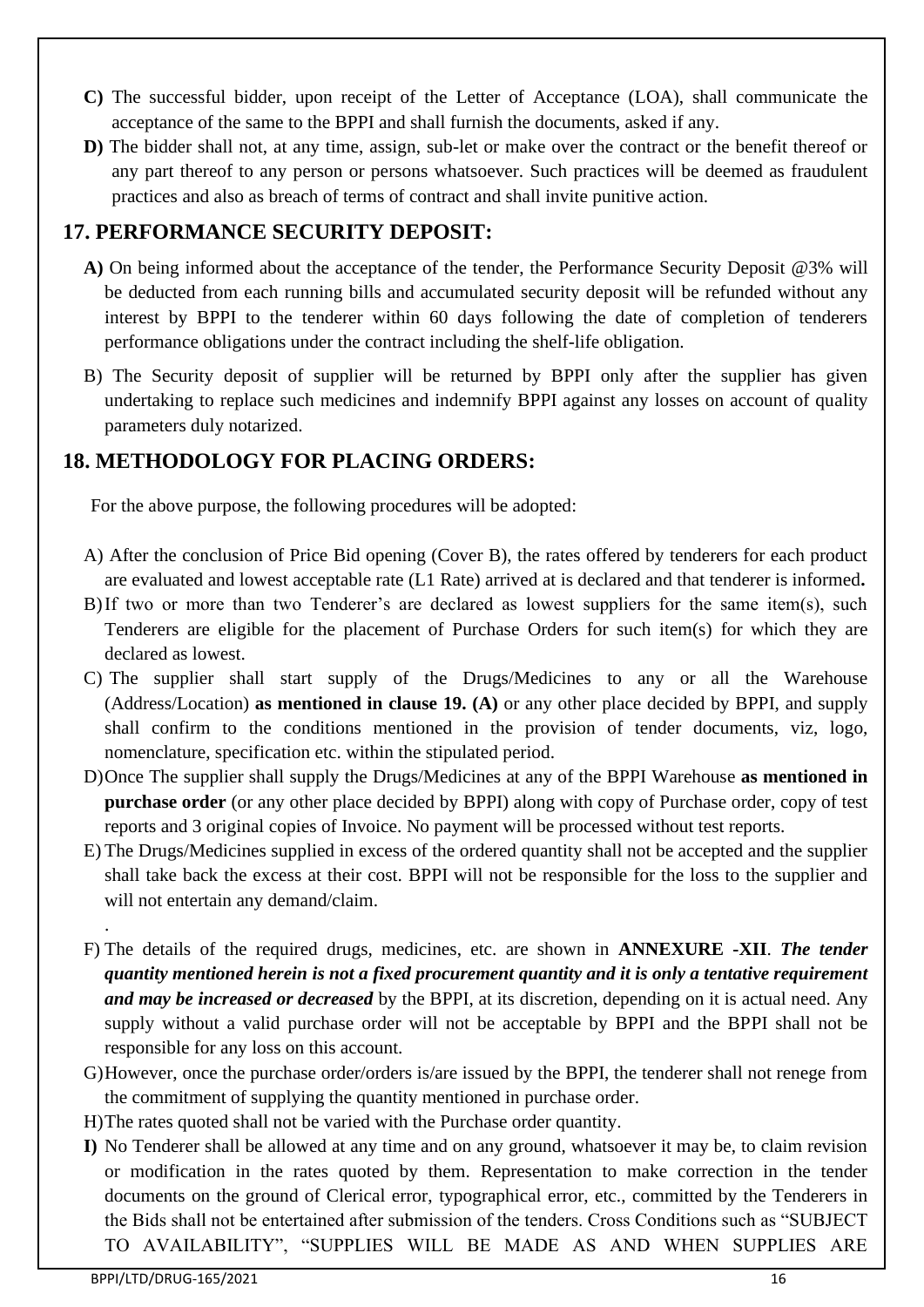- **C)** The successful bidder, upon receipt of the Letter of Acceptance (LOA), shall communicate the acceptance of the same to the BPPI and shall furnish the documents, asked if any.
- **D)** The bidder shall not, at any time, assign, sub-let or make over the contract or the benefit thereof or any part thereof to any person or persons whatsoever. Such practices will be deemed as fraudulent practices and also as breach of terms of contract and shall invite punitive action.

# **17. PERFORMANCE SECURITY DEPOSIT:**

- **A)** On being informed about the acceptance of the tender, the Performance Security Deposit @3% will be deducted from each running bills and accumulated security deposit will be refunded without any interest by BPPI to the tenderer within 60 days following the date of completion of tenderers performance obligations under the contract including the shelf-life obligation.
- B) The Security deposit of supplier will be returned by BPPI only after the supplier has given undertaking to replace such medicines and indemnify BPPI against any losses on account of quality parameters duly notarized.

## **18. METHODOLOGY FOR PLACING ORDERS:**

For the above purpose, the following procedures will be adopted:

- A) After the conclusion of Price Bid opening (Cover B), the rates offered by tenderers for each product are evaluated and lowest acceptable rate (L1 Rate) arrived at is declared and that tenderer is informed**.**
- B)If two or more than two Tenderer's are declared as lowest suppliers for the same item(s), such Tenderers are eligible for the placement of Purchase Orders for such item(s) for which they are declared as lowest.
- C) The supplier shall start supply of the Drugs/Medicines to any or all the Warehouse (Address/Location) **as mentioned in clause 19. (A)** or any other place decided by BPPI, and supply shall confirm to the conditions mentioned in the provision of tender documents, viz, logo, nomenclature, specification etc. within the stipulated period.
- D)Once The supplier shall supply the Drugs/Medicines at any of the BPPI Warehouse **as mentioned in purchase order** (or any other place decided by BPPI) along with copy of Purchase order, copy of test reports and 3 original copies of Invoice. No payment will be processed without test reports.
- E) The Drugs/Medicines supplied in excess of the ordered quantity shall not be accepted and the supplier shall take back the excess at their cost. BPPI will not be responsible for the loss to the supplier and will not entertain any demand/claim.
- F) The details of the required drugs, medicines, etc. are shown in **ANNEXURE -XII**. *The tender quantity mentioned herein is not a fixed procurement quantity and it is only a tentative requirement and may be increased or decreased* by the BPPI, at its discretion, depending on it is actual need. Any supply without a valid purchase order will not be acceptable by BPPI and the BPPI shall not be responsible for any loss on this account.
- G)However, once the purchase order/orders is/are issued by the BPPI, the tenderer shall not renege from the commitment of supplying the quantity mentioned in purchase order.
- H)The rates quoted shall not be varied with the Purchase order quantity.
- **I)** No Tenderer shall be allowed at any time and on any ground, whatsoever it may be, to claim revision or modification in the rates quoted by them. Representation to make correction in the tender documents on the ground of Clerical error, typographical error, etc., committed by the Tenderers in the Bids shall not be entertained after submission of the tenders. Cross Conditions such as "SUBJECT TO AVAILABILITY", "SUPPLIES WILL BE MADE AS AND WHEN SUPPLIES ARE

.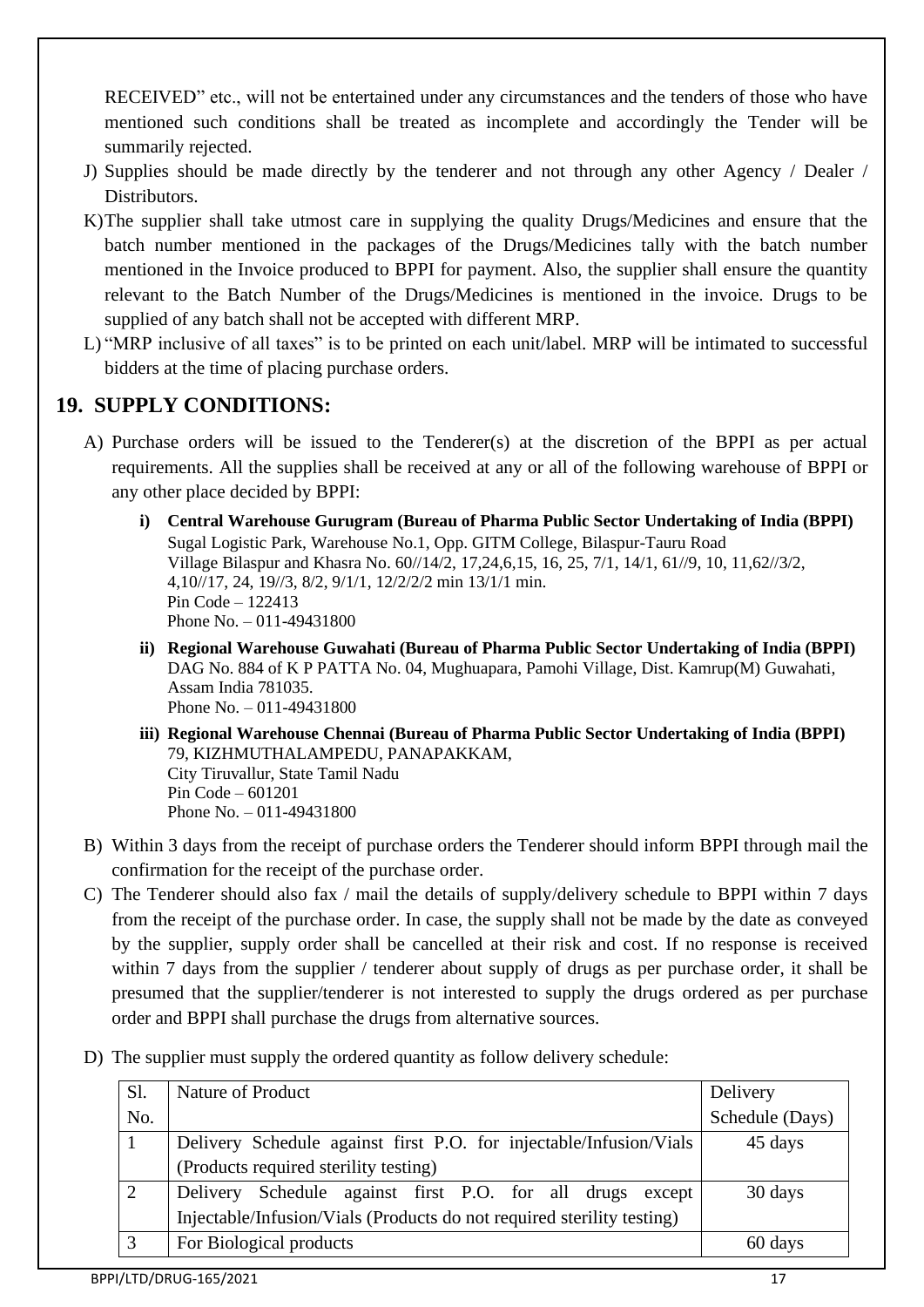RECEIVED" etc., will not be entertained under any circumstances and the tenders of those who have mentioned such conditions shall be treated as incomplete and accordingly the Tender will be summarily rejected.

- J) Supplies should be made directly by the tenderer and not through any other Agency / Dealer / Distributors.
- K)The supplier shall take utmost care in supplying the quality Drugs/Medicines and ensure that the batch number mentioned in the packages of the Drugs/Medicines tally with the batch number mentioned in the Invoice produced to BPPI for payment. Also, the supplier shall ensure the quantity relevant to the Batch Number of the Drugs/Medicines is mentioned in the invoice. Drugs to be supplied of any batch shall not be accepted with different MRP.
- L) "MRP inclusive of all taxes" is to be printed on each unit/label. MRP will be intimated to successful bidders at the time of placing purchase orders.

## **19. SUPPLY CONDITIONS:**

- A) Purchase orders will be issued to the Tenderer(s) at the discretion of the BPPI as per actual requirements. All the supplies shall be received at any or all of the following warehouse of BPPI or any other place decided by BPPI:
	- **i) Central Warehouse Gurugram (Bureau of Pharma Public Sector Undertaking of India (BPPI)** Sugal Logistic Park, Warehouse No.1, Opp. GITM College, Bilaspur-Tauru Road Village Bilaspur and Khasra No. 60//14/2, 17,24,6,15, 16, 25, 7/1, 14/1, 61//9, 10, 11,62//3/2, 4,10//17, 24, 19//3, 8/2, 9/1/1, 12/2/2/2 min 13/1/1 min. Pin Code – 122413 Phone No. – 011-49431800
	- **ii) Regional Warehouse Guwahati (Bureau of Pharma Public Sector Undertaking of India (BPPI)** DAG No. 884 of K P PATTA No. 04, Mughuapara, Pamohi Village, Dist. Kamrup(M) Guwahati, Assam India 781035. Phone No. – 011-49431800
	- **iii) Regional Warehouse Chennai (Bureau of Pharma Public Sector Undertaking of India (BPPI)** 79, KIZHMUTHALAMPEDU, PANAPAKKAM, City Tiruvallur, State Tamil Nadu Pin Code – 601201 Phone No. – 011-49431800
- B) Within 3 days from the receipt of purchase orders the Tenderer should inform BPPI through mail the confirmation for the receipt of the purchase order.
- C) The Tenderer should also fax / mail the details of supply/delivery schedule to BPPI within 7 days from the receipt of the purchase order. In case, the supply shall not be made by the date as conveyed by the supplier, supply order shall be cancelled at their risk and cost. If no response is received within 7 days from the supplier / tenderer about supply of drugs as per purchase order, it shall be presumed that the supplier/tenderer is not interested to supply the drugs ordered as per purchase order and BPPI shall purchase the drugs from alternative sources.
- D) The supplier must supply the ordered quantity as follow delivery schedule:

| Sl. | Nature of Product                                                      | Delivery        |
|-----|------------------------------------------------------------------------|-----------------|
| No. |                                                                        | Schedule (Days) |
|     | Delivery Schedule against first P.O. for injectable/Infusion/Vials     | 45 days         |
|     | (Products required sterility testing)                                  |                 |
| 2   | Delivery Schedule against first P.O. for all drugs<br>except           | 30 days         |
|     | Injectable/Infusion/Vials (Products do not required sterility testing) |                 |
| 3   | For Biological products                                                | 60 days         |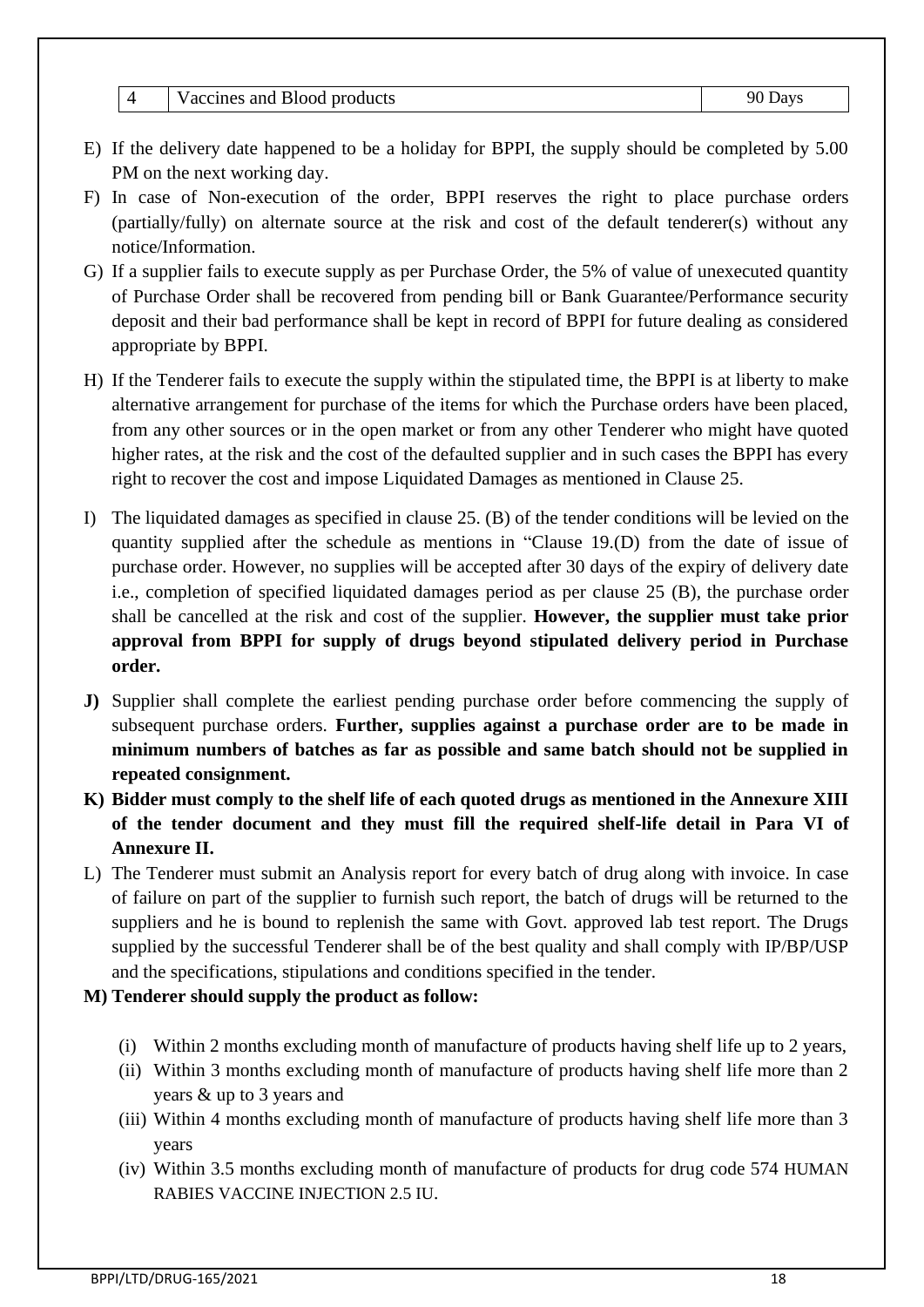- E) If the delivery date happened to be a holiday for BPPI, the supply should be completed by 5.00 PM on the next working day.
- F) In case of Non-execution of the order, BPPI reserves the right to place purchase orders (partially/fully) on alternate source at the risk and cost of the default tenderer(s) without any notice/Information.
- G) If a supplier fails to execute supply as per Purchase Order, the 5% of value of unexecuted quantity of Purchase Order shall be recovered from pending bill or Bank Guarantee/Performance security deposit and their bad performance shall be kept in record of BPPI for future dealing as considered appropriate by BPPI.
- H) If the Tenderer fails to execute the supply within the stipulated time, the BPPI is at liberty to make alternative arrangement for purchase of the items for which the Purchase orders have been placed, from any other sources or in the open market or from any other Tenderer who might have quoted higher rates, at the risk and the cost of the defaulted supplier and in such cases the BPPI has every right to recover the cost and impose Liquidated Damages as mentioned in Clause 25.
- I) The liquidated damages as specified in clause 25. (B) of the tender conditions will be levied on the quantity supplied after the schedule as mentions in "Clause 19.(D) from the date of issue of purchase order. However, no supplies will be accepted after 30 days of the expiry of delivery date i.e., completion of specified liquidated damages period as per clause 25 (B), the purchase order shall be cancelled at the risk and cost of the supplier. **However, the supplier must take prior approval from BPPI for supply of drugs beyond stipulated delivery period in Purchase order.**
- **J)** Supplier shall complete the earliest pending purchase order before commencing the supply of subsequent purchase orders. **Further, supplies against a purchase order are to be made in minimum numbers of batches as far as possible and same batch should not be supplied in repeated consignment.**
- **K) Bidder must comply to the shelf life of each quoted drugs as mentioned in the Annexure XIII of the tender document and they must fill the required shelf-life detail in Para VI of Annexure II.**
- L) The Tenderer must submit an Analysis report for every batch of drug along with invoice. In case of failure on part of the supplier to furnish such report, the batch of drugs will be returned to the suppliers and he is bound to replenish the same with Govt. approved lab test report. The Drugs supplied by the successful Tenderer shall be of the best quality and shall comply with IP/BP/USP and the specifications, stipulations and conditions specified in the tender.

### **M) Tenderer should supply the product as follow:**

- (i) Within 2 months excluding month of manufacture of products having shelf life up to 2 years,
- (ii) Within 3 months excluding month of manufacture of products having shelf life more than 2 years & up to 3 years and
- (iii) Within 4 months excluding month of manufacture of products having shelf life more than 3 years
- (iv) Within 3.5 months excluding month of manufacture of products for drug code 574 HUMAN RABIES VACCINE INJECTION 2.5 IU.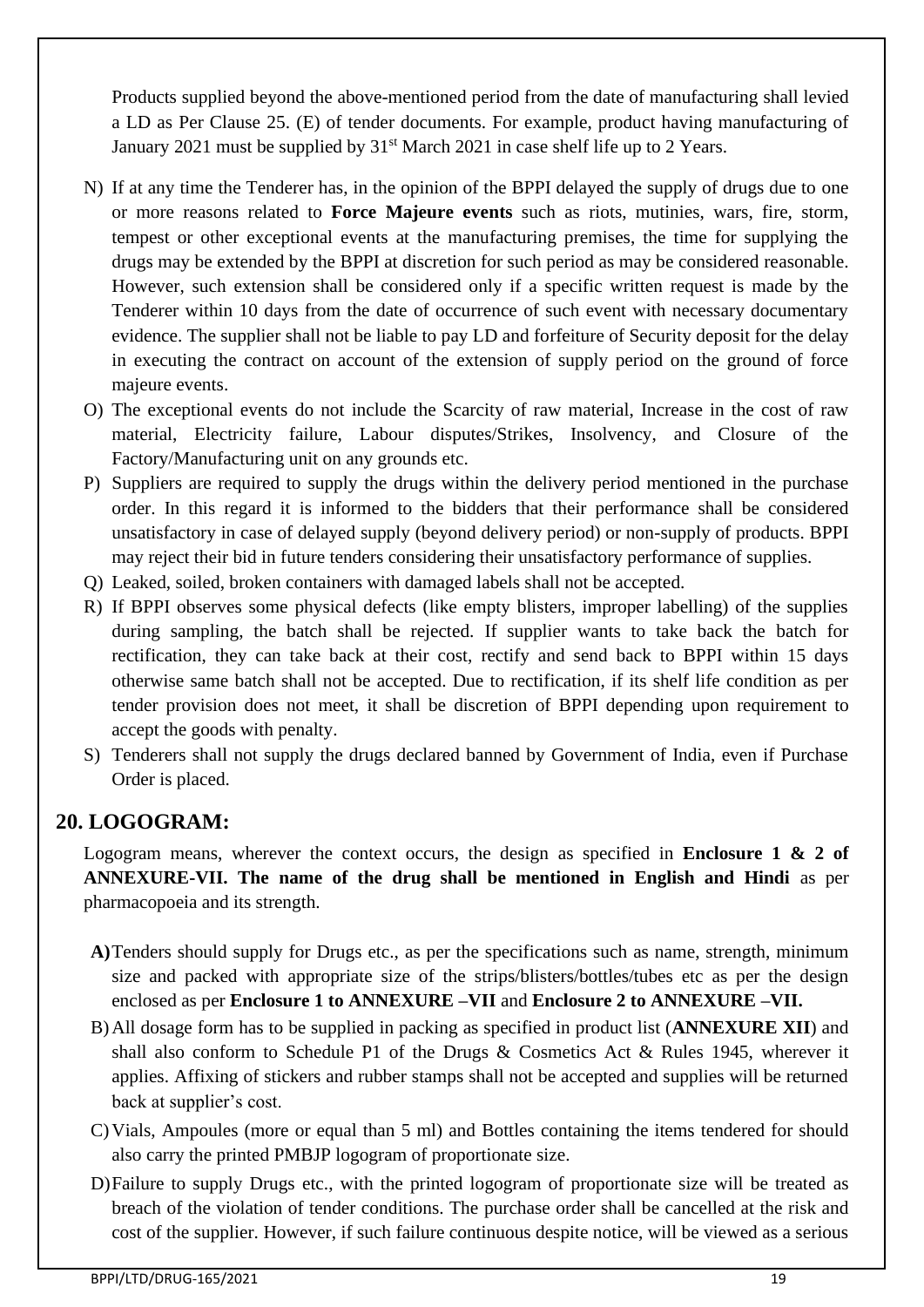Products supplied beyond the above-mentioned period from the date of manufacturing shall levied a LD as Per Clause 25. (E) of tender documents. For example, product having manufacturing of January 2021 must be supplied by 31<sup>st</sup> March 2021 in case shelf life up to 2 Years.

- N) If at any time the Tenderer has, in the opinion of the BPPI delayed the supply of drugs due to one or more reasons related to **Force Majeure events** such as riots, mutinies, wars, fire, storm, tempest or other exceptional events at the manufacturing premises, the time for supplying the drugs may be extended by the BPPI at discretion for such period as may be considered reasonable. However, such extension shall be considered only if a specific written request is made by the Tenderer within 10 days from the date of occurrence of such event with necessary documentary evidence. The supplier shall not be liable to pay LD and forfeiture of Security deposit for the delay in executing the contract on account of the extension of supply period on the ground of force majeure events.
- O) The exceptional events do not include the Scarcity of raw material, Increase in the cost of raw material, Electricity failure, Labour disputes/Strikes, Insolvency, and Closure of the Factory/Manufacturing unit on any grounds etc.
- P) Suppliers are required to supply the drugs within the delivery period mentioned in the purchase order. In this regard it is informed to the bidders that their performance shall be considered unsatisfactory in case of delayed supply (beyond delivery period) or non-supply of products. BPPI may reject their bid in future tenders considering their unsatisfactory performance of supplies.
- Q) Leaked, soiled, broken containers with damaged labels shall not be accepted.
- R) If BPPI observes some physical defects (like empty blisters, improper labelling) of the supplies during sampling, the batch shall be rejected. If supplier wants to take back the batch for rectification, they can take back at their cost, rectify and send back to BPPI within 15 days otherwise same batch shall not be accepted. Due to rectification, if its shelf life condition as per tender provision does not meet, it shall be discretion of BPPI depending upon requirement to accept the goods with penalty.
- S) Tenderers shall not supply the drugs declared banned by Government of India, even if Purchase Order is placed.

## **20. LOGOGRAM:**

Logogram means, wherever the context occurs, the design as specified in **Enclosure 1 & 2 of ANNEXURE-VII. The name of the drug shall be mentioned in English and Hindi** as per pharmacopoeia and its strength.

- **A)**Tenders should supply for Drugs etc., as per the specifications such as name, strength, minimum size and packed with appropriate size of the strips/blisters/bottles/tubes etc as per the design enclosed as per **Enclosure 1 to ANNEXURE –VII** and **Enclosure 2 to ANNEXURE –VII.**
- B)All dosage form has to be supplied in packing as specified in product list (**ANNEXURE XII**) and shall also conform to Schedule P1 of the Drugs & Cosmetics Act & Rules 1945, wherever it applies. Affixing of stickers and rubber stamps shall not be accepted and supplies will be returned back at supplier's cost.
- C)Vials, Ampoules (more or equal than 5 ml) and Bottles containing the items tendered for should also carry the printed PMBJP logogram of proportionate size.
- D)Failure to supply Drugs etc., with the printed logogram of proportionate size will be treated as breach of the violation of tender conditions. The purchase order shall be cancelled at the risk and cost of the supplier. However, if such failure continuous despite notice, will be viewed as a serious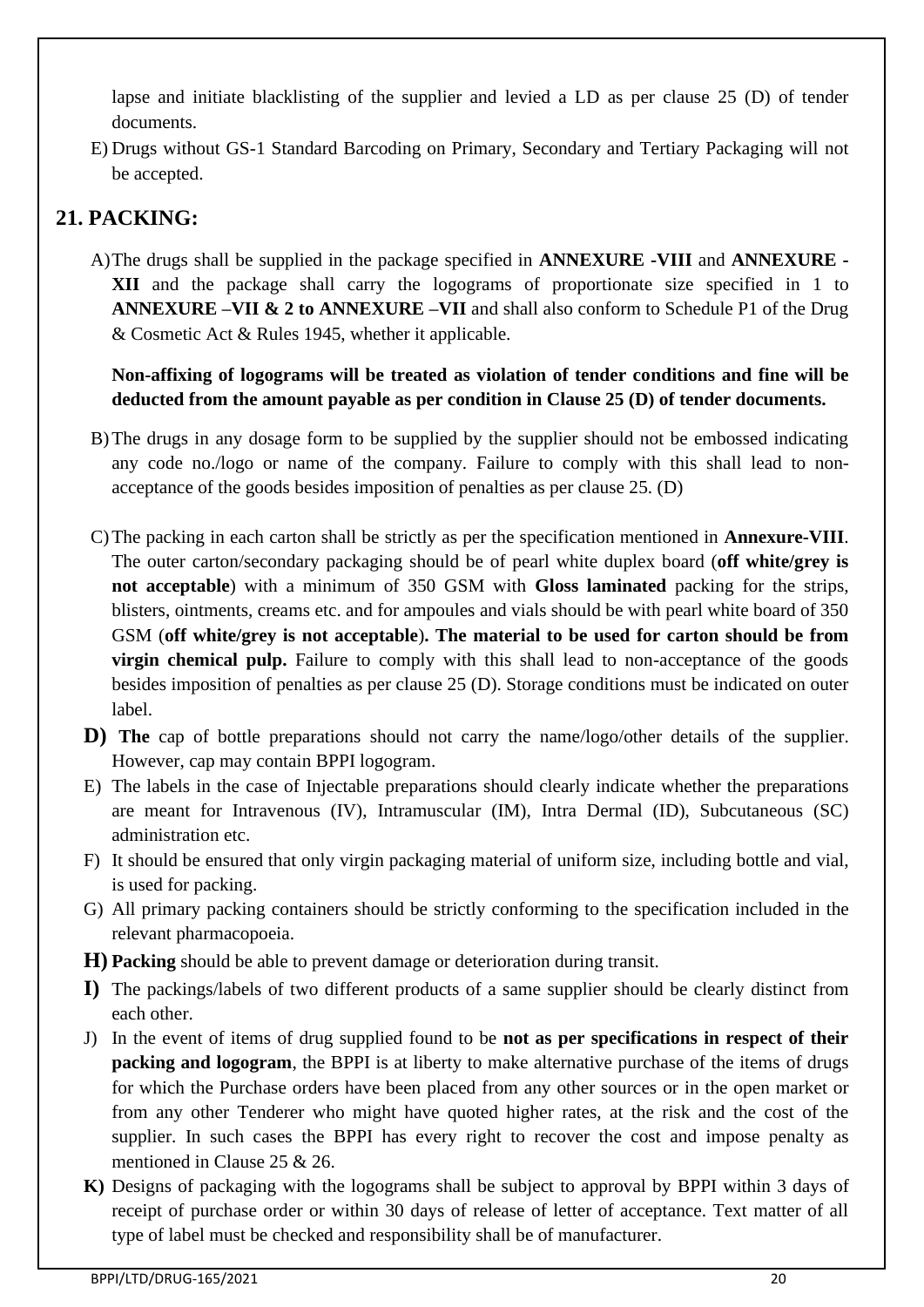lapse and initiate blacklisting of the supplier and levied a LD as per clause 25 (D) of tender documents.

E) Drugs without GS-1 Standard Barcoding on Primary, Secondary and Tertiary Packaging will not be accepted.

# **21. PACKING:**

A)The drugs shall be supplied in the package specified in **ANNEXURE -VIII** and **ANNEXURE - XII** and the package shall carry the logograms of proportionate size specified in 1 to **ANNEXURE –VII & 2 to ANNEXURE –VII** and shall also conform to Schedule P1 of the Drug & Cosmetic Act & Rules 1945, whether it applicable.

**Non-affixing of logograms will be treated as violation of tender conditions and fine will be deducted from the amount payable as per condition in Clause 25 (D) of tender documents.**

- B)The drugs in any dosage form to be supplied by the supplier should not be embossed indicating any code no./logo or name of the company. Failure to comply with this shall lead to nonacceptance of the goods besides imposition of penalties as per clause 25. (D)
- C)The packing in each carton shall be strictly as per the specification mentioned in **Annexure-VIII**. The outer carton/secondary packaging should be of pearl white duplex board (**off white/grey is not acceptable**) with a minimum of 350 GSM with **Gloss laminated** packing for the strips, blisters, ointments, creams etc. and for ampoules and vials should be with pearl white board of 350 GSM (**off white/grey is not acceptable**)**. The material to be used for carton should be from virgin chemical pulp.** Failure to comply with this shall lead to non-acceptance of the goods besides imposition of penalties as per clause 25 (D). Storage conditions must be indicated on outer label.
- **D) The** cap of bottle preparations should not carry the name/logo/other details of the supplier. However, cap may contain BPPI logogram.
- E) The labels in the case of Injectable preparations should clearly indicate whether the preparations are meant for Intravenous (IV), Intramuscular (IM), Intra Dermal (ID), Subcutaneous (SC) administration etc.
- F) It should be ensured that only virgin packaging material of uniform size, including bottle and vial, is used for packing.
- G) All primary packing containers should be strictly conforming to the specification included in the relevant pharmacopoeia.
- **H) Packing** should be able to prevent damage or deterioration during transit.
- **I)** The packings/labels of two different products of a same supplier should be clearly distinct from each other.
- J) In the event of items of drug supplied found to be **not as per specifications in respect of their packing and logogram**, the BPPI is at liberty to make alternative purchase of the items of drugs for which the Purchase orders have been placed from any other sources or in the open market or from any other Tenderer who might have quoted higher rates, at the risk and the cost of the supplier. In such cases the BPPI has every right to recover the cost and impose penalty as mentioned in Clause 25 & 26.
- **K)** Designs of packaging with the logograms shall be subject to approval by BPPI within 3 days of receipt of purchase order or within 30 days of release of letter of acceptance. Text matter of all type of label must be checked and responsibility shall be of manufacturer.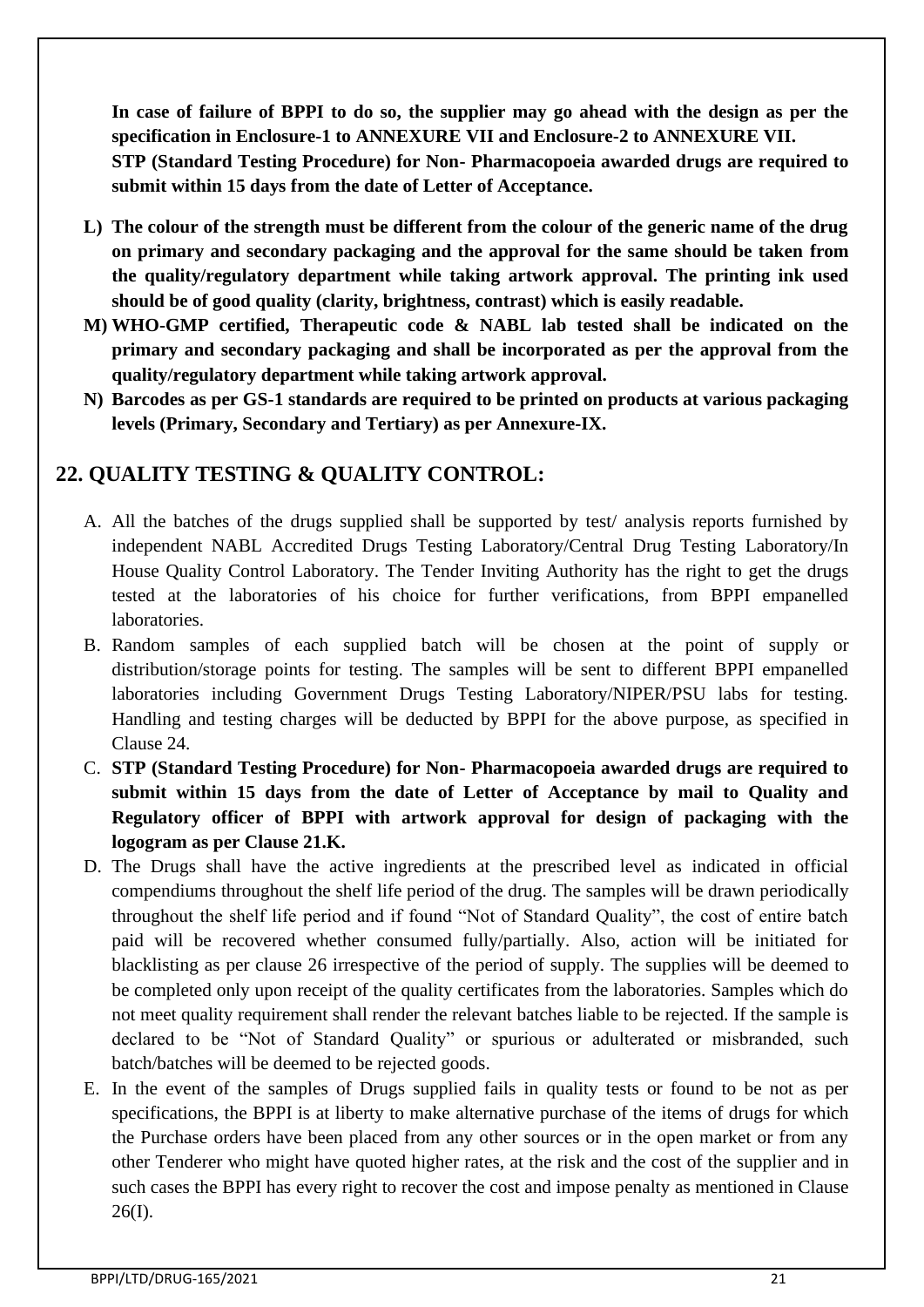**In case of failure of BPPI to do so, the supplier may go ahead with the design as per the specification in Enclosure-1 to ANNEXURE VII and Enclosure-2 to ANNEXURE VII. STP (Standard Testing Procedure) for Non- Pharmacopoeia awarded drugs are required to submit within 15 days from the date of Letter of Acceptance.**

- **L) The colour of the strength must be different from the colour of the generic name of the drug on primary and secondary packaging and the approval for the same should be taken from the quality/regulatory department while taking artwork approval. The printing ink used should be of good quality (clarity, brightness, contrast) which is easily readable.**
- **M) WHO-GMP certified, Therapeutic code & NABL lab tested shall be indicated on the primary and secondary packaging and shall be incorporated as per the approval from the quality/regulatory department while taking artwork approval.**
- **N) Barcodes as per GS-1 standards are required to be printed on products at various packaging levels (Primary, Secondary and Tertiary) as per Annexure-IX.**

## **22. QUALITY TESTING & QUALITY CONTROL:**

- A. All the batches of the drugs supplied shall be supported by test/ analysis reports furnished by independent NABL Accredited Drugs Testing Laboratory/Central Drug Testing Laboratory/In House Quality Control Laboratory. The Tender Inviting Authority has the right to get the drugs tested at the laboratories of his choice for further verifications, from BPPI empanelled laboratories.
- B. Random samples of each supplied batch will be chosen at the point of supply or distribution/storage points for testing. The samples will be sent to different BPPI empanelled laboratories including Government Drugs Testing Laboratory/NIPER/PSU labs for testing. Handling and testing charges will be deducted by BPPI for the above purpose, as specified in Clause 24.
- C. **STP (Standard Testing Procedure) for Non- Pharmacopoeia awarded drugs are required to submit within 15 days from the date of Letter of Acceptance by mail to Quality and Regulatory officer of BPPI with artwork approval for design of packaging with the logogram as per Clause 21.K.**
- D. The Drugs shall have the active ingredients at the prescribed level as indicated in official compendiums throughout the shelf life period of the drug. The samples will be drawn periodically throughout the shelf life period and if found "Not of Standard Quality", the cost of entire batch paid will be recovered whether consumed fully/partially. Also, action will be initiated for blacklisting as per clause 26 irrespective of the period of supply. The supplies will be deemed to be completed only upon receipt of the quality certificates from the laboratories. Samples which do not meet quality requirement shall render the relevant batches liable to be rejected. If the sample is declared to be "Not of Standard Quality" or spurious or adulterated or misbranded, such batch/batches will be deemed to be rejected goods.
- E. In the event of the samples of Drugs supplied fails in quality tests or found to be not as per specifications, the BPPI is at liberty to make alternative purchase of the items of drugs for which the Purchase orders have been placed from any other sources or in the open market or from any other Tenderer who might have quoted higher rates, at the risk and the cost of the supplier and in such cases the BPPI has every right to recover the cost and impose penalty as mentioned in Clause 26(I).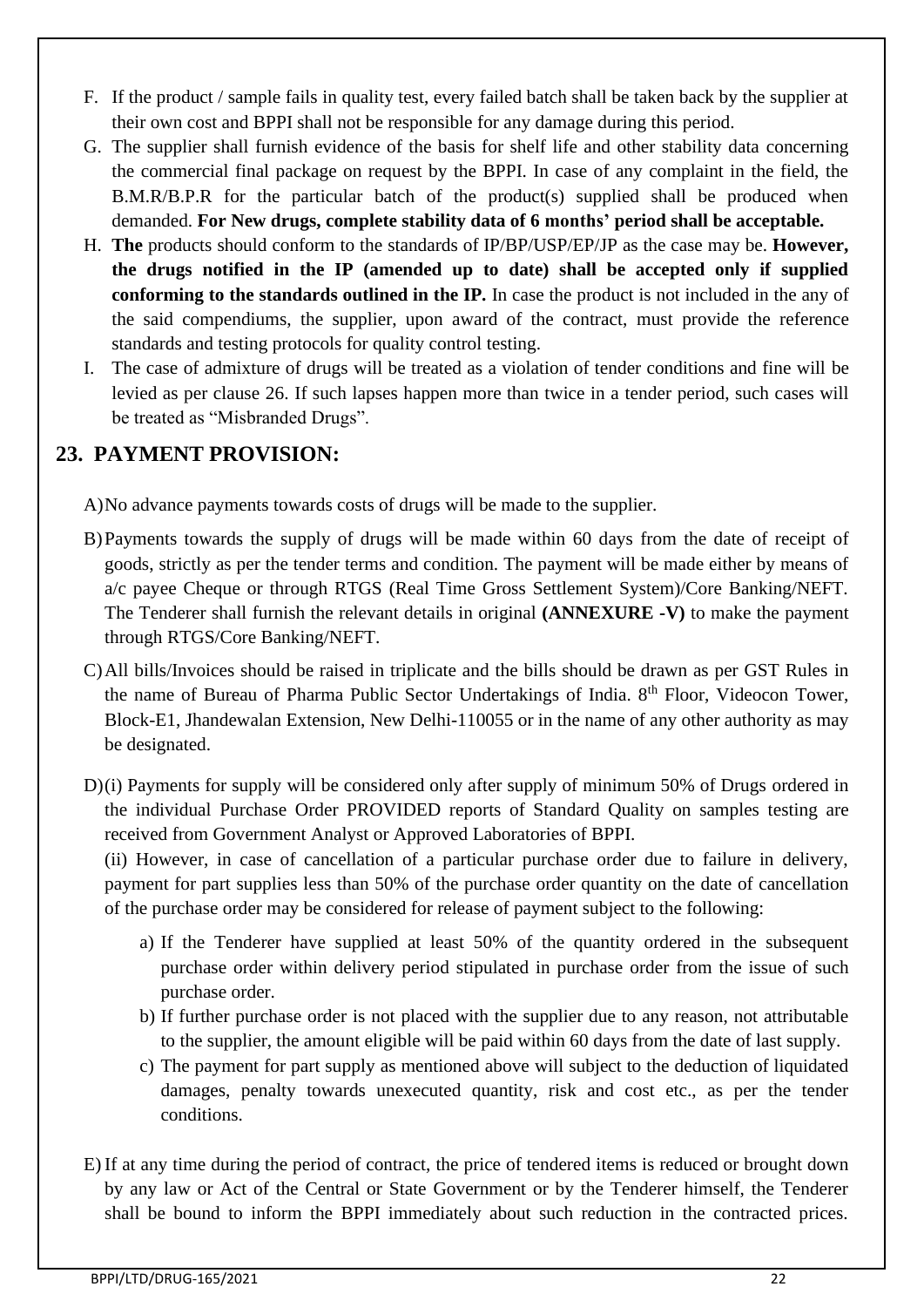- F. If the product / sample fails in quality test, every failed batch shall be taken back by the supplier at their own cost and BPPI shall not be responsible for any damage during this period.
- G. The supplier shall furnish evidence of the basis for shelf life and other stability data concerning the commercial final package on request by the BPPI. In case of any complaint in the field, the B.M.R/B.P.R for the particular batch of the product(s) supplied shall be produced when demanded. **For New drugs, complete stability data of 6 months' period shall be acceptable.**
- H. **The** products should conform to the standards of IP/BP/USP/EP/JP as the case may be. **However, the drugs notified in the IP (amended up to date) shall be accepted only if supplied**  conforming to the standards outlined in the IP. In case the product is not included in the any of the said compendiums, the supplier, upon award of the contract, must provide the reference standards and testing protocols for quality control testing.
- I. The case of admixture of drugs will be treated as a violation of tender conditions and fine will be levied as per clause 26. If such lapses happen more than twice in a tender period, such cases will be treated as "Misbranded Drugs".

# **23. PAYMENT PROVISION:**

- A)No advance payments towards costs of drugs will be made to the supplier.
- B)Payments towards the supply of drugs will be made within 60 days from the date of receipt of goods, strictly as per the tender terms and condition. The payment will be made either by means of a/c payee Cheque or through RTGS (Real Time Gross Settlement System)/Core Banking/NEFT. The Tenderer shall furnish the relevant details in original **(ANNEXURE -V)** to make the payment through RTGS/Core Banking/NEFT.
- C)All bills/Invoices should be raised in triplicate and the bills should be drawn as per GST Rules in the name of Bureau of Pharma Public Sector Undertakings of India. 8<sup>th</sup> Floor, Videocon Tower, Block-E1, Jhandewalan Extension, New Delhi-110055 or in the name of any other authority as may be designated.
- D)(i) Payments for supply will be considered only after supply of minimum 50% of Drugs ordered in the individual Purchase Order PROVIDED reports of Standard Quality on samples testing are received from Government Analyst or Approved Laboratories of BPPI.

(ii) However, in case of cancellation of a particular purchase order due to failure in delivery, payment for part supplies less than 50% of the purchase order quantity on the date of cancellation of the purchase order may be considered for release of payment subject to the following:

- a) If the Tenderer have supplied at least 50% of the quantity ordered in the subsequent purchase order within delivery period stipulated in purchase order from the issue of such purchase order.
- b) If further purchase order is not placed with the supplier due to any reason, not attributable to the supplier, the amount eligible will be paid within 60 days from the date of last supply.
- c) The payment for part supply as mentioned above will subject to the deduction of liquidated damages, penalty towards unexecuted quantity, risk and cost etc., as per the tender conditions.
- E) If at any time during the period of contract, the price of tendered items is reduced or brought down by any law or Act of the Central or State Government or by the Tenderer himself, the Tenderer shall be bound to inform the BPPI immediately about such reduction in the contracted prices.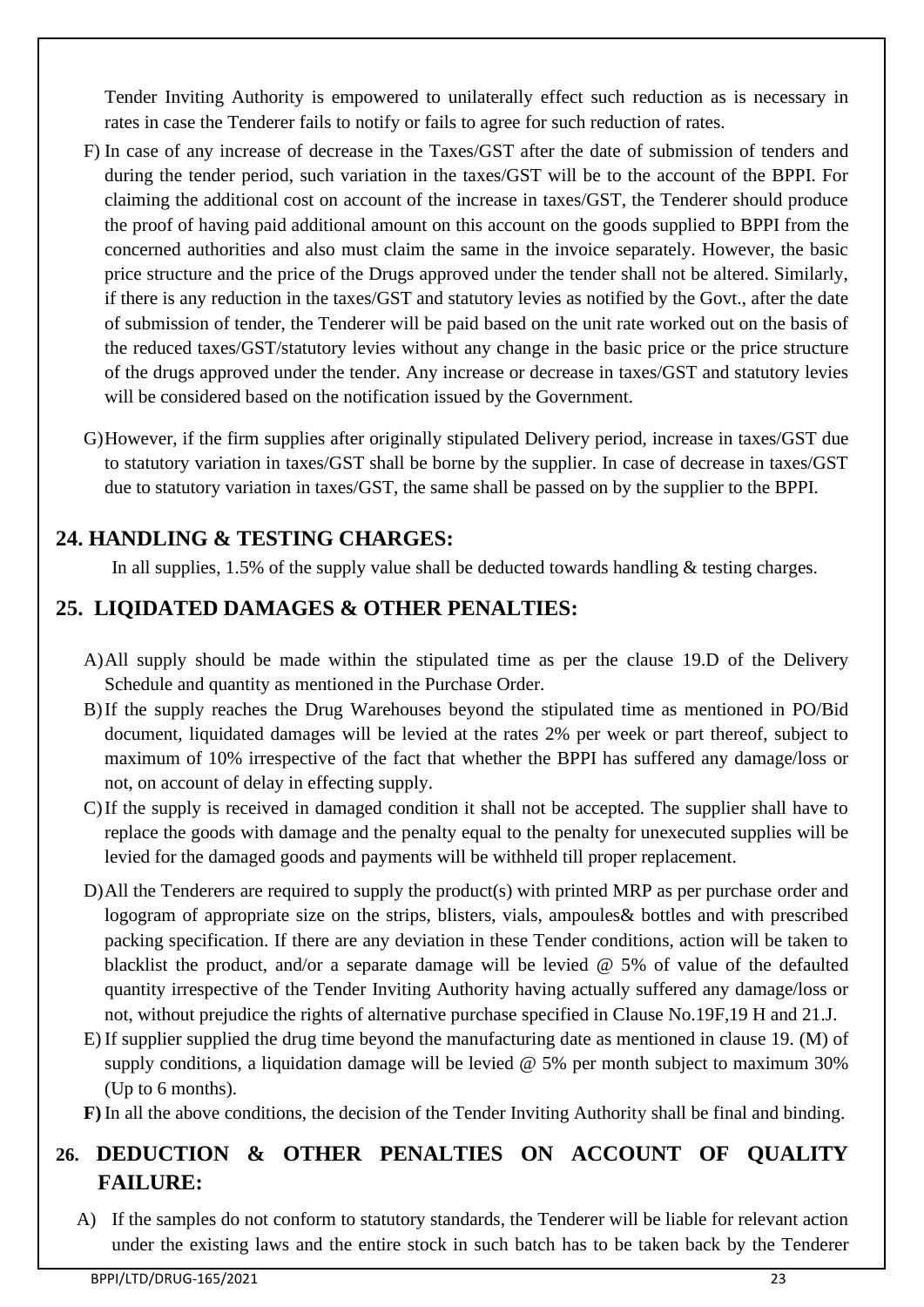Tender Inviting Authority is empowered to unilaterally effect such reduction as is necessary in rates in case the Tenderer fails to notify or fails to agree for such reduction of rates.

- F) In case of any increase of decrease in the Taxes/GST after the date of submission of tenders and during the tender period, such variation in the taxes/GST will be to the account of the BPPI. For claiming the additional cost on account of the increase in taxes/GST, the Tenderer should produce the proof of having paid additional amount on this account on the goods supplied to BPPI from the concerned authorities and also must claim the same in the invoice separately. However, the basic price structure and the price of the Drugs approved under the tender shall not be altered. Similarly, if there is any reduction in the taxes/GST and statutory levies as notified by the Govt., after the date of submission of tender, the Tenderer will be paid based on the unit rate worked out on the basis of the reduced taxes/GST/statutory levies without any change in the basic price or the price structure of the drugs approved under the tender. Any increase or decrease in taxes/GST and statutory levies will be considered based on the notification issued by the Government.
- G)However, if the firm supplies after originally stipulated Delivery period, increase in taxes/GST due to statutory variation in taxes/GST shall be borne by the supplier. In case of decrease in taxes/GST due to statutory variation in taxes/GST, the same shall be passed on by the supplier to the BPPI.

# **24. HANDLING & TESTING CHARGES:**

In all supplies, 1.5% of the supply value shall be deducted towards handling  $\&$  testing charges.

## **25. LIQIDATED DAMAGES & OTHER PENALTIES:**

- A)All supply should be made within the stipulated time as per the clause 19.D of the Delivery Schedule and quantity as mentioned in the Purchase Order.
- B)If the supply reaches the Drug Warehouses beyond the stipulated time as mentioned in PO/Bid document, liquidated damages will be levied at the rates 2% per week or part thereof, subject to maximum of 10% irrespective of the fact that whether the BPPI has suffered any damage/loss or not, on account of delay in effecting supply.
- C)If the supply is received in damaged condition it shall not be accepted. The supplier shall have to replace the goods with damage and the penalty equal to the penalty for unexecuted supplies will be levied for the damaged goods and payments will be withheld till proper replacement.
- D)All the Tenderers are required to supply the product(s) with printed MRP as per purchase order and logogram of appropriate size on the strips, blisters, vials, ampoules& bottles and with prescribed packing specification. If there are any deviation in these Tender conditions, action will be taken to blacklist the product, and/or a separate damage will be levied  $\omega$  5% of value of the defaulted quantity irrespective of the Tender Inviting Authority having actually suffered any damage/loss or not, without prejudice the rights of alternative purchase specified in Clause No.19F,19 H and 21.J.
- E) If supplier supplied the drug time beyond the manufacturing date as mentioned in clause 19. (M) of supply conditions, a liquidation damage will be levied  $\omega$  5% per month subject to maximum 30% (Up to 6 months).
- **F)** In all the above conditions, the decision of the Tender Inviting Authority shall be final and binding.

# **26. DEDUCTION & OTHER PENALTIES ON ACCOUNT OF QUALITY FAILURE:**

A) If the samples do not conform to statutory standards, the Tenderer will be liable for relevant action under the existing laws and the entire stock in such batch has to be taken back by the Tenderer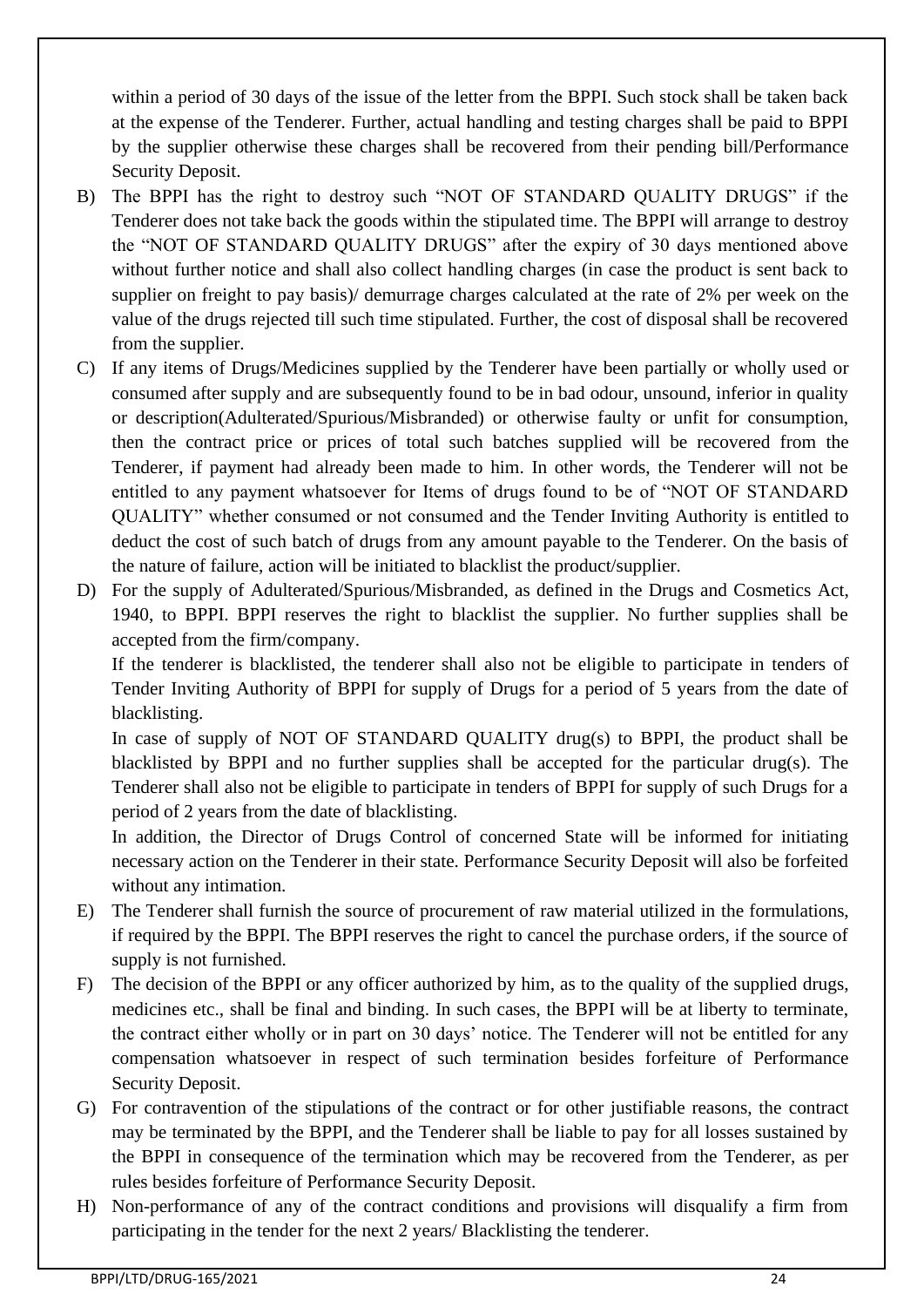within a period of 30 days of the issue of the letter from the BPPI. Such stock shall be taken back at the expense of the Tenderer. Further, actual handling and testing charges shall be paid to BPPI by the supplier otherwise these charges shall be recovered from their pending bill/Performance Security Deposit.

- B) The BPPI has the right to destroy such "NOT OF STANDARD QUALITY DRUGS" if the Tenderer does not take back the goods within the stipulated time. The BPPI will arrange to destroy the "NOT OF STANDARD QUALITY DRUGS" after the expiry of 30 days mentioned above without further notice and shall also collect handling charges (in case the product is sent back to supplier on freight to pay basis)/ demurrage charges calculated at the rate of 2% per week on the value of the drugs rejected till such time stipulated. Further, the cost of disposal shall be recovered from the supplier.
- C) If any items of Drugs/Medicines supplied by the Tenderer have been partially or wholly used or consumed after supply and are subsequently found to be in bad odour, unsound, inferior in quality or description(Adulterated/Spurious/Misbranded) or otherwise faulty or unfit for consumption, then the contract price or prices of total such batches supplied will be recovered from the Tenderer, if payment had already been made to him. In other words, the Tenderer will not be entitled to any payment whatsoever for Items of drugs found to be of "NOT OF STANDARD QUALITY" whether consumed or not consumed and the Tender Inviting Authority is entitled to deduct the cost of such batch of drugs from any amount payable to the Tenderer. On the basis of the nature of failure, action will be initiated to blacklist the product/supplier.
- D) For the supply of Adulterated/Spurious/Misbranded, as defined in the Drugs and Cosmetics Act, 1940, to BPPI. BPPI reserves the right to blacklist the supplier. No further supplies shall be accepted from the firm/company.

If the tenderer is blacklisted, the tenderer shall also not be eligible to participate in tenders of Tender Inviting Authority of BPPI for supply of Drugs for a period of 5 years from the date of blacklisting.

In case of supply of NOT OF STANDARD QUALITY drug(s) to BPPI, the product shall be blacklisted by BPPI and no further supplies shall be accepted for the particular drug(s). The Tenderer shall also not be eligible to participate in tenders of BPPI for supply of such Drugs for a period of 2 years from the date of blacklisting.

In addition, the Director of Drugs Control of concerned State will be informed for initiating necessary action on the Tenderer in their state. Performance Security Deposit will also be forfeited without any intimation.

- E) The Tenderer shall furnish the source of procurement of raw material utilized in the formulations, if required by the BPPI. The BPPI reserves the right to cancel the purchase orders, if the source of supply is not furnished.
- F) The decision of the BPPI or any officer authorized by him, as to the quality of the supplied drugs, medicines etc., shall be final and binding. In such cases, the BPPI will be at liberty to terminate, the contract either wholly or in part on 30 days' notice. The Tenderer will not be entitled for any compensation whatsoever in respect of such termination besides forfeiture of Performance Security Deposit.
- G) For contravention of the stipulations of the contract or for other justifiable reasons, the contract may be terminated by the BPPI, and the Tenderer shall be liable to pay for all losses sustained by the BPPI in consequence of the termination which may be recovered from the Tenderer, as per rules besides forfeiture of Performance Security Deposit.
- H) Non-performance of any of the contract conditions and provisions will disqualify a firm from participating in the tender for the next 2 years/ Blacklisting the tenderer.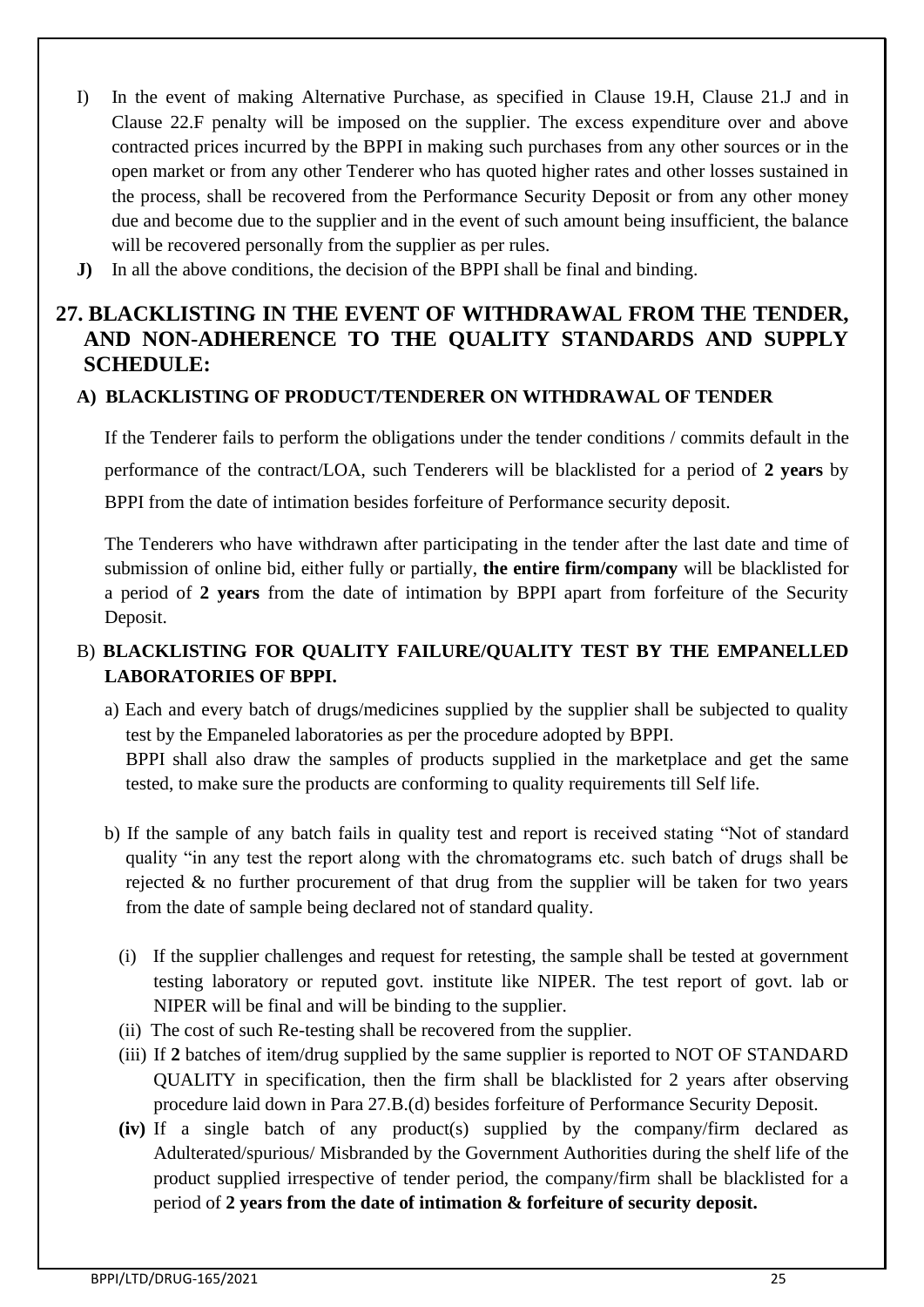- I) In the event of making Alternative Purchase, as specified in Clause 19.H, Clause 21.J and in Clause 22.F penalty will be imposed on the supplier. The excess expenditure over and above contracted prices incurred by the BPPI in making such purchases from any other sources or in the open market or from any other Tenderer who has quoted higher rates and other losses sustained in the process, shall be recovered from the Performance Security Deposit or from any other money due and become due to the supplier and in the event of such amount being insufficient, the balance will be recovered personally from the supplier as per rules.
- **J)** In all the above conditions, the decision of the BPPI shall be final and binding.

## **27. BLACKLISTING IN THE EVENT OF WITHDRAWAL FROM THE TENDER, AND NON-ADHERENCE TO THE QUALITY STANDARDS AND SUPPLY SCHEDULE:**

### **A) BLACKLISTING OF PRODUCT/TENDERER ON WITHDRAWAL OF TENDER**

If the Tenderer fails to perform the obligations under the tender conditions / commits default in the performance of the contract/LOA, such Tenderers will be blacklisted for a period of **2 years** by BPPI from the date of intimation besides forfeiture of Performance security deposit.

The Tenderers who have withdrawn after participating in the tender after the last date and time of submission of online bid, either fully or partially, **the entire firm/company** will be blacklisted for a period of **2 years** from the date of intimation by BPPI apart from forfeiture of the Security Deposit.

## B) **BLACKLISTING FOR QUALITY FAILURE/QUALITY TEST BY THE EMPANELLED LABORATORIES OF BPPI.**

- a) Each and every batch of drugs/medicines supplied by the supplier shall be subjected to quality test by the Empaneled laboratories as per the procedure adopted by BPPI. BPPI shall also draw the samples of products supplied in the marketplace and get the same tested, to make sure the products are conforming to quality requirements till Self life.
- b) If the sample of any batch fails in quality test and report is received stating "Not of standard quality "in any test the report along with the chromatograms etc. such batch of drugs shall be rejected & no further procurement of that drug from the supplier will be taken for two years from the date of sample being declared not of standard quality.
	- (i) If the supplier challenges and request for retesting, the sample shall be tested at government testing laboratory or reputed govt. institute like NIPER. The test report of govt. lab or NIPER will be final and will be binding to the supplier.
	- (ii) The cost of such Re-testing shall be recovered from the supplier.
	- (iii) If **2** batches of item/drug supplied by the same supplier is reported to NOT OF STANDARD QUALITY in specification, then the firm shall be blacklisted for 2 years after observing procedure laid down in Para 27.B.(d) besides forfeiture of Performance Security Deposit.
	- **(iv)** If a single batch of any product(s) supplied by the company/firm declared as Adulterated/spurious/ Misbranded by the Government Authorities during the shelf life of the product supplied irrespective of tender period, the company/firm shall be blacklisted for a period of **2 years from the date of intimation & forfeiture of security deposit.**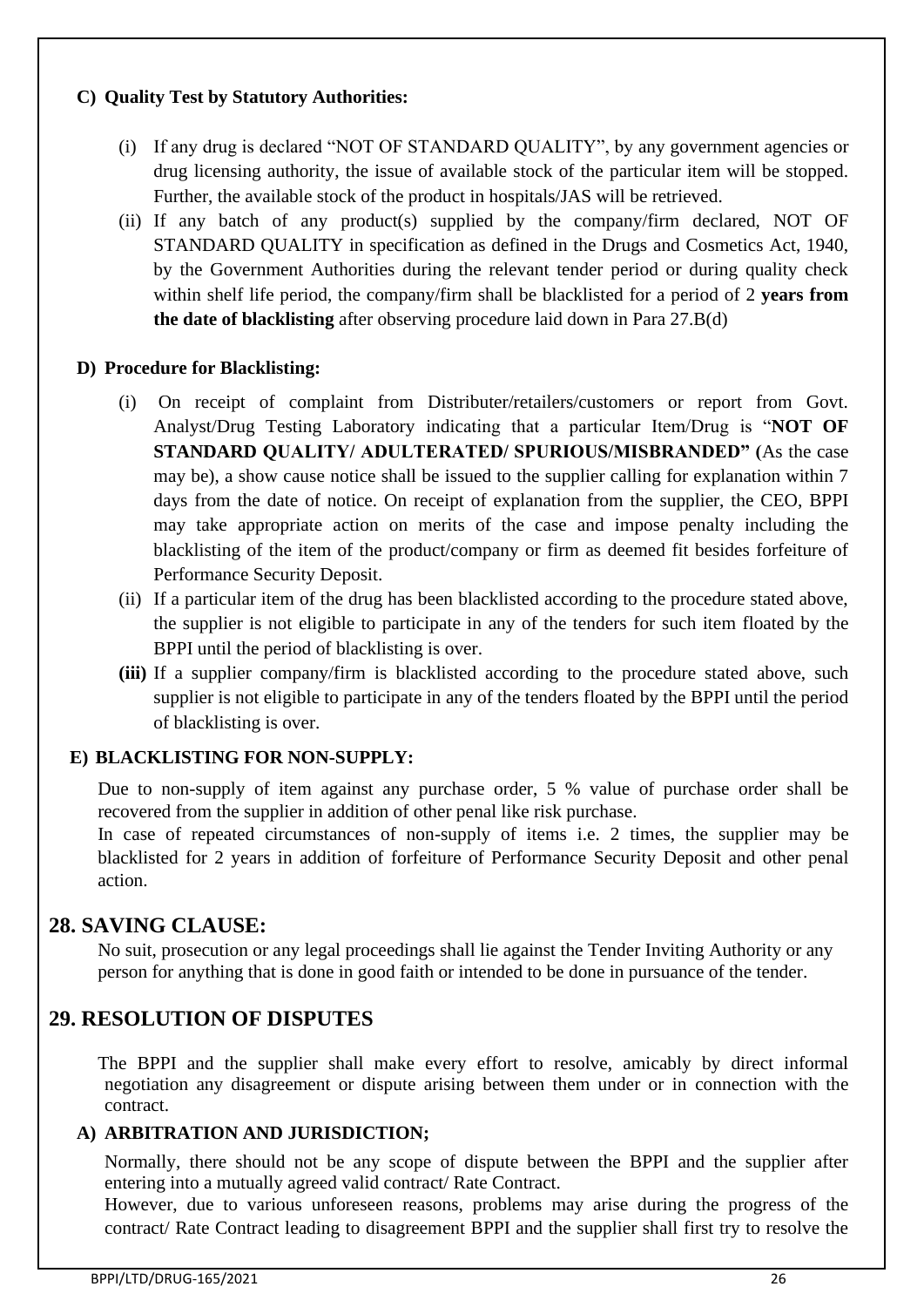### **C) Quality Test by Statutory Authorities:**

- (i) If any drug is declared "NOT OF STANDARD QUALITY", by any government agencies or drug licensing authority, the issue of available stock of the particular item will be stopped. Further, the available stock of the product in hospitals/JAS will be retrieved.
- (ii) If any batch of any product(s) supplied by the company/firm declared, NOT OF STANDARD QUALITY in specification as defined in the Drugs and Cosmetics Act, 1940, by the Government Authorities during the relevant tender period or during quality check within shelf life period, the company/firm shall be blacklisted for a period of 2 **years from the date of blacklisting** after observing procedure laid down in Para 27.B(d)

### **D) Procedure for Blacklisting:**

- (i) On receipt of complaint from Distributer/retailers/customers or report from Govt. Analyst/Drug Testing Laboratory indicating that a particular Item/Drug is "**NOT OF STANDARD QUALITY/ ADULTERATED/ SPURIOUS/MISBRANDED" (**As the case may be), a show cause notice shall be issued to the supplier calling for explanation within 7 days from the date of notice. On receipt of explanation from the supplier, the CEO, BPPI may take appropriate action on merits of the case and impose penalty including the blacklisting of the item of the product/company or firm as deemed fit besides forfeiture of Performance Security Deposit.
- (ii) If a particular item of the drug has been blacklisted according to the procedure stated above, the supplier is not eligible to participate in any of the tenders for such item floated by the BPPI until the period of blacklisting is over.
- **(iii)** If a supplier company/firm is blacklisted according to the procedure stated above, such supplier is not eligible to participate in any of the tenders floated by the BPPI until the period of blacklisting is over.

### **E) BLACKLISTING FOR NON-SUPPLY:**

Due to non-supply of item against any purchase order, 5 % value of purchase order shall be recovered from the supplier in addition of other penal like risk purchase.

In case of repeated circumstances of non-supply of items i.e. 2 times, the supplier may be blacklisted for 2 years in addition of forfeiture of Performance Security Deposit and other penal action.

## **28. SAVING CLAUSE:**

No suit, prosecution or any legal proceedings shall lie against the Tender Inviting Authority or any person for anything that is done in good faith or intended to be done in pursuance of the tender.

## **29. RESOLUTION OF DISPUTES**

The BPPI and the supplier shall make every effort to resolve, amicably by direct informal negotiation any disagreement or dispute arising between them under or in connection with the contract.

### **A) ARBITRATION AND JURISDICTION;**

Normally, there should not be any scope of dispute between the BPPI and the supplier after entering into a mutually agreed valid contract/ Rate Contract.

However, due to various unforeseen reasons, problems may arise during the progress of the contract/ Rate Contract leading to disagreement BPPI and the supplier shall first try to resolve the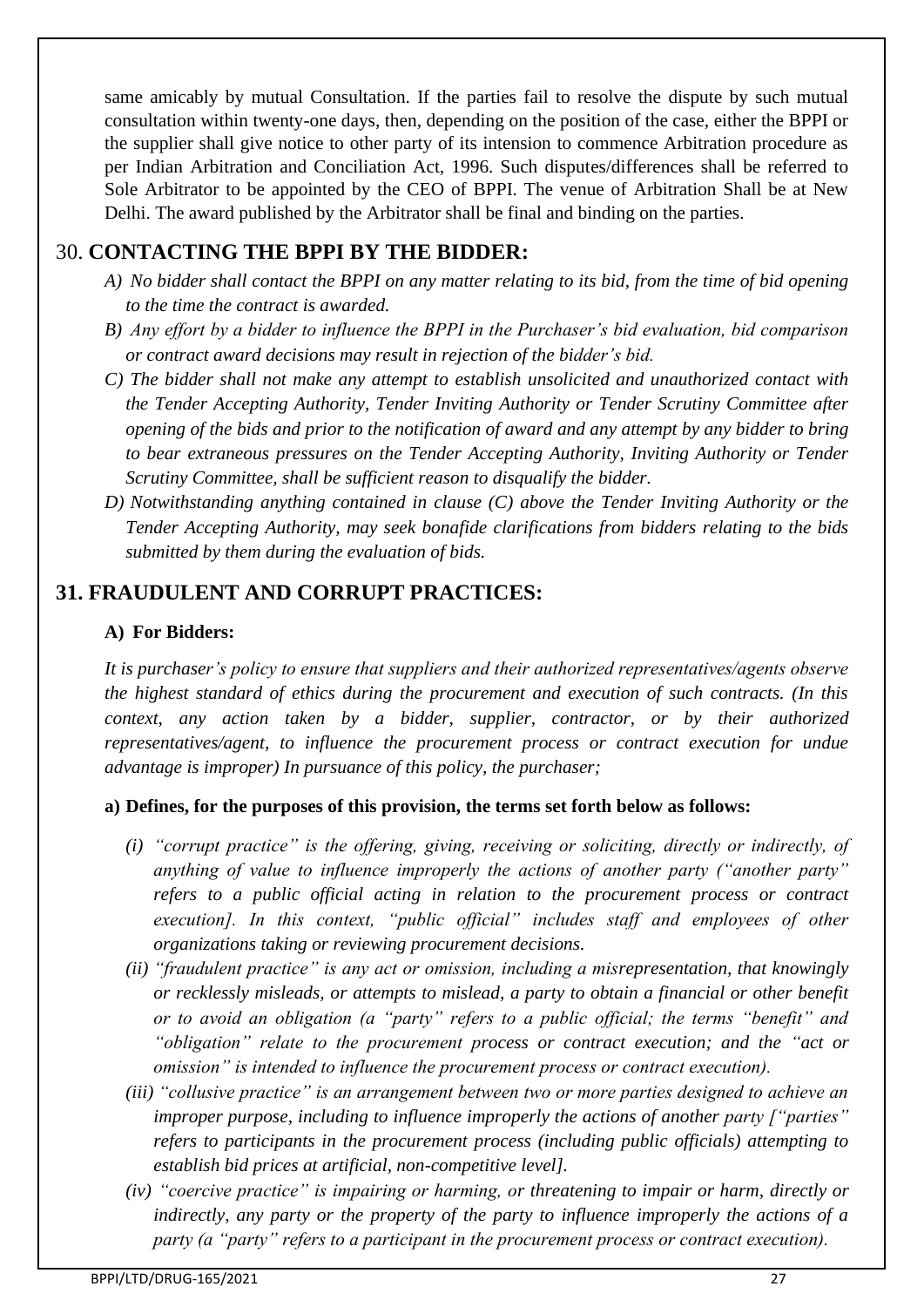same amicably by mutual Consultation. If the parties fail to resolve the dispute by such mutual consultation within twenty-one days, then, depending on the position of the case, either the BPPI or the supplier shall give notice to other party of its intension to commence Arbitration procedure as per Indian Arbitration and Conciliation Act, 1996. Such disputes/differences shall be referred to Sole Arbitrator to be appointed by the CEO of BPPI. The venue of Arbitration Shall be at New Delhi. The award published by the Arbitrator shall be final and binding on the parties.

## 30. **CONTACTING THE BPPI BY THE BIDDER:**

- *A) No bidder shall contact the BPPI on any matter relating to its bid, from the time of bid opening to the time the contract is awarded.*
- *B) Any effort by a bidder to influence the BPPI in the Purchaser's bid evaluation, bid comparison or contract award decisions may result in rejection of the bidder's bid.*
- *C) The bidder shall not make any attempt to establish unsolicited and unauthorized contact with the Tender Accepting Authority, Tender Inviting Authority or Tender Scrutiny Committee after opening of the bids and prior to the notification of award and any attempt by any bidder to bring to bear extraneous pressures on the Tender Accepting Authority, Inviting Authority or Tender Scrutiny Committee, shall be sufficient reason to disqualify the bidder.*
- *D) Notwithstanding anything contained in clause (C) above the Tender Inviting Authority or the Tender Accepting Authority, may seek bonafide clarifications from bidders relating to the bids submitted by them during the evaluation of bids.*

## **31. FRAUDULENT AND CORRUPT PRACTICES:**

### **A) For Bidders:**

*It is purchaser's policy to ensure that suppliers and their authorized representatives/agents observe the highest standard of ethics during the procurement and execution of such contracts. (In this context, any action taken by a bidder, supplier, contractor, or by their authorized representatives/agent, to influence the procurement process or contract execution for undue advantage is improper) In pursuance of this policy, the purchaser;*

### **a) Defines, for the purposes of this provision, the terms set forth below as follows:**

- *(i) "corrupt practice" is the offering, giving, receiving or soliciting, directly or indirectly, of anything of value to influence improperly the actions of another party ("another party" refers to a public official acting in relation to the procurement process or contract execution]. In this context, "public official" includes staff and employees of other organizations taking or reviewing procurement decisions.*
- *(ii) "fraudulent practice" is any act or omission, including a misrepresentation, that knowingly or recklessly misleads, or attempts to mislead, a party to obtain a financial or other benefit or to avoid an obligation (a "party" refers to a public official; the terms "benefit" and "obligation" relate to the procurement process or contract execution; and the "act or omission" is intended to influence the procurement process or contract execution).*
- *(iii) "collusive practice" is an arrangement between two or more parties designed to achieve an improper purpose, including to influence improperly the actions of another party ["parties" refers to participants in the procurement process (including public officials) attempting to establish bid prices at artificial, non-competitive level].*
- *(iv) "coercive practice" is impairing or harming, or threatening to impair or harm, directly or indirectly, any party or the property of the party to influence improperly the actions of a party (a "party" refers to a participant in the procurement process or contract execution).*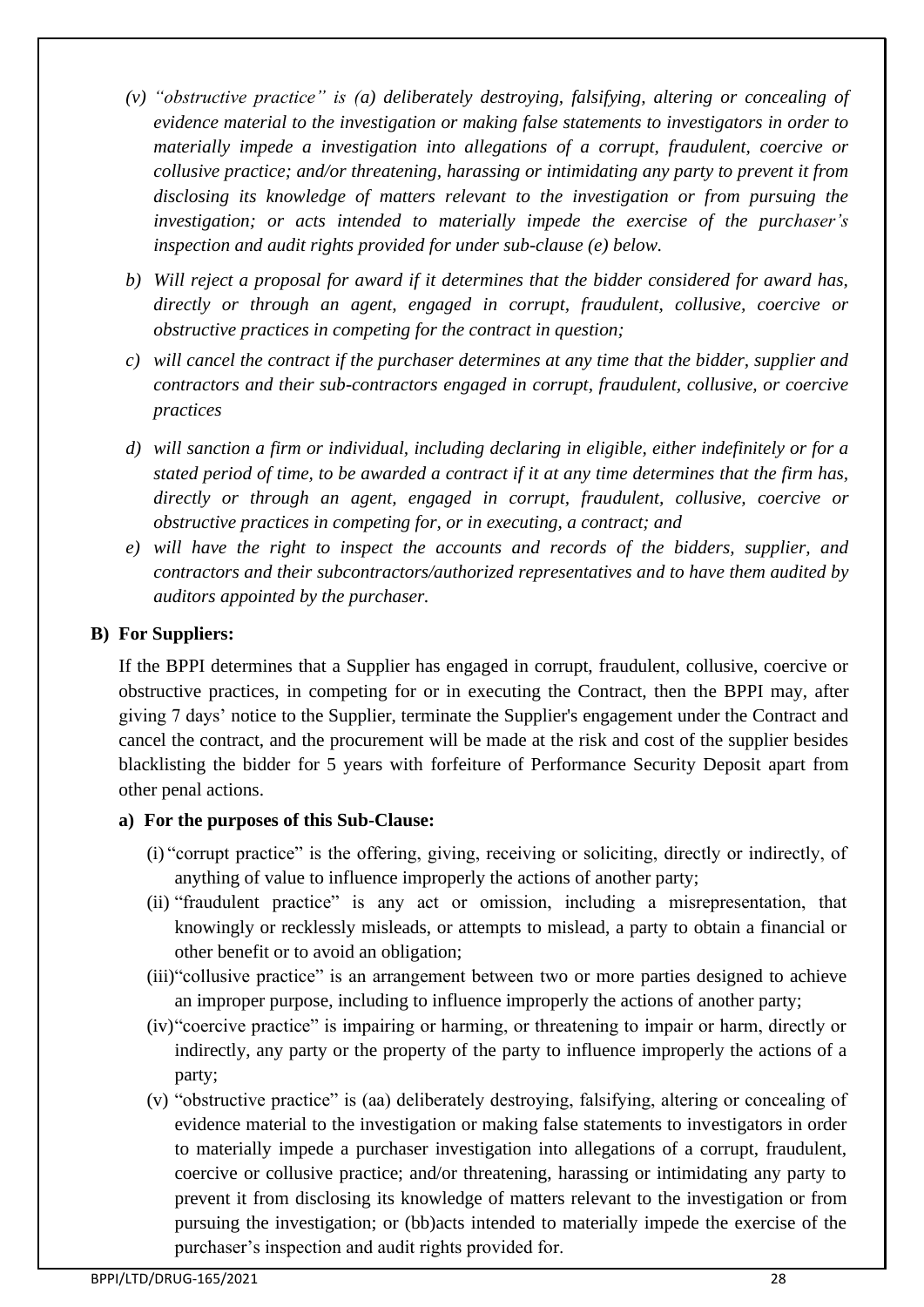- *(v) "obstructive practice" is (a) deliberately destroying, falsifying, altering or concealing of evidence material to the investigation or making false statements to investigators in order to materially impede a investigation into allegations of a corrupt, fraudulent, coercive or collusive practice; and/or threatening, harassing or intimidating any party to prevent it from disclosing its knowledge of matters relevant to the investigation or from pursuing the investigation; or acts intended to materially impede the exercise of the purchaser's inspection and audit rights provided for under sub-clause (e) below.*
- *b) Will reject a proposal for award if it determines that the bidder considered for award has, directly or through an agent, engaged in corrupt, fraudulent, collusive, coercive or obstructive practices in competing for the contract in question;*
- *c) will cancel the contract if the purchaser determines at any time that the bidder, supplier and contractors and their sub-contractors engaged in corrupt, fraudulent, collusive, or coercive practices*
- *d) will sanction a firm or individual, including declaring in eligible, either indefinitely or for a stated period of time, to be awarded a contract if it at any time determines that the firm has, directly or through an agent, engaged in corrupt, fraudulent, collusive, coercive or obstructive practices in competing for, or in executing, a contract; and*
- *e) will have the right to inspect the accounts and records of the bidders, supplier, and contractors and their subcontractors/authorized representatives and to have them audited by auditors appointed by the purchaser.*

### **B) For Suppliers:**

If the BPPI determines that a Supplier has engaged in corrupt, fraudulent, collusive, coercive or obstructive practices, in competing for or in executing the Contract, then the BPPI may, after giving 7 days' notice to the Supplier, terminate the Supplier's engagement under the Contract and cancel the contract, and the procurement will be made at the risk and cost of the supplier besides blacklisting the bidder for 5 years with forfeiture of Performance Security Deposit apart from other penal actions.

### **a) For the purposes of this Sub-Clause:**

- (i) "corrupt practice" is the offering, giving, receiving or soliciting, directly or indirectly, of anything of value to influence improperly the actions of another party;
- (ii) "fraudulent practice" is any act or omission, including a misrepresentation, that knowingly or recklessly misleads, or attempts to mislead, a party to obtain a financial or other benefit or to avoid an obligation;
- (iii)"collusive practice" is an arrangement between two or more parties designed to achieve an improper purpose, including to influence improperly the actions of another party;
- (iv)"coercive practice" is impairing or harming, or threatening to impair or harm, directly or indirectly, any party or the property of the party to influence improperly the actions of a party;
- (v) "obstructive practice" is (aa) deliberately destroying, falsifying, altering or concealing of evidence material to the investigation or making false statements to investigators in order to materially impede a purchaser investigation into allegations of a corrupt, fraudulent, coercive or collusive practice; and/or threatening, harassing or intimidating any party to prevent it from disclosing its knowledge of matters relevant to the investigation or from pursuing the investigation; or (bb)acts intended to materially impede the exercise of the purchaser's inspection and audit rights provided for.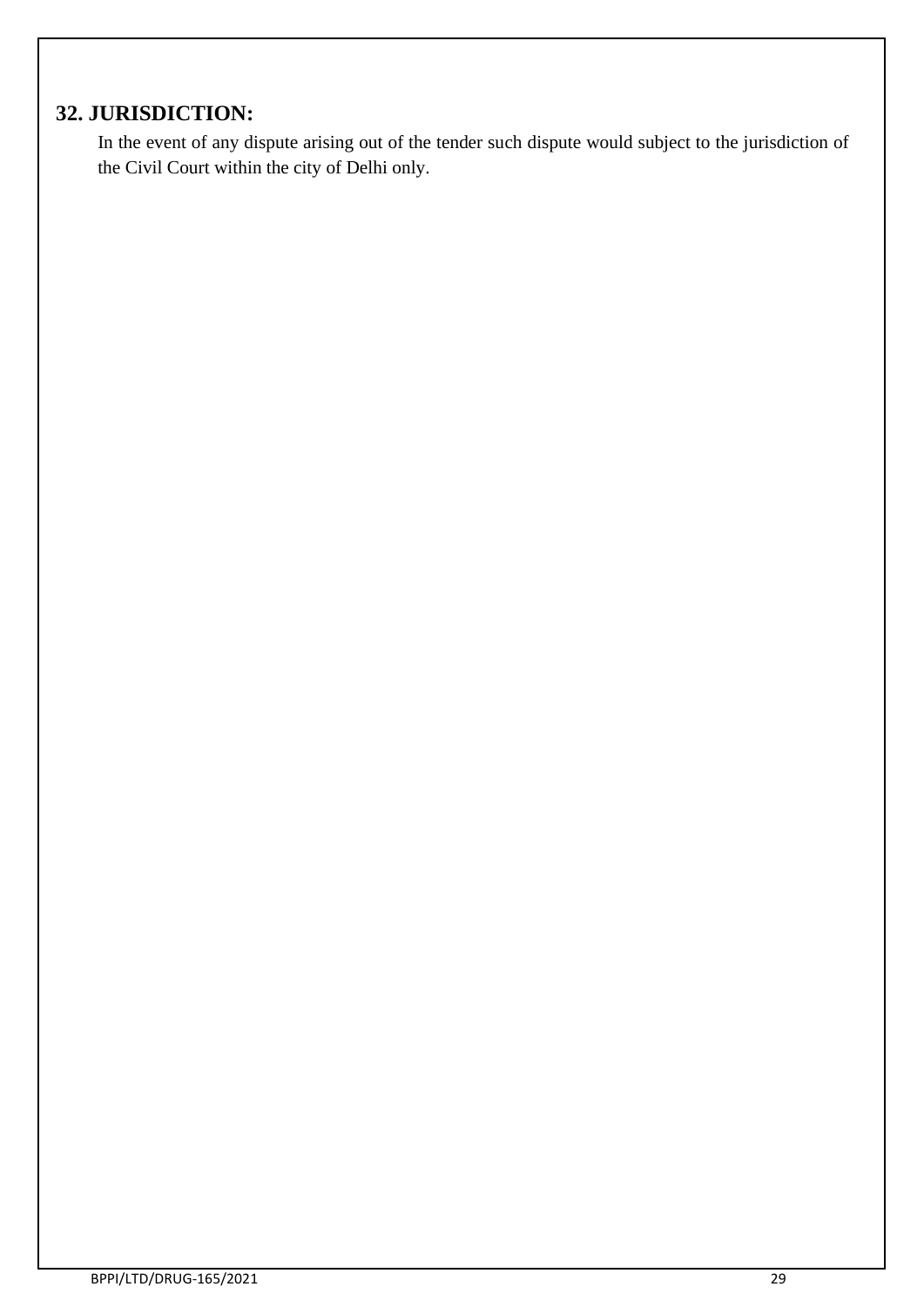# **32. JURISDICTION:**

In the event of any dispute arising out of the tender such dispute would subject to the jurisdiction of the Civil Court within the city of Delhi only.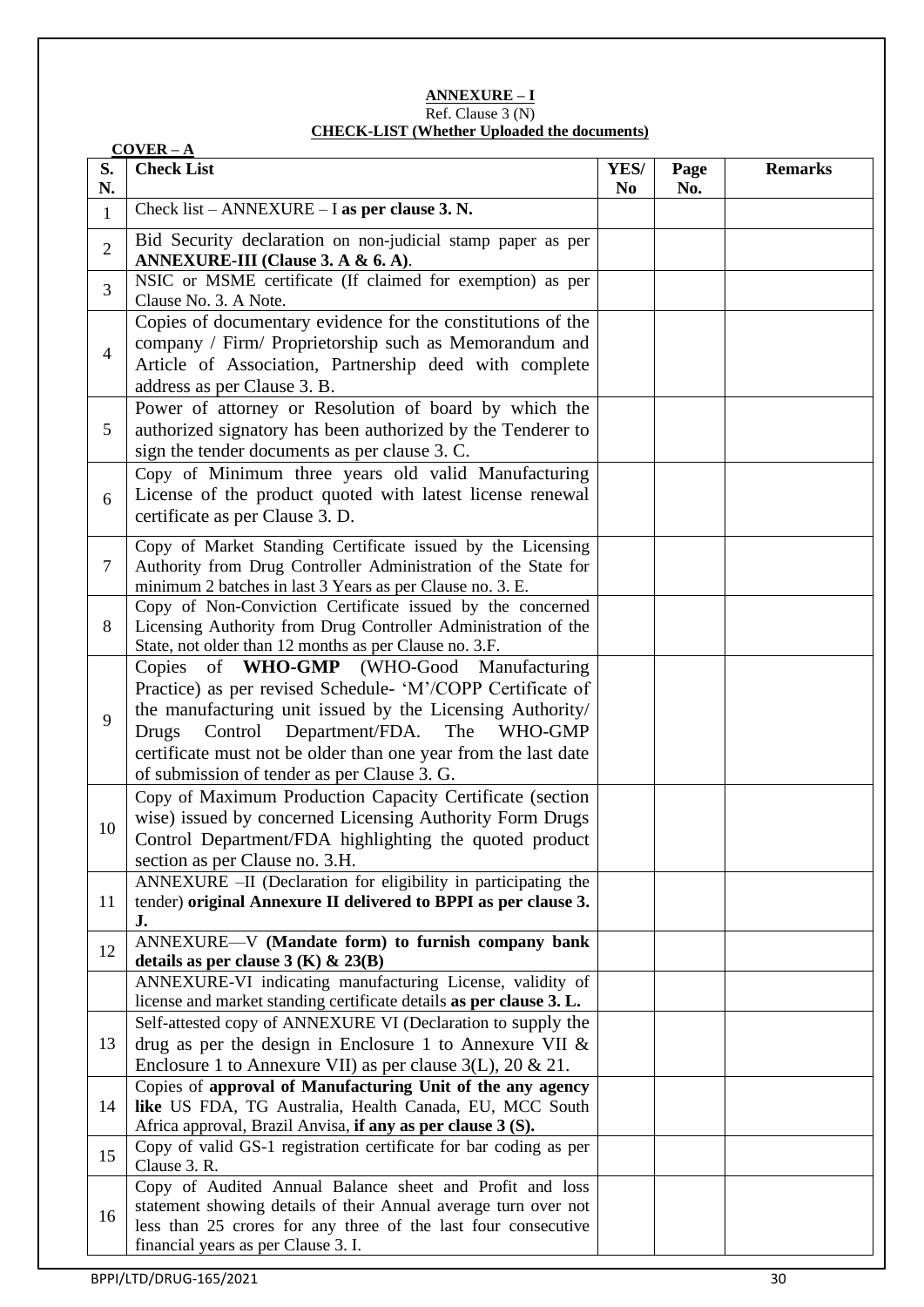#### **ANNEXURE – I** Ref. Clause 3 (N) **CHECK-LIST (Whether Uploaded the documents)**

|                | $COVER - A$                                                                                                                                                                                                                                                                                                                                           |                        |             |                |
|----------------|-------------------------------------------------------------------------------------------------------------------------------------------------------------------------------------------------------------------------------------------------------------------------------------------------------------------------------------------------------|------------------------|-------------|----------------|
| S.<br>N.       | <b>Check List</b>                                                                                                                                                                                                                                                                                                                                     | YES/<br>N <sub>0</sub> | Page<br>No. | <b>Remarks</b> |
| $\mathbf{1}$   | Check list – ANNEXURE – I as per clause 3. N.                                                                                                                                                                                                                                                                                                         |                        |             |                |
| $\overline{2}$ | Bid Security declaration on non-judicial stamp paper as per<br>ANNEXURE-III (Clause 3. A & 6. A).                                                                                                                                                                                                                                                     |                        |             |                |
| 3              | NSIC or MSME certificate (If claimed for exemption) as per<br>Clause No. 3. A Note.                                                                                                                                                                                                                                                                   |                        |             |                |
| $\overline{4}$ | Copies of documentary evidence for the constitutions of the<br>company / Firm/ Proprietorship such as Memorandum and<br>Article of Association, Partnership deed with complete<br>address as per Clause 3. B.                                                                                                                                         |                        |             |                |
| 5              | Power of attorney or Resolution of board by which the<br>authorized signatory has been authorized by the Tenderer to<br>sign the tender documents as per clause 3. C.                                                                                                                                                                                 |                        |             |                |
| 6              | Copy of Minimum three years old valid Manufacturing<br>License of the product quoted with latest license renewal<br>certificate as per Clause 3. D.                                                                                                                                                                                                   |                        |             |                |
| $\tau$         | Copy of Market Standing Certificate issued by the Licensing<br>Authority from Drug Controller Administration of the State for<br>minimum 2 batches in last 3 Years as per Clause no. 3. E.                                                                                                                                                            |                        |             |                |
| 8              | Copy of Non-Conviction Certificate issued by the concerned<br>Licensing Authority from Drug Controller Administration of the<br>State, not older than 12 months as per Clause no. 3.F.                                                                                                                                                                |                        |             |                |
| 9              | Copies of WHO-GMP (WHO-Good Manufacturing<br>Practice) as per revised Schedule- 'M'/COPP Certificate of<br>the manufacturing unit issued by the Licensing Authority/<br>Control<br>Department/FDA.<br>The<br>WHO-GMP<br><b>Drugs</b><br>certificate must not be older than one year from the last date<br>of submission of tender as per Clause 3. G. |                        |             |                |
| 10             | Copy of Maximum Production Capacity Certificate (section<br>wise) issued by concerned Licensing Authority Form Drugs<br>Control Department/FDA highlighting the quoted product<br>section as per Clause no. 3.H.                                                                                                                                      |                        |             |                |
| 11             | ANNEXURE -II (Declaration for eligibility in participating the<br>tender) original Annexure II delivered to BPPI as per clause 3.<br>J.                                                                                                                                                                                                               |                        |             |                |
| 12             | ANNEXURE-V (Mandate form) to furnish company bank<br>details as per clause $3(K)$ & $23(B)$                                                                                                                                                                                                                                                           |                        |             |                |
|                | ANNEXURE-VI indicating manufacturing License, validity of<br>license and market standing certificate details as per clause 3. L.                                                                                                                                                                                                                      |                        |             |                |
| 13             | Self-attested copy of ANNEXURE VI (Declaration to supply the<br>drug as per the design in Enclosure 1 to Annexure VII $\&$<br>Enclosure 1 to Annexure VII) as per clause $3(L)$ , $20 & 21$ .                                                                                                                                                         |                        |             |                |
| 14             | Copies of approval of Manufacturing Unit of the any agency<br>like US FDA, TG Australia, Health Canada, EU, MCC South<br>Africa approval, Brazil Anvisa, if any as per clause 3 (S).                                                                                                                                                                  |                        |             |                |
| 15             | Copy of valid GS-1 registration certificate for bar coding as per<br>Clause 3. R.                                                                                                                                                                                                                                                                     |                        |             |                |
| 16             | Copy of Audited Annual Balance sheet and Profit and loss<br>statement showing details of their Annual average turn over not<br>less than 25 crores for any three of the last four consecutive<br>financial years as per Clause 3. I.                                                                                                                  |                        |             |                |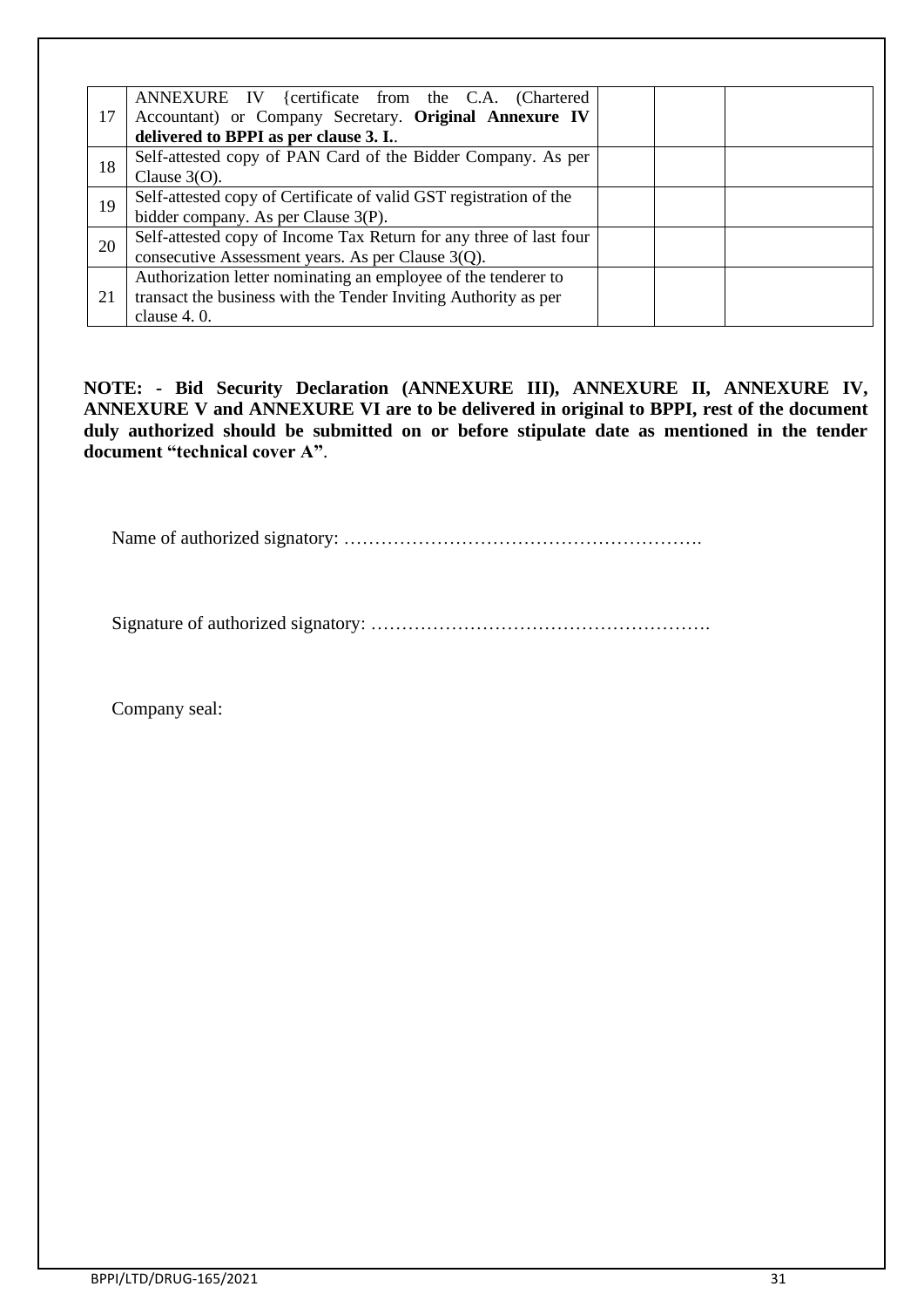|    | ANNEXURE IV {certificate from the C.A. (Chartered                  |  |
|----|--------------------------------------------------------------------|--|
| 17 | Accountant) or Company Secretary. Original Annexure IV             |  |
|    | delivered to BPPI as per clause 3. I.                              |  |
| 18 | Self-attested copy of PAN Card of the Bidder Company. As per       |  |
|    | Clause $3(0)$ .                                                    |  |
| 19 | Self-attested copy of Certificate of valid GST registration of the |  |
|    | bidder company. As per Clause 3(P).                                |  |
| 20 | Self-attested copy of Income Tax Return for any three of last four |  |
|    | consecutive Assessment years. As per Clause 3(Q).                  |  |
|    | Authorization letter nominating an employee of the tenderer to     |  |
| 21 | transact the business with the Tender Inviting Authority as per    |  |
|    | clause $4.0$ .                                                     |  |

**NOTE: - Bid Security Declaration (ANNEXURE III), ANNEXURE II, ANNEXURE IV, ANNEXURE V and ANNEXURE VI are to be delivered in original to BPPI, rest of the document duly authorized should be submitted on or before stipulate date as mentioned in the tender document "technical cover A"**.

Name of authorized signatory: ………………………………………………….

Signature of authorized signatory: ……………………………………………….

Company seal: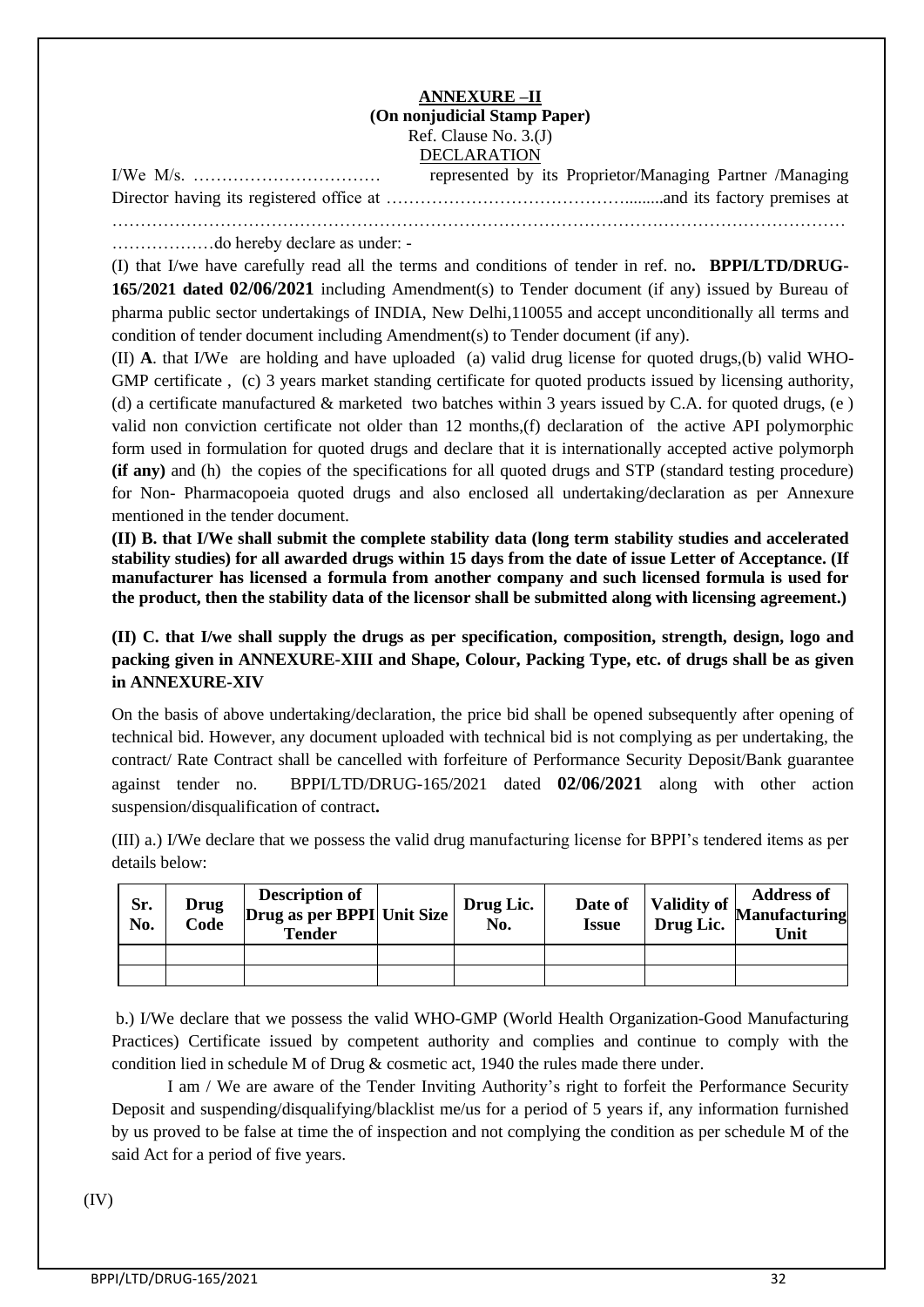#### **ANNEXURE –II (On nonjudicial Stamp Paper)** Ref. Clause No. 3.(J) DECLARATION

|  | represented by its Proprietor/Managing Partner /Managing |  |
|--|----------------------------------------------------------|--|
|  |                                                          |  |
|  |                                                          |  |

………………do hereby declare as under: -

(I) that I/we have carefully read all the terms and conditions of tender in ref. no**. BPPI/LTD/DRUG-165/2021 dated 02/06/2021** including Amendment(s) to Tender document (if any) issued by Bureau of pharma public sector undertakings of INDIA, New Delhi,110055 and accept unconditionally all terms and condition of tender document including Amendment(s) to Tender document (if any).

(II) **A**. that I/We are holding and have uploaded (a) valid drug license for quoted drugs,(b) valid WHO-GMP certificate , (c) 3 years market standing certificate for quoted products issued by licensing authority, (d) a certificate manufactured  $\&$  marketed two batches within 3 years issued by C.A. for quoted drugs, (e) valid non conviction certificate not older than 12 months,(f) declaration of the active API polymorphic form used in formulation for quoted drugs and declare that it is internationally accepted active polymorph **(if any)** and (h) the copies of the specifications for all quoted drugs and STP (standard testing procedure) for Non- Pharmacopoeia quoted drugs and also enclosed all undertaking/declaration as per Annexure mentioned in the tender document.

**(II) B. that I/We shall submit the complete stability data (long term stability studies and accelerated stability studies) for all awarded drugs within 15 days from the date of issue Letter of Acceptance. (If manufacturer has licensed a formula from another company and such licensed formula is used for the product, then the stability data of the licensor shall be submitted along with licensing agreement.)**

**(II) C. that I/we shall supply the drugs as per specification, composition, strength, design, logo and packing given in ANNEXURE-XIII and Shape, Colour, Packing Type, etc. of drugs shall be as given in ANNEXURE-XIV**

On the basis of above undertaking/declaration, the price bid shall be opened subsequently after opening of technical bid. However, any document uploaded with technical bid is not complying as per undertaking, the contract/ Rate Contract shall be cancelled with forfeiture of Performance Security Deposit/Bank guarantee against tender no. BPPI/LTD/DRUG-165/2021 dated **02/06/2021** along with other action suspension/disqualification of contract**.**

(III) a.) I/We declare that we possess the valid drug manufacturing license for BPPI's tendered items as per details below:

| Sr.<br>No. | <b>Drug</b><br>Code | <b>Description of</b><br>Drug as per BPPI Unit Size<br><b>Tender</b> | Drug Lic.<br>No. | Date of<br><b>Issue</b> | Drug Lic. | <b>Address of</b><br>$\sim$   Validity of Manufacturing<br>Unit |
|------------|---------------------|----------------------------------------------------------------------|------------------|-------------------------|-----------|-----------------------------------------------------------------|
|            |                     |                                                                      |                  |                         |           |                                                                 |
|            |                     |                                                                      |                  |                         |           |                                                                 |

b.) I/We declare that we possess the valid WHO-GMP (World Health Organization-Good Manufacturing Practices) Certificate issued by competent authority and complies and continue to comply with the condition lied in schedule M of Drug & cosmetic act, 1940 the rules made there under.

I am / We are aware of the Tender Inviting Authority's right to forfeit the Performance Security Deposit and suspending/disqualifying/blacklist me/us for a period of 5 years if, any information furnished by us proved to be false at time the of inspection and not complying the condition as per schedule M of the said Act for a period of five years.

(IV)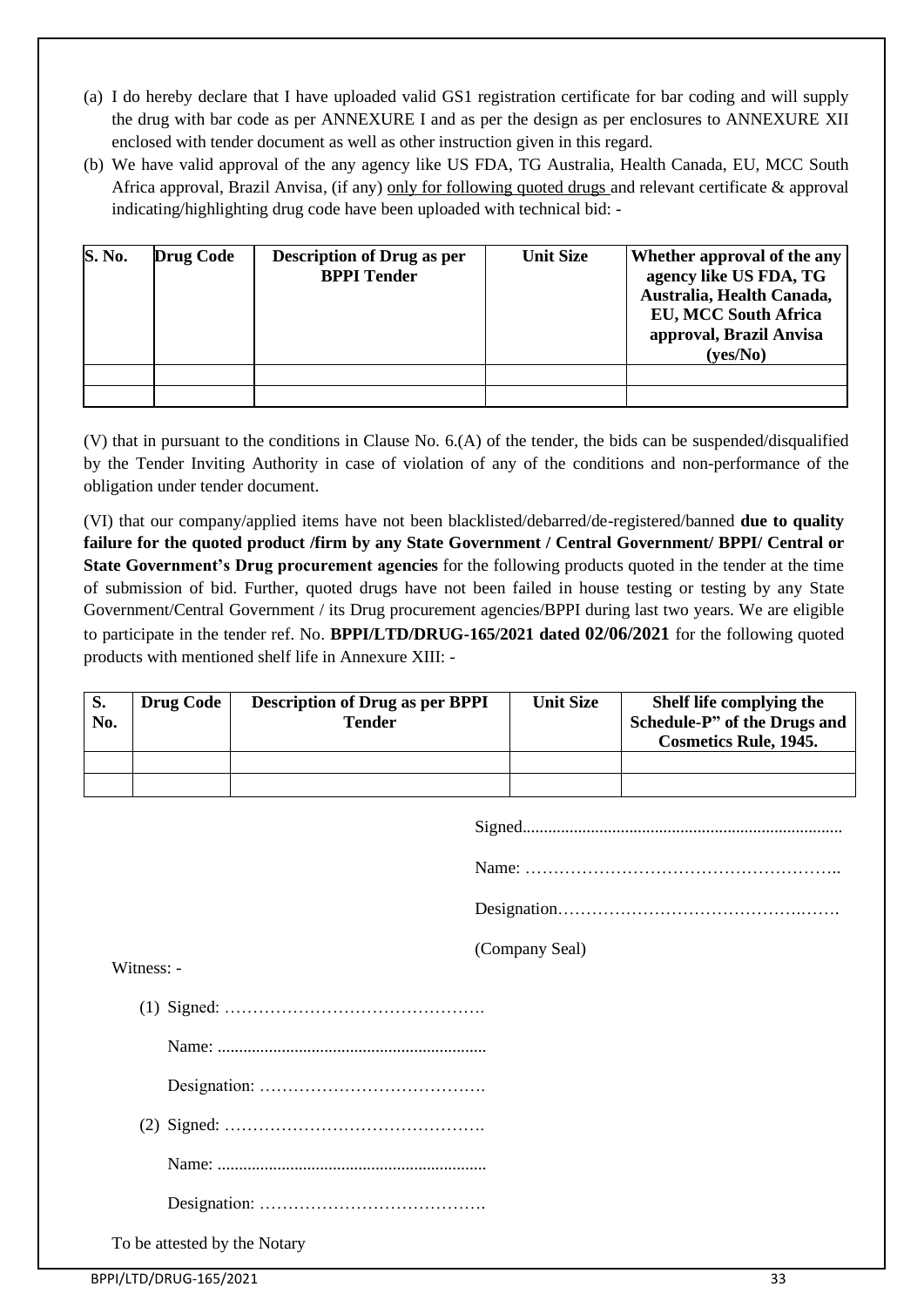- (a) I do hereby declare that I have uploaded valid GS1 registration certificate for bar coding and will supply the drug with bar code as per ANNEXURE I and as per the design as per enclosures to ANNEXURE XII enclosed with tender document as well as other instruction given in this regard.
- (b) We have valid approval of the any agency like US FDA, TG Australia, Health Canada, EU, MCC South Africa approval, Brazil Anvisa, (if any) only for following quoted drugs and relevant certificate & approval indicating/highlighting drug code have been uploaded with technical bid: -

| S. No. | <b>Drug Code</b> | <b>Description of Drug as per</b><br><b>BPPI</b> Tender | <b>Unit Size</b> | Whether approval of the any<br>agency like US FDA, TG<br>Australia, Health Canada,<br><b>EU, MCC South Africa</b><br>approval, Brazil Anvisa<br>(yes/No) |
|--------|------------------|---------------------------------------------------------|------------------|----------------------------------------------------------------------------------------------------------------------------------------------------------|
|        |                  |                                                         |                  |                                                                                                                                                          |
|        |                  |                                                         |                  |                                                                                                                                                          |

(V) that in pursuant to the conditions in Clause No. 6.(A) of the tender, the bids can be suspended/disqualified by the Tender Inviting Authority in case of violation of any of the conditions and non-performance of the obligation under tender document.

(VI) that our company/applied items have not been blacklisted/debarred/de-registered/banned **due to quality failure for the quoted product /firm by any State Government / Central Government/ BPPI/ Central or State Government's Drug procurement agencies** for the following products quoted in the tender at the time of submission of bid. Further, quoted drugs have not been failed in house testing or testing by any State Government/Central Government / its Drug procurement agencies/BPPI during last two years. We are eligible to participate in the tender ref. No. **BPPI/LTD/DRUG-165/2021 dated 02/06/2021** for the following quoted products with mentioned shelf life in Annexure XIII: -

| S.<br>No. | <b>Drug Code</b> | <b>Description of Drug as per BPPI</b><br>Tender | <b>Unit Size</b> | Shelf life complying the<br>Schedule-P" of the Drugs and<br><b>Cosmetics Rule, 1945.</b> |
|-----------|------------------|--------------------------------------------------|------------------|------------------------------------------------------------------------------------------|
|           |                  |                                                  |                  |                                                                                          |
|           |                  |                                                  |                  |                                                                                          |

Name: ………………………………………………..

Designation…………………………………….…….

(Company Seal)

Witness: -

(1) Signed: ……………………………………….

Name: ...............................................................

Designation: ………………………………….

(2) Signed: ……………………………………….

Name: ...............................................................

Designation: ………………………………….

To be attested by the Notary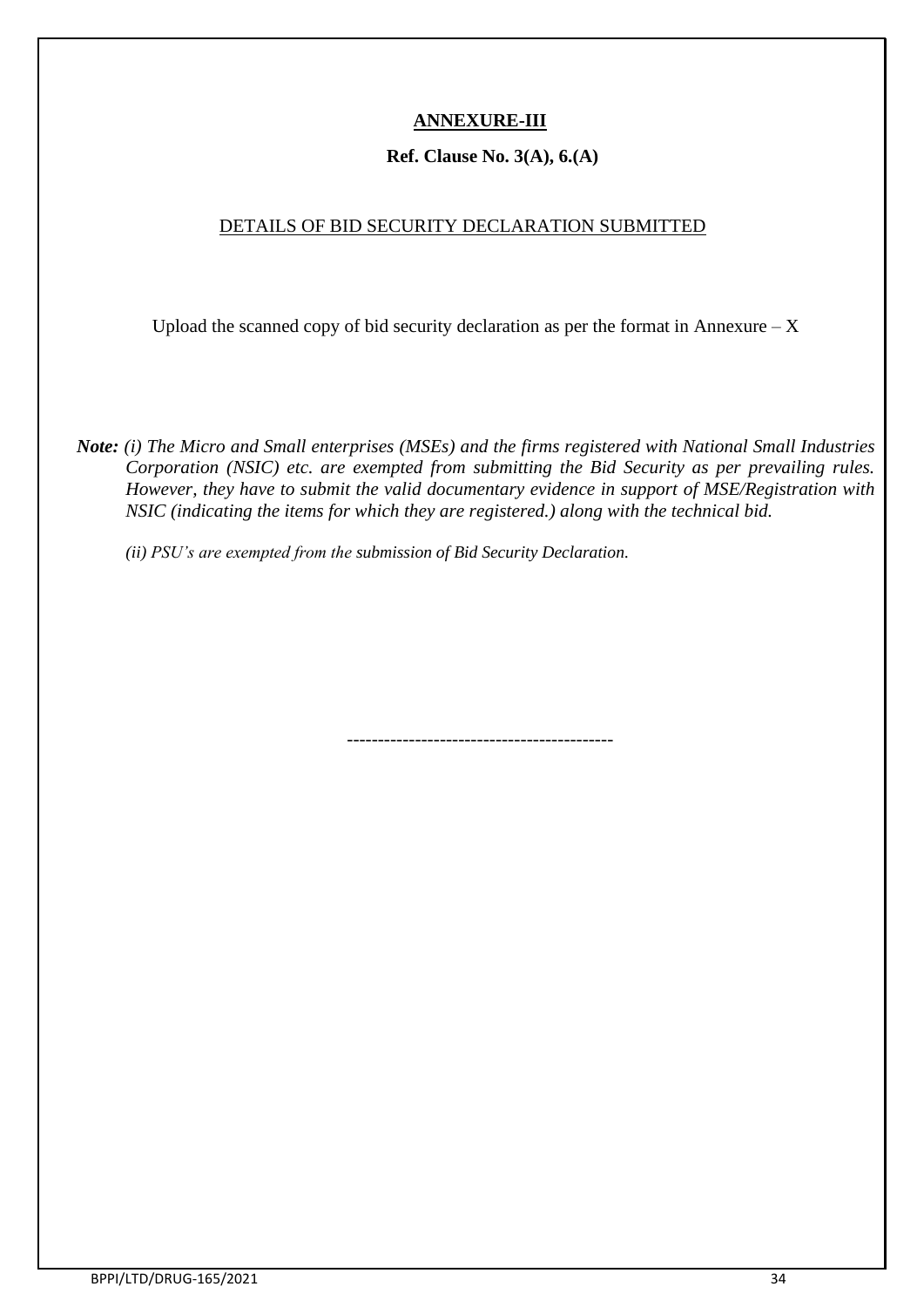## **ANNEXURE-III**

### **Ref. Clause No. 3(A), 6.(A)**

### DETAILS OF BID SECURITY DECLARATION SUBMITTED

Upload the scanned copy of bid security declaration as per the format in Annexure  $-X$ 

*Note: (i) The Micro and Small enterprises (MSEs) and the firms registered with National Small Industries Corporation (NSIC) etc. are exempted from submitting the Bid Security as per prevailing rules. However, they have to submit the valid documentary evidence in support of MSE/Registration with NSIC (indicating the items for which they are registered.) along with the technical bid.*

*(ii) PSU's are exempted from the submission of Bid Security Declaration.*

-------------------------------------------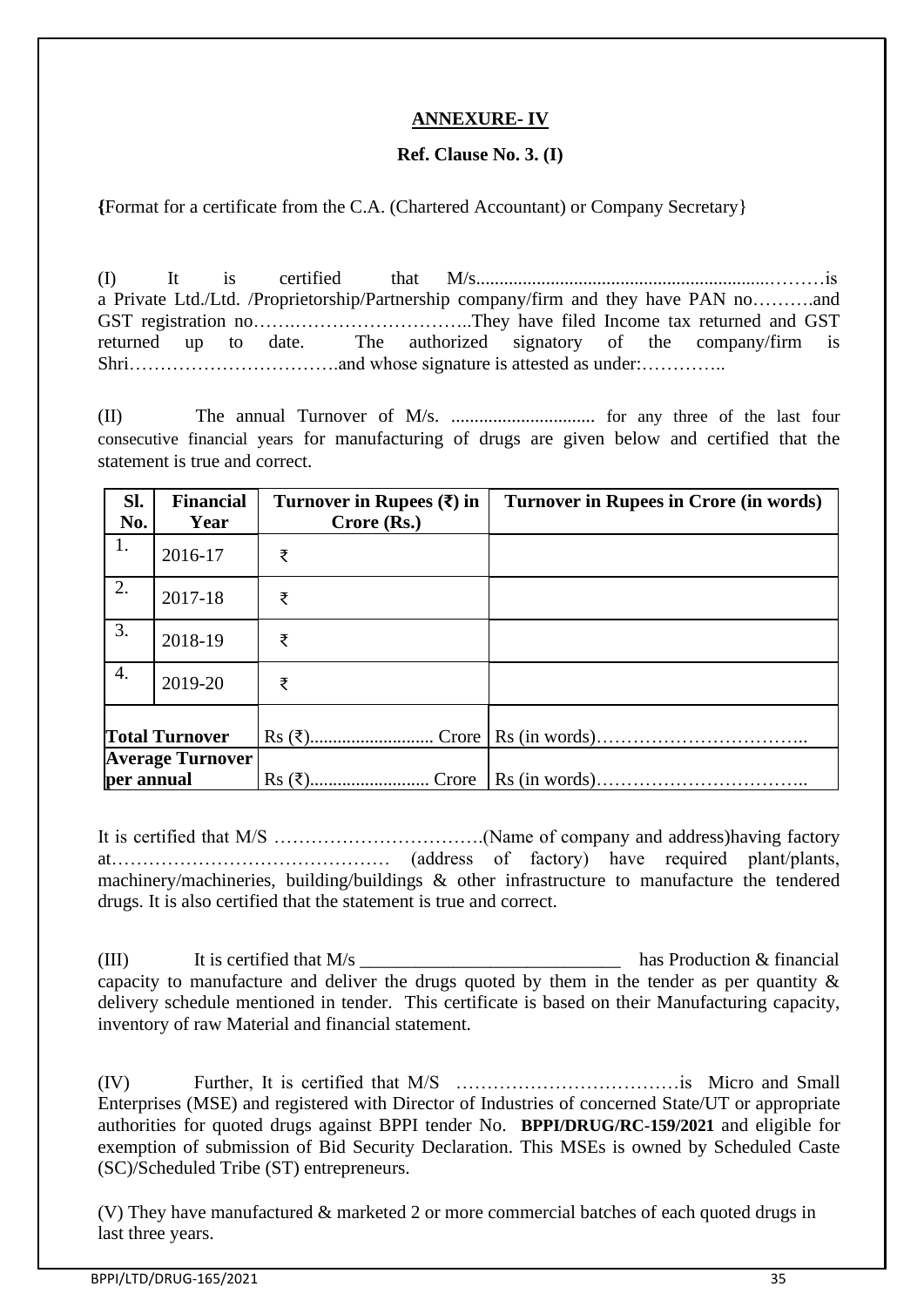### **ANNEXURE- IV**

### **Ref. Clause No. 3. (I)**

**{**Format for a certificate from the C.A. (Chartered Accountant) or Company Secretary}

(I) It is certified that M/s...............................................................………is a Private Ltd./Ltd. /Proprietorship/Partnership company/firm and they have PAN no……….and GST registration no…….………………………..They have filed Income tax returned and GST returned up to date. The authorized signatory of the company/firm is Shri…………………………….and whose signature is attested as under:…………..

(II) The annual Turnover of M/s. ............................... for any three of the last four consecutive financial years for manufacturing of drugs are given below and certified that the statement is true and correct.

| Sl.<br>No.                            | <b>Financial</b><br>Year | Turnover in Rupees $(\bar{\mathbf{x}})$ in<br>$Crore$ (Rs.) | Turnover in Rupees in Crore (in words) |
|---------------------------------------|--------------------------|-------------------------------------------------------------|----------------------------------------|
| 1.                                    | 2016-17                  | ₹                                                           |                                        |
| 2.                                    | 2017-18                  | ₹                                                           |                                        |
| 3.                                    | 2018-19                  | ₹                                                           |                                        |
| 4.                                    | 2019-20                  | ₹                                                           |                                        |
|                                       | <b>Total Turnover</b>    |                                                             |                                        |
| <b>Average Turnover</b><br>per annual |                          |                                                             |                                        |

It is certified that M/S …………………………….(Name of company and address)having factory at……………………………………… (address of factory) have required plant/plants, machinery/machineries, building/buildings & other infrastructure to manufacture the tendered drugs. It is also certified that the statement is true and correct.

(III) It is certified that  $M/s$  has Production & financial capacity to manufacture and deliver the drugs quoted by them in the tender as per quantity  $\&$ delivery schedule mentioned in tender. This certificate is based on their Manufacturing capacity, inventory of raw Material and financial statement.

(IV) Further, It is certified that M/S ………………………………is Micro and Small Enterprises (MSE) and registered with Director of Industries of concerned State/UT or appropriate authorities for quoted drugs against BPPI tender No. **BPPI/DRUG/RC-159/2021** and eligible for exemption of submission of Bid Security Declaration. This MSEs is owned by Scheduled Caste (SC)/Scheduled Tribe (ST) entrepreneurs.

(V) They have manufactured & marketed 2 or more commercial batches of each quoted drugs in last three years.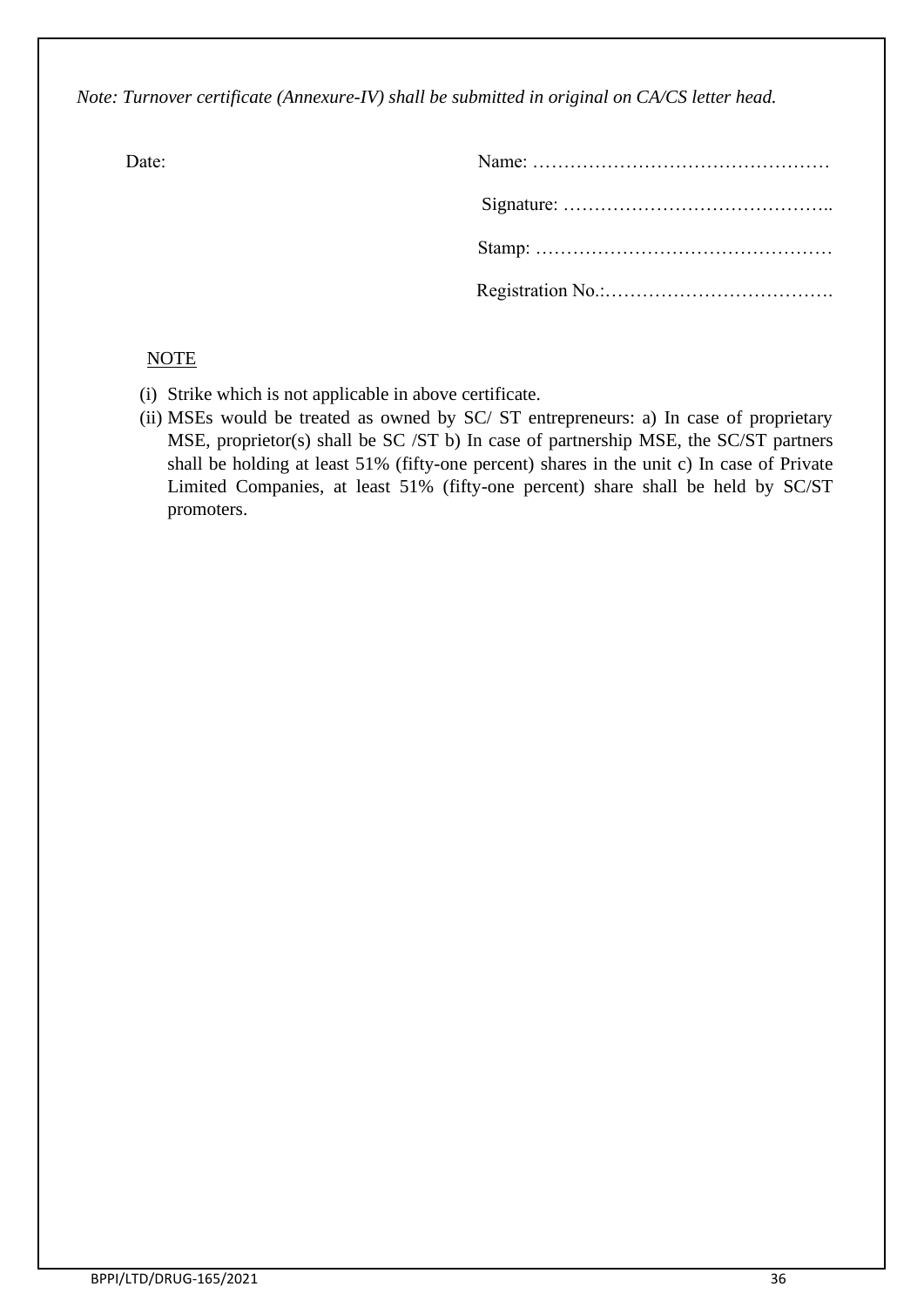*Note: Turnover certificate (Annexure-IV) shall be submitted in original on CA/CS letter head.*

| Date: |  |
|-------|--|
|       |  |
|       |  |
|       |  |

### NOTE

- (i) Strike which is not applicable in above certificate.
- (ii) MSEs would be treated as owned by SC/ ST entrepreneurs: a) In case of proprietary MSE, proprietor(s) shall be SC /ST b) In case of partnership MSE, the SC/ST partners shall be holding at least 51% (fifty-one percent) shares in the unit c) In case of Private Limited Companies, at least 51% (fifty-one percent) share shall be held by SC/ST promoters.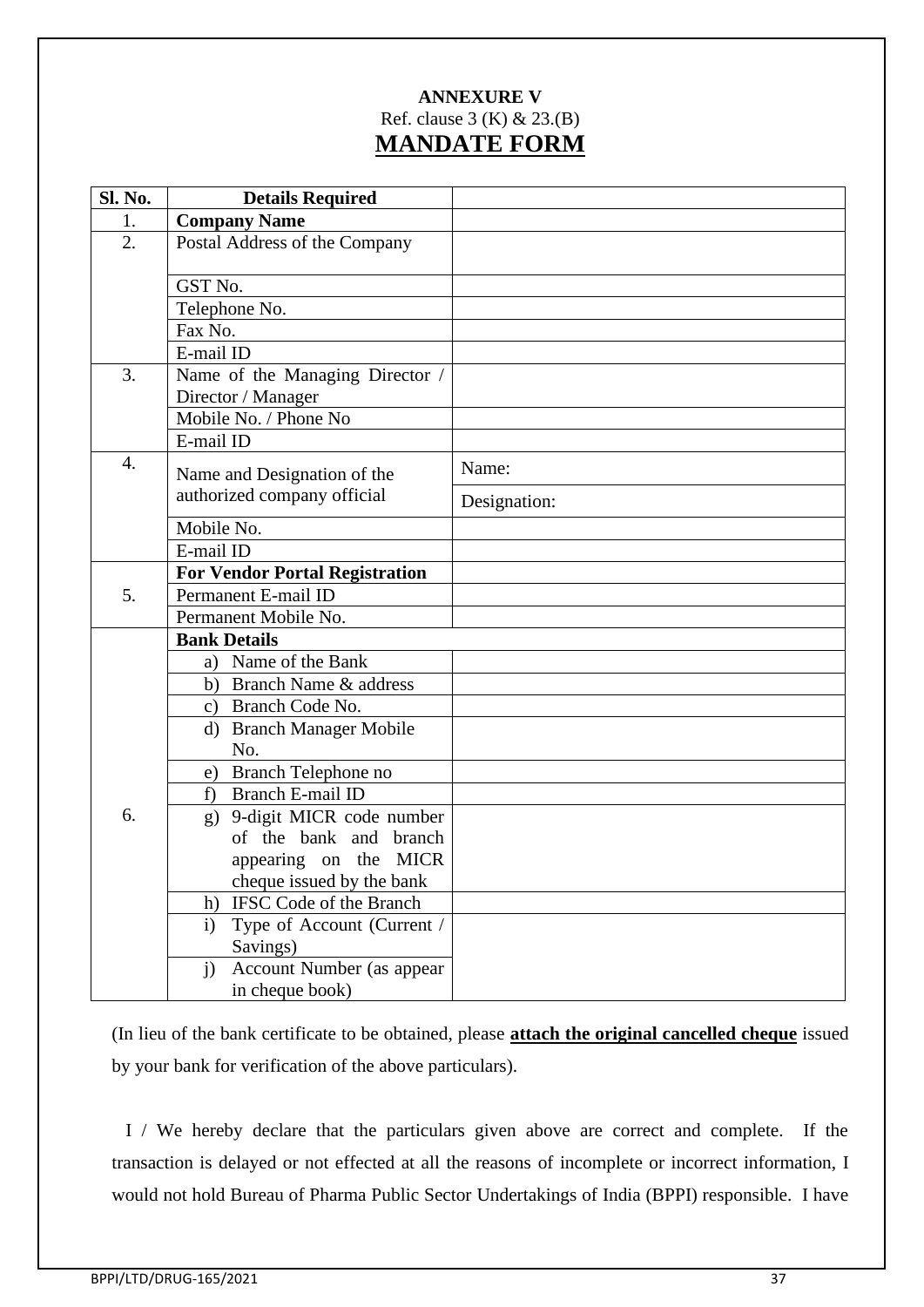## **ANNEXURE V** Ref. clause 3 (K) & 23.(B) **MANDATE FORM**

| Sl. No.          | <b>Details Required</b>                   |              |
|------------------|-------------------------------------------|--------------|
| 1.               | <b>Company Name</b>                       |              |
| 2.               | Postal Address of the Company             |              |
|                  | GST No.                                   |              |
|                  | Telephone No.                             |              |
|                  | Fax No.                                   |              |
|                  | E-mail ID                                 |              |
| 3.               | Name of the Managing Director /           |              |
|                  | Director / Manager                        |              |
|                  | Mobile No. / Phone No                     |              |
|                  | E-mail ID                                 |              |
| $\overline{4}$ . | Name and Designation of the               | Name:        |
|                  | authorized company official               | Designation: |
|                  | Mobile No.                                |              |
|                  | E-mail ID                                 |              |
|                  | <b>For Vendor Portal Registration</b>     |              |
| 5.               | Permanent E-mail ID                       |              |
|                  | Permanent Mobile No.                      |              |
|                  | <b>Bank Details</b>                       |              |
|                  | a) Name of the Bank                       |              |
|                  | b) Branch Name & address                  |              |
|                  | c) Branch Code No.                        |              |
|                  | <b>Branch Manager Mobile</b><br>d)        |              |
|                  | No.                                       |              |
|                  | e) Branch Telephone no                    |              |
|                  | f) Branch E-mail ID                       |              |
| 6.               | g) 9-digit MICR code number               |              |
|                  | of the bank and branch                    |              |
|                  | appearing on the MICR                     |              |
|                  | cheque issued by the bank                 |              |
|                  | IFSC Code of the Branch<br>h)<br>i)       |              |
|                  | Type of Account (Current /<br>Savings)    |              |
|                  | Account Number (as appear<br>$\mathbf{j}$ |              |
|                  | in cheque book)                           |              |

(In lieu of the bank certificate to be obtained, please **attach the original cancelled cheque** issued by your bank for verification of the above particulars).

 I / We hereby declare that the particulars given above are correct and complete. If the transaction is delayed or not effected at all the reasons of incomplete or incorrect information, I would not hold Bureau of Pharma Public Sector Undertakings of India (BPPI) responsible. I have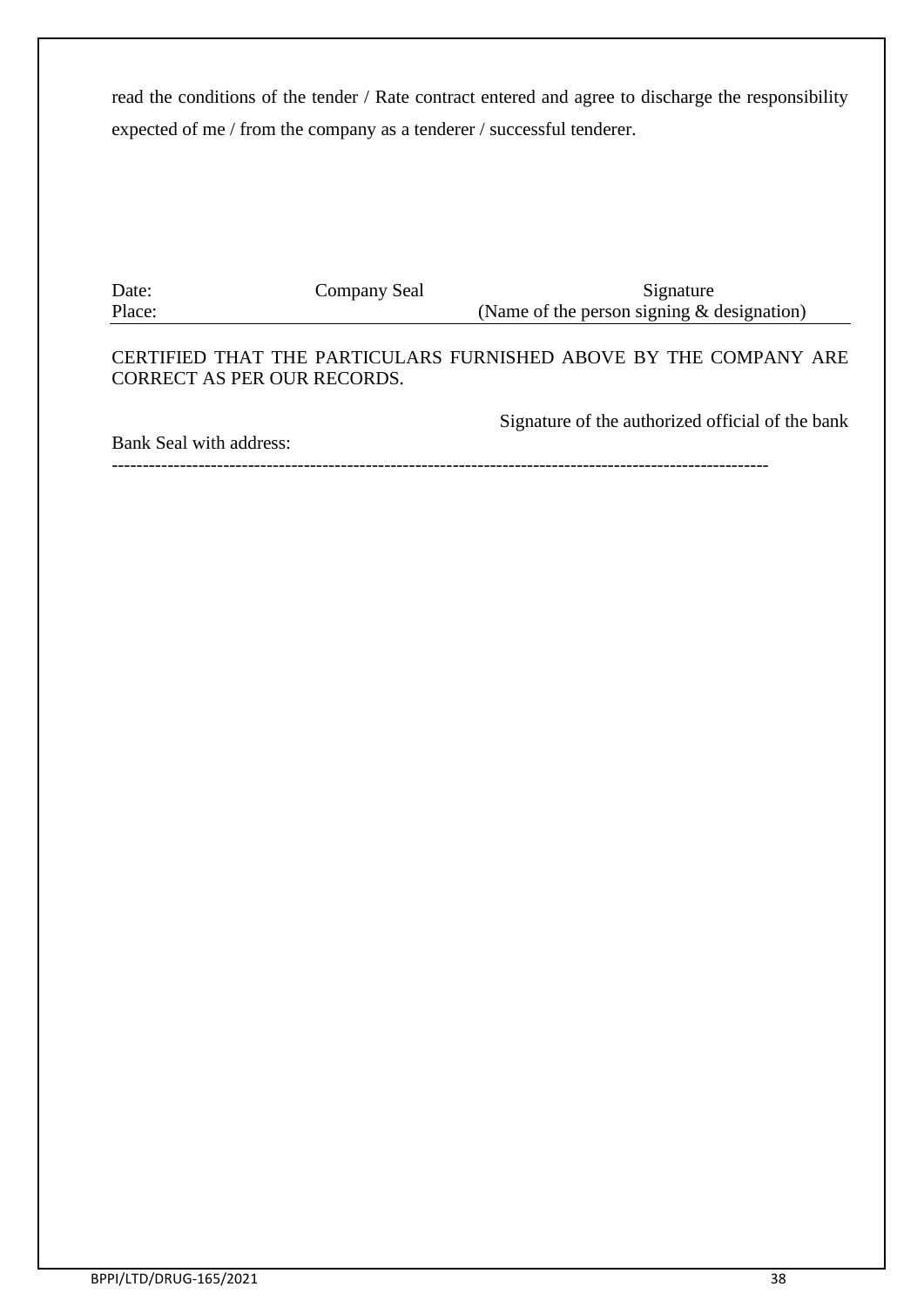read the conditions of the tender / Rate contract entered and agree to discharge the responsibility expected of me / from the company as a tenderer / successful tenderer.

Date: Company Seal Signature Place: (Name of the person signing & designation)

CERTIFIED THAT THE PARTICULARS FURNISHED ABOVE BY THE COMPANY ARE CORRECT AS PER OUR RECORDS.

Bank Seal with address:

Signature of the authorized official of the bank

----------------------------------------------------------------------------------------------------------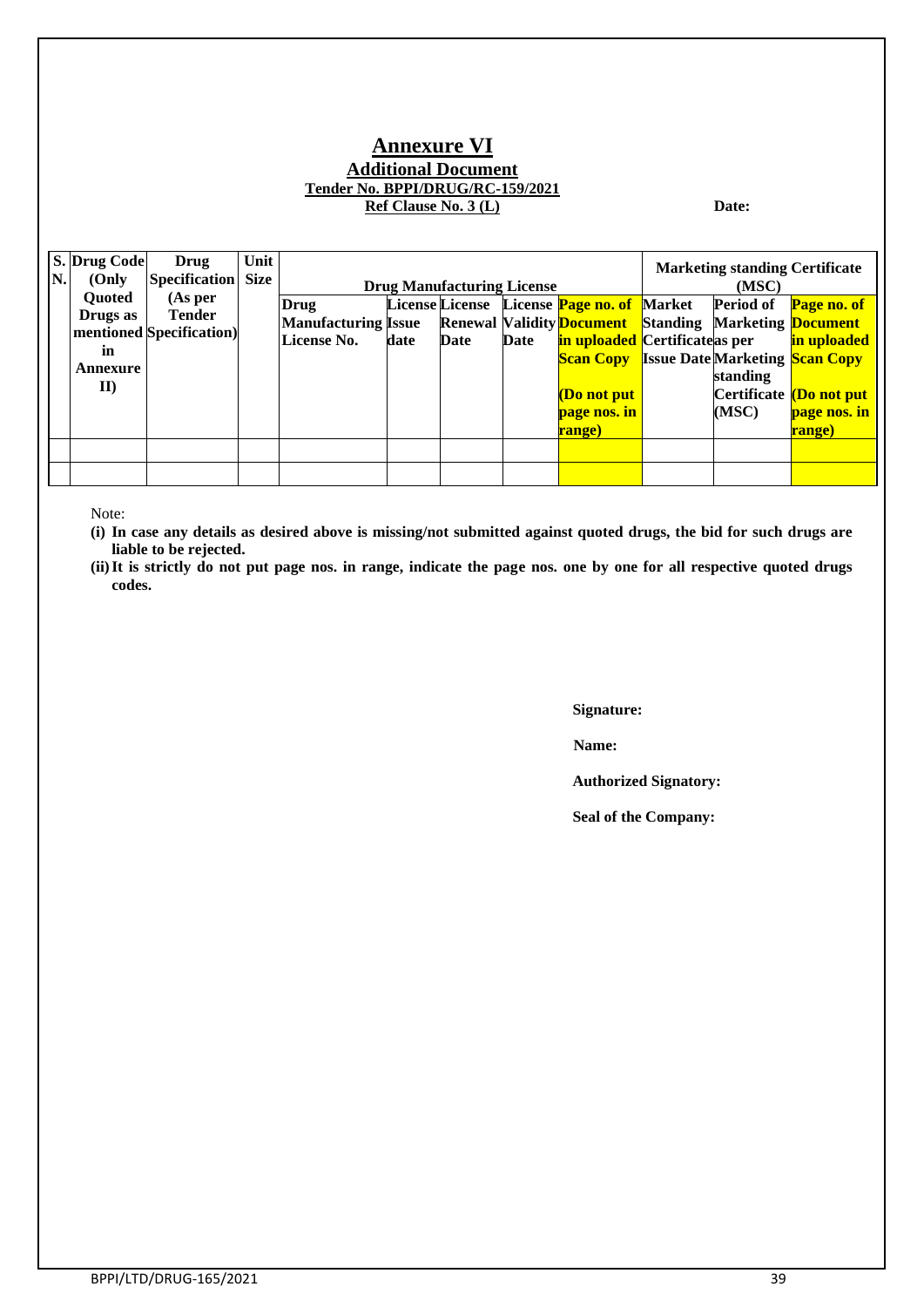#### **Annexure VI Additional Document Tender No. BPPI/DRUG/RC-159/2021 Ref Clause No. 3 (L) Date:**

| N. | S. Drug Code  | Drug                      | Unit |                            |      |                                   |      |                                                                     | <b>Marketing standing Certificate</b> |                               |
|----|---------------|---------------------------|------|----------------------------|------|-----------------------------------|------|---------------------------------------------------------------------|---------------------------------------|-------------------------------|
|    | (Only)        | <b>Specification</b> Size |      |                            |      | <b>Drug Manufacturing License</b> |      |                                                                     | (MSC)                                 |                               |
|    | <b>Ouoted</b> | (As per)                  |      | Drug                       |      |                                   |      | License License License <b>Page no. of</b> Market                   | <b>Period of</b>                      | Page no. of                   |
|    | Drugs as      | <b>Tender</b>             |      | <b>Manufacturing Issue</b> |      |                                   |      | <b>Renewal Validity Document</b> Standing Marketing <b>Document</b> |                                       |                               |
|    |               | mentioned Specification)  |      | License No.                | date | Date                              | Date | in uploaded Certificateas per                                       |                                       | in uploaded                   |
|    | in            |                           |      |                            |      |                                   |      | <b>Scan Copy</b> Issue Date Marketing Scan Copy                     |                                       |                               |
|    | Annexure      |                           |      |                            |      |                                   |      |                                                                     | standing                              |                               |
|    | $\mathbf{II}$ |                           |      |                            |      |                                   |      | (Do not put                                                         |                                       | Certificate <b>Do not put</b> |
|    |               |                           |      |                            |      |                                   |      | page nos. in                                                        | (MSC)                                 | page nos. in                  |
|    |               |                           |      |                            |      |                                   |      | range)                                                              |                                       | range)                        |
|    |               |                           |      |                            |      |                                   |      |                                                                     |                                       |                               |
|    |               |                           |      |                            |      |                                   |      |                                                                     |                                       |                               |
|    |               |                           |      |                            |      |                                   |      |                                                                     |                                       |                               |

Note:

**(i) In case any details as desired above is missing/not submitted against quoted drugs, the bid for such drugs are liable to be rejected.**

**(ii)It is strictly do not put page nos. in range, indicate the page nos. one by one for all respective quoted drugs codes.**

**Signature:**

**Name:**

**Authorized Signatory:**

**Seal of the Company:**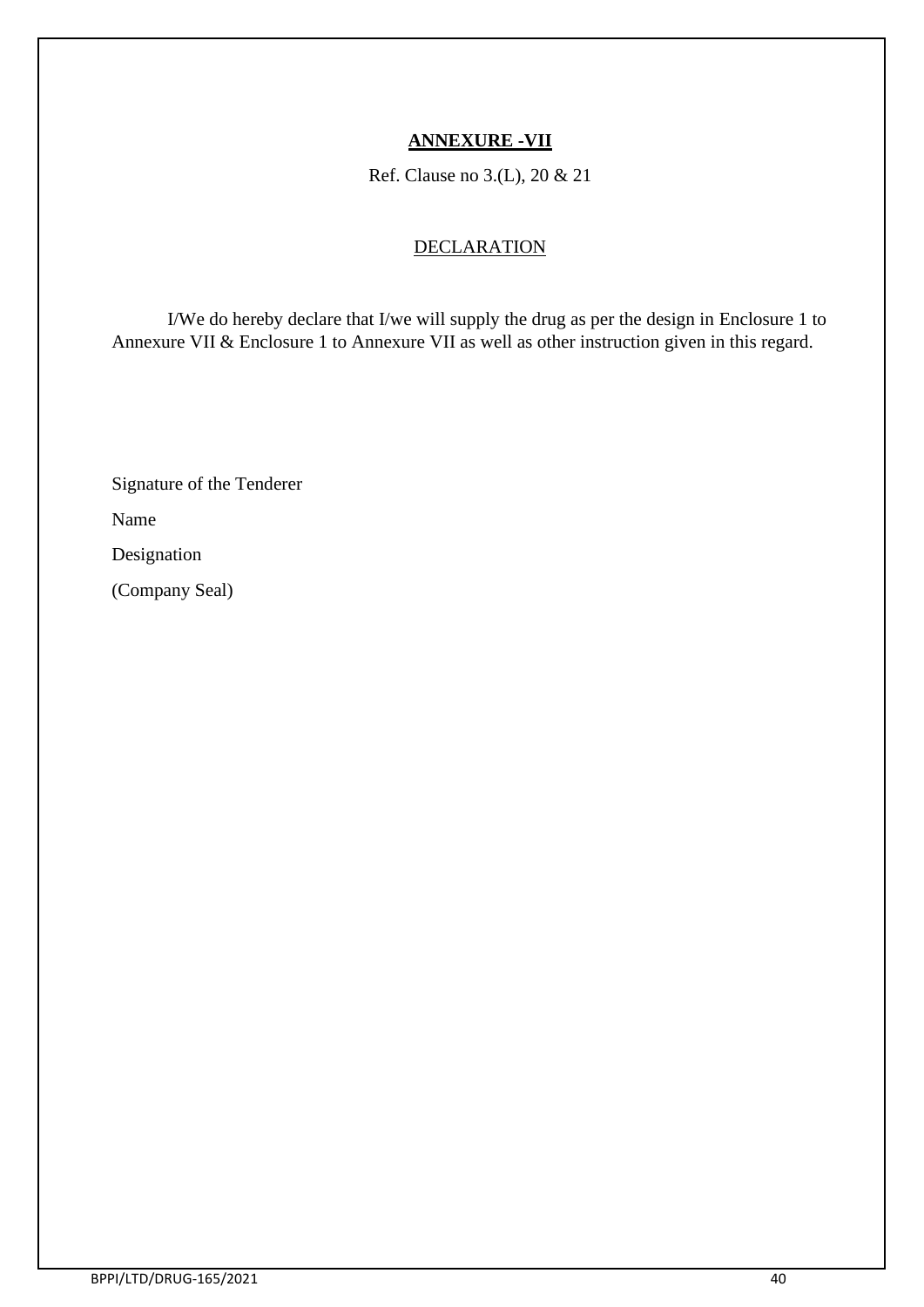### **ANNEXURE -VII**

Ref. Clause no 3.(L), 20 & 21

### **DECLARATION**

I/We do hereby declare that I/we will supply the drug as per the design in Enclosure 1 to Annexure VII & Enclosure 1 to Annexure VII as well as other instruction given in this regard.

Signature of the Tenderer

Name

Designation

(Company Seal)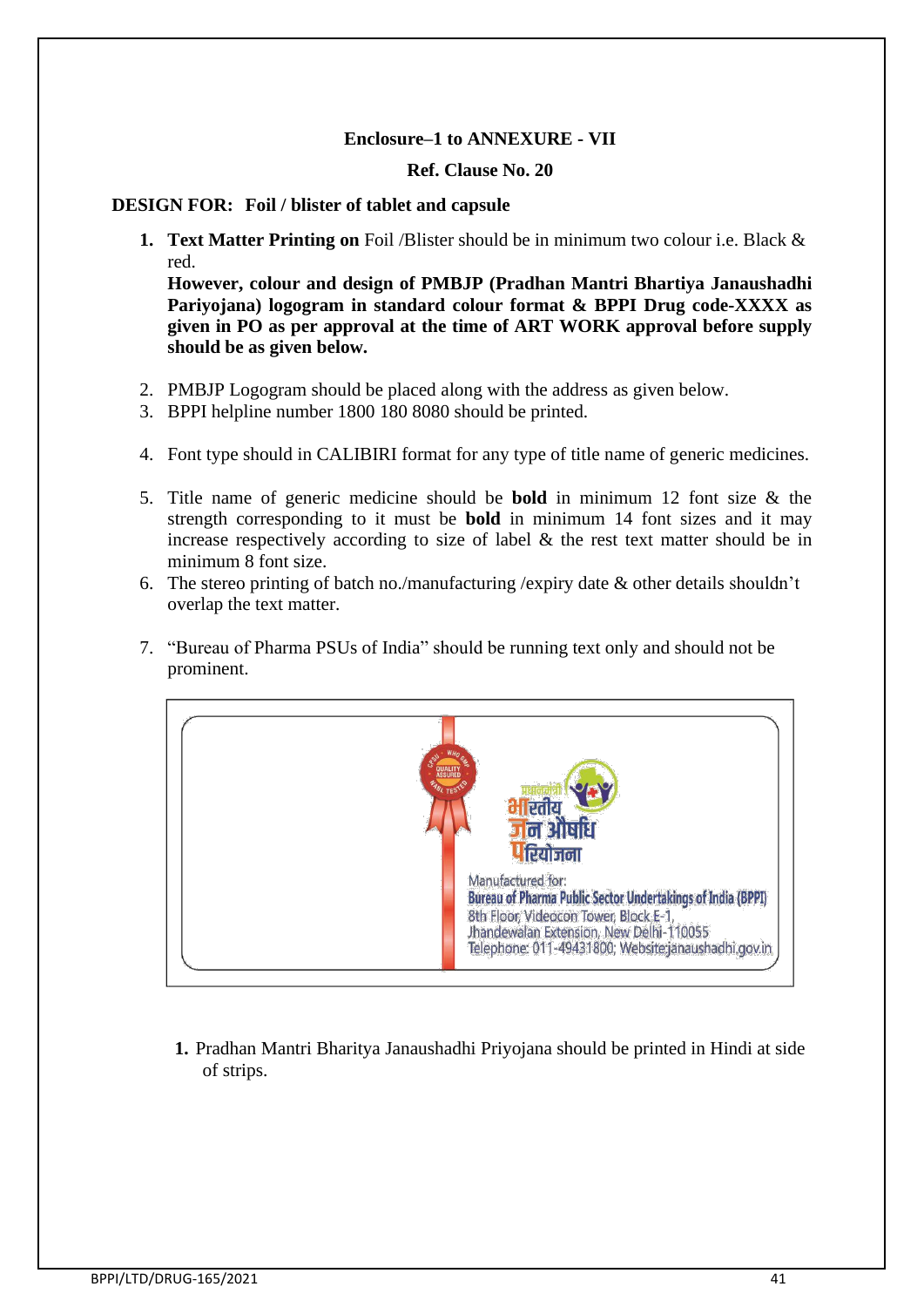#### **Enclosure–1 to ANNEXURE - VII**

#### **Ref. Clause No. 20**

#### **DESIGN FOR: Foil / blister of tablet and capsule**

**1. Text Matter Printing on** Foil /Blister should be in minimum two colour i.e. Black & red.

**However, colour and design of PMBJP (Pradhan Mantri Bhartiya Janaushadhi Pariyojana) logogram in standard colour format & BPPI Drug code-XXXX as given in PO as per approval at the time of ART WORK approval before supply should be as given below.**

- 2. PMBJP Logogram should be placed along with the address as given below.
- 3. BPPI helpline number 1800 180 8080 should be printed.
- 4. Font type should in CALIBIRI format for any type of title name of generic medicines.
- 5. Title name of generic medicine should be **bold** in minimum 12 font size & the strength corresponding to it must be **bold** in minimum 14 font sizes and it may increase respectively according to size of label & the rest text matter should be in minimum 8 font size.
- 6. The stereo printing of batch no./manufacturing /expiry date & other details shouldn't overlap the text matter.
- 7. "Bureau of Pharma PSUs of India" should be running text only and should not be prominent.



**1.** Pradhan Mantri Bharitya Janaushadhi Priyojana should be printed in Hindi at side of strips.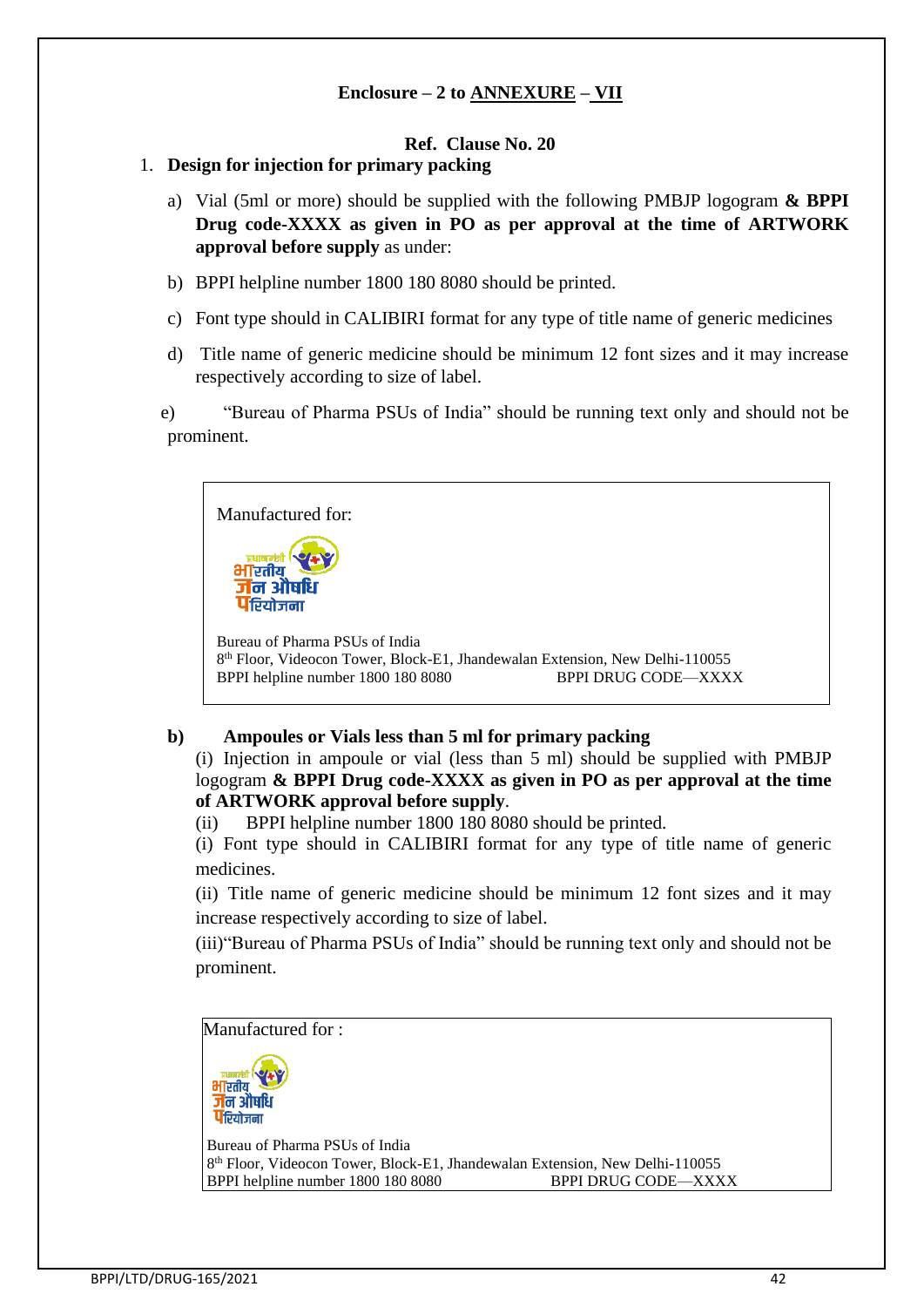### **Enclosure – 2 to ANNEXURE – VII**

### **Ref. Clause No. 20**

#### 1. **Design for injection for primary packing**

- a) Vial (5ml or more) should be supplied with the following PMBJP logogram **& BPPI Drug code-XXXX as given in PO as per approval at the time of ARTWORK approval before supply** as under:
- b) BPPI helpline number 1800 180 8080 should be printed.
- c) Font type should in CALIBIRI format for any type of title name of generic medicines
- d) Title name of generic medicine should be minimum 12 font sizes and it may increase respectively according to size of label.

e) "Bureau of Pharma PSUs of India" should be running text only and should not be prominent.



#### **b) Ampoules or Vials less than 5 ml for primary packing**

(i) Injection in ampoule or vial (less than 5 ml) should be supplied with PMBJP logogram **& BPPI Drug code-XXXX as given in PO as per approval at the time of ARTWORK approval before supply**.

(ii) BPPI helpline number 1800 180 8080 should be printed.

(i) Font type should in CALIBIRI format for any type of title name of generic medicines.

(ii) Title name of generic medicine should be minimum 12 font sizes and it may increase respectively according to size of label.

(iii)"Bureau of Pharma PSUs of India" should be running text only and should not be prominent.

Manufactured for :



Bureau of Pharma PSUs of India 8 th Floor, Videocon Tower, Block-E1, Jhandewalan Extension, New Delhi-110055 BPPI helpline number 1800 180 8080 BPPI DRUG CODE—XXXX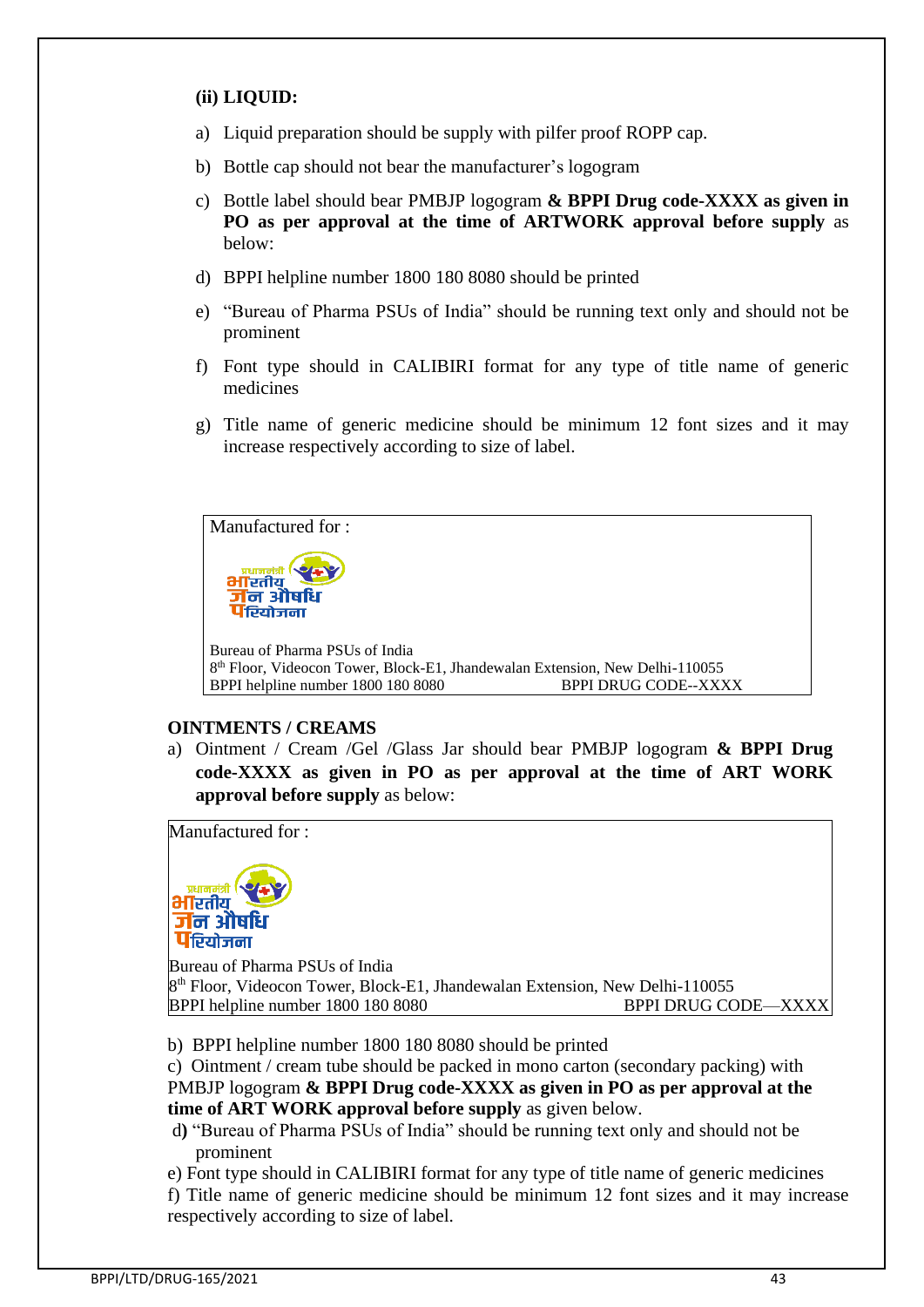### **(ii) LIQUID:**

- a) Liquid preparation should be supply with pilfer proof ROPP cap.
- b) Bottle cap should not bear the manufacturer's logogram
- c) Bottle label should bear PMBJP logogram **& BPPI Drug code-XXXX as given in PO as per approval at the time of ARTWORK approval before supply** as below:
- d) BPPI helpline number 1800 180 8080 should be printed
- e) "Bureau of Pharma PSUs of India" should be running text only and should not be prominent
- f) Font type should in CALIBIRI format for any type of title name of generic medicines
- g) Title name of generic medicine should be minimum 12 font sizes and it may increase respectively according to size of label.



### **OINTMENTS / CREAMS**

a) Ointment / Cream /Gel /Glass Jar should bear PMBJP logogram **& BPPI Drug code-XXXX as given in PO as per approval at the time of ART WORK approval before supply** as below:

Manufactured for :



Bureau of Pharma PSUs of India 8 th Floor, Videocon Tower, Block-E1, Jhandewalan Extension, New Delhi-110055 BPPI helpline number 1800 180 8080 BPPI DRUG CODE—XXXX

b) BPPI helpline number 1800 180 8080 should be printed

c) Ointment / cream tube should be packed in mono carton (secondary packing) with PMBJP logogram **& BPPI Drug code-XXXX as given in PO as per approval at the time of ART WORK approval before supply** as given below.

- d**)** "Bureau of Pharma PSUs of India" should be running text only and should not be prominent
- e) Font type should in CALIBIRI format for any type of title name of generic medicines

f) Title name of generic medicine should be minimum 12 font sizes and it may increase respectively according to size of label.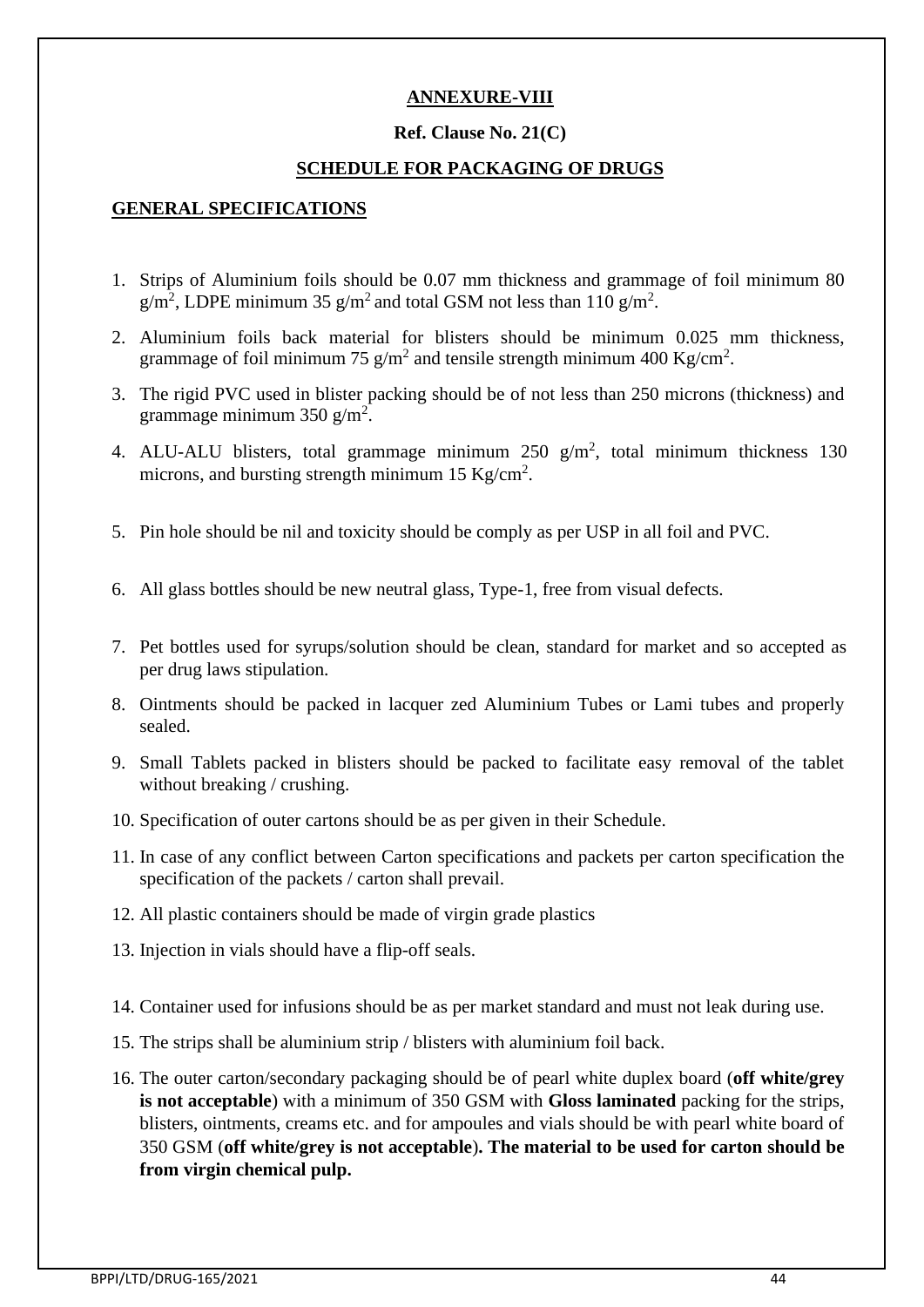### **ANNEXURE-VIII**

#### **Ref. Clause No. 21(C)**

#### **SCHEDULE FOR PACKAGING OF DRUGS**

#### **GENERAL SPECIFICATIONS**

- 1. Strips of Aluminium foils should be 0.07 mm thickness and grammage of foil minimum 80  $g/m^2$ , LDPE minimum 35  $g/m^2$  and total GSM not less than 110  $g/m^2$ .
- 2. Aluminium foils back material for blisters should be minimum 0.025 mm thickness, grammage of foil minimum 75  $g/m^2$  and tensile strength minimum 400 Kg/cm<sup>2</sup>.
- 3. The rigid PVC used in blister packing should be of not less than 250 microns (thickness) and grammage minimum 350 g/m<sup>2</sup>.
- 4. ALU-ALU blisters, total grammage minimum  $250 \text{ g/m}^2$ , total minimum thickness 130 microns, and bursting strength minimum 15 Kg/cm<sup>2</sup>.
- 5. Pin hole should be nil and toxicity should be comply as per USP in all foil and PVC.
- 6. All glass bottles should be new neutral glass, Type-1, free from visual defects.
- 7. Pet bottles used for syrups/solution should be clean, standard for market and so accepted as per drug laws stipulation.
- 8. Ointments should be packed in lacquer zed Aluminium Tubes or Lami tubes and properly sealed.
- 9. Small Tablets packed in blisters should be packed to facilitate easy removal of the tablet without breaking / crushing.
- 10. Specification of outer cartons should be as per given in their Schedule.
- 11. In case of any conflict between Carton specifications and packets per carton specification the specification of the packets / carton shall prevail.
- 12. All plastic containers should be made of virgin grade plastics
- 13. Injection in vials should have a flip-off seals.
- 14. Container used for infusions should be as per market standard and must not leak during use.
- 15. The strips shall be aluminium strip / blisters with aluminium foil back.
- 16. The outer carton/secondary packaging should be of pearl white duplex board (**off white/grey is not acceptable**) with a minimum of 350 GSM with **Gloss laminated** packing for the strips, blisters, ointments, creams etc. and for ampoules and vials should be with pearl white board of 350 GSM (**off white/grey is not acceptable**)**. The material to be used for carton should be from virgin chemical pulp.**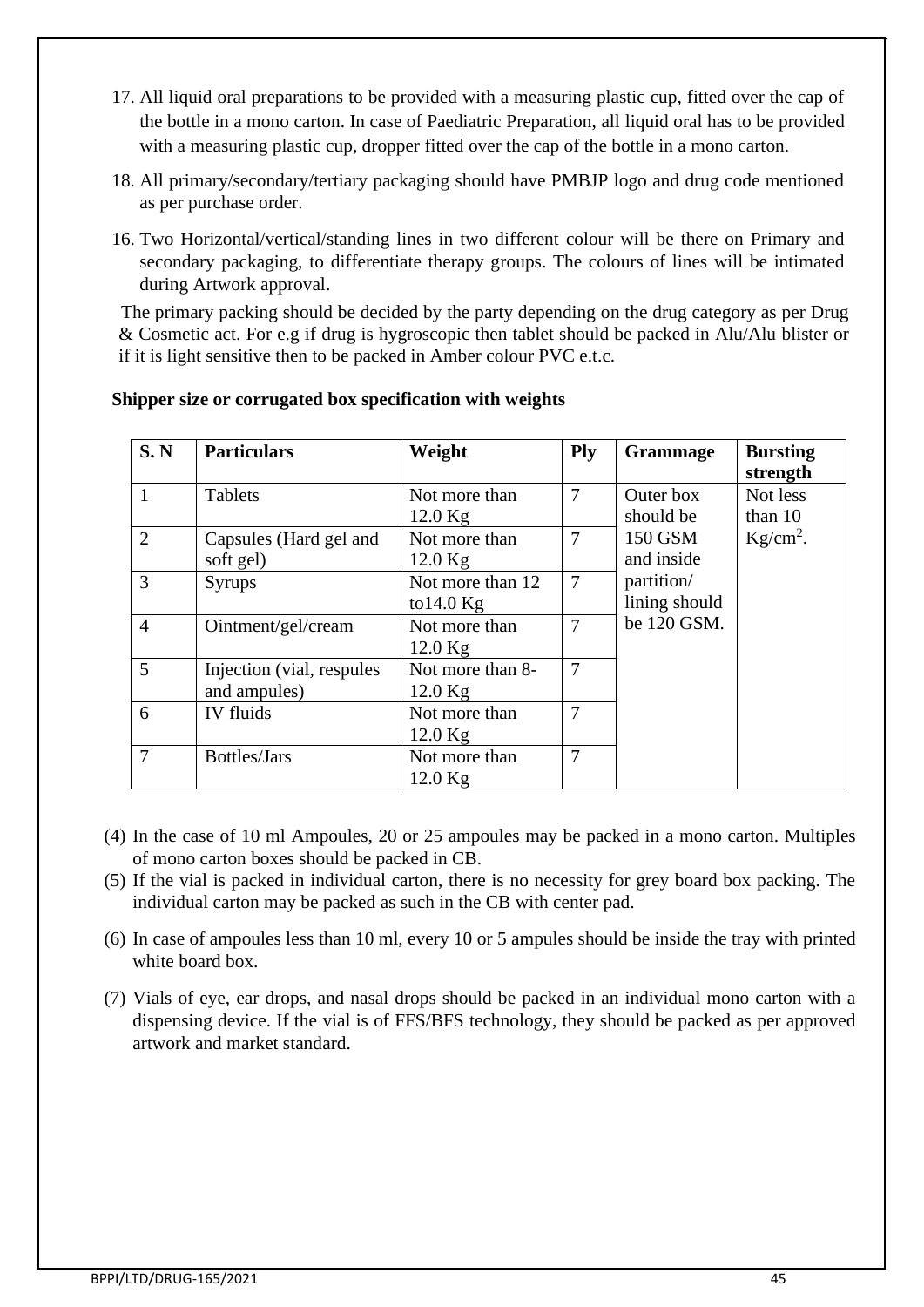- 17. All liquid oral preparations to be provided with a measuring plastic cup, fitted over the cap of the bottle in a mono carton. In case of Paediatric Preparation, all liquid oral has to be provided with a measuring plastic cup, dropper fitted over the cap of the bottle in a mono carton.
- 18. All primary/secondary/tertiary packaging should have PMBJP logo and drug code mentioned as per purchase order.
- 16. Two Horizontal/vertical/standing lines in two different colour will be there on Primary and secondary packaging, to differentiate therapy groups. The colours of lines will be intimated during Artwork approval.

 The primary packing should be decided by the party depending on the drug category as per Drug & Cosmetic act. For e.g if drug is hygroscopic then tablet should be packed in Alu/Alu blister or if it is light sensitive then to be packed in Amber colour PVC e.t.c.

| S. N           | <b>Particulars</b>         | Weight           | Ply            | <b>Grammage</b> | <b>Bursting</b><br>strength |
|----------------|----------------------------|------------------|----------------|-----------------|-----------------------------|
| $\mathbf{1}$   | <b>Tablets</b>             | Not more than    | $\overline{7}$ | Outer box       | Not less                    |
|                |                            | $12.0$ Kg        |                | should be       | than 10                     |
| 2              | Capsules (Hard gel and     | Not more than    | $\overline{7}$ | 150 GSM         | $Kg/cm2$ .                  |
|                | soft gel)                  | $12.0$ Kg        |                | and inside      |                             |
| 3              | <b>Syrups</b>              | Not more than 12 | $\overline{7}$ | partition/      |                             |
|                |                            | to $14.0$ Kg     |                | lining should   |                             |
| $\overline{4}$ | Ointment/gel/cream         | Not more than    | $\overline{7}$ | be 120 GSM.     |                             |
|                |                            | $12.0$ Kg        |                |                 |                             |
| $\overline{5}$ | Injection (vial, respules) | Not more than 8- | $\overline{7}$ |                 |                             |
|                | and ampules)               | $12.0$ Kg        |                |                 |                             |
| 6              | IV fluids                  | Not more than    | $\overline{7}$ |                 |                             |
|                |                            | $12.0$ Kg        |                |                 |                             |
| $\overline{7}$ | Bottles/Jars               | Not more than    | 7              |                 |                             |
|                |                            | $12.0$ Kg        |                |                 |                             |

#### **Shipper size or corrugated box specification with weights**

- (4) In the case of 10 ml Ampoules, 20 or 25 ampoules may be packed in a mono carton. Multiples of mono carton boxes should be packed in CB.
- (5) If the vial is packed in individual carton, there is no necessity for grey board box packing. The individual carton may be packed as such in the CB with center pad.
- (6) In case of ampoules less than 10 ml, every 10 or 5 ampules should be inside the tray with printed white board box.
- (7) Vials of eye, ear drops, and nasal drops should be packed in an individual mono carton with a dispensing device. If the vial is of FFS/BFS technology, they should be packed as per approved artwork and market standard.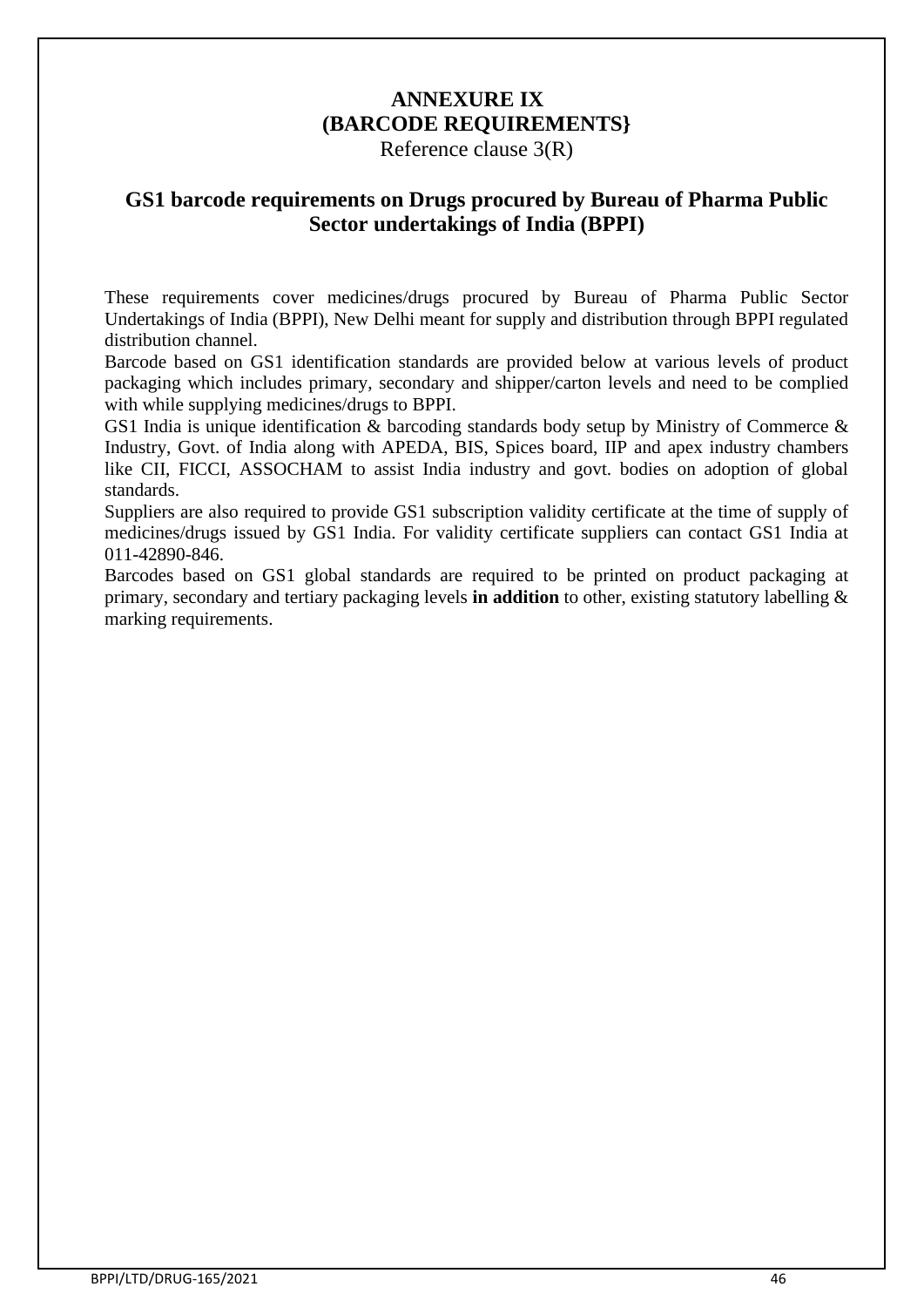# **ANNEXURE IX (BARCODE REQUIREMENTS}**

Reference clause 3(R)

## **GS1 barcode requirements on Drugs procured by Bureau of Pharma Public Sector undertakings of India (BPPI)**

These requirements cover medicines/drugs procured by Bureau of Pharma Public Sector Undertakings of India (BPPI), New Delhi meant for supply and distribution through BPPI regulated distribution channel.

Barcode based on GS1 identification standards are provided below at various levels of product packaging which includes primary, secondary and shipper/carton levels and need to be complied with while supplying medicines/drugs to BPPI.

GS1 India is unique identification & barcoding standards body setup by Ministry of Commerce & Industry, Govt. of India along with APEDA, BIS, Spices board, IIP and apex industry chambers like CII, FICCI, ASSOCHAM to assist India industry and govt. bodies on adoption of global standards.

Suppliers are also required to provide GS1 subscription validity certificate at the time of supply of medicines/drugs issued by GS1 India. For validity certificate suppliers can contact GS1 India at 011-42890-846.

Barcodes based on GS1 global standards are required to be printed on product packaging at primary, secondary and tertiary packaging levels **in addition** to other, existing statutory labelling & marking requirements.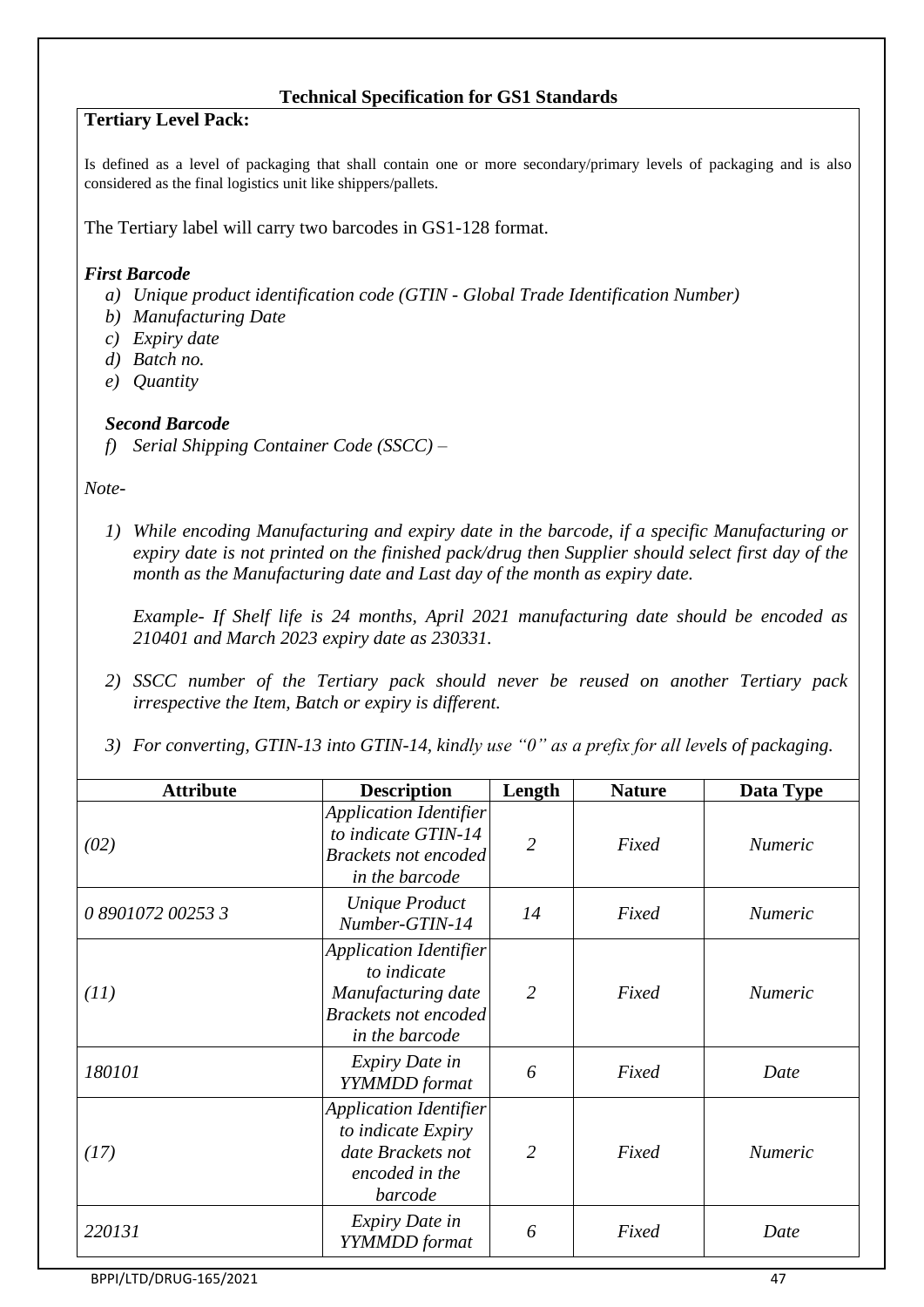#### **Technical Specification for GS1 Standards**

### **Tertiary Level Pack:**

Is defined as a level of packaging that shall contain one or more secondary/primary levels of packaging and is also considered as the final logistics unit like shippers/pallets.

The Tertiary label will carry two barcodes in GS1-128 format.

#### *First Barcode*

- *a) Unique product identification code (GTIN - Global Trade Identification Number)*
- *b) Manufacturing Date*
- *c) Expiry date*
- *d) Batch no.*
- *e) Quantity*

#### *Second Barcode*

*f) Serial Shipping Container Code (SSCC) –*

#### *Note-*

*1) While encoding Manufacturing and expiry date in the barcode, if a specific Manufacturing or expiry date is not printed on the finished pack/drug then Supplier should select first day of the month as the Manufacturing date and Last day of the month as expiry date.* 

*Example- If Shelf life is 24 months, April 2021 manufacturing date should be encoded as 210401 and March 2023 expiry date as 230331.*

- *2) SSCC number of the Tertiary pack should never be reused on another Tertiary pack irrespective the Item, Batch or expiry is different.*
- *3) For converting, GTIN-13 into GTIN-14, kindly use "0" as a prefix for all levels of packaging.*

| <b>Attribute</b>  | <b>Description</b>                                                                                                  | Length         | <b>Nature</b> | Data Type      |
|-------------------|---------------------------------------------------------------------------------------------------------------------|----------------|---------------|----------------|
| (02)              | <b>Application Identifier</b><br>to indicate GTIN-14<br><b>Brackets not encoded</b><br>in the barcode               | $\overline{2}$ | Fixed         | <b>Numeric</b> |
| 0 8901072 00253 3 | <b>Unique Product</b><br>Number-GTIN-14                                                                             | 14             | Fixed         | <i>Numeric</i> |
| (11)              | <b>Application Identifier</b><br>to indicate<br>Manufacturing date<br><b>Brackets not encoded</b><br>in the barcode | $\overline{2}$ | Fixed         | <b>Numeric</b> |
| 180101            | Expiry Date in<br>YYMMDD format                                                                                     | 6              | Fixed         | Date           |
| (17)              | <b>Application Identifier</b><br>to indicate Expiry<br>date Brackets not<br>encoded in the<br>barcode               | $\overline{2}$ | Fixed         | <b>Numeric</b> |
| 220131            | Expiry Date in<br>YYMMDD format                                                                                     | 6              | Fixed         | Date           |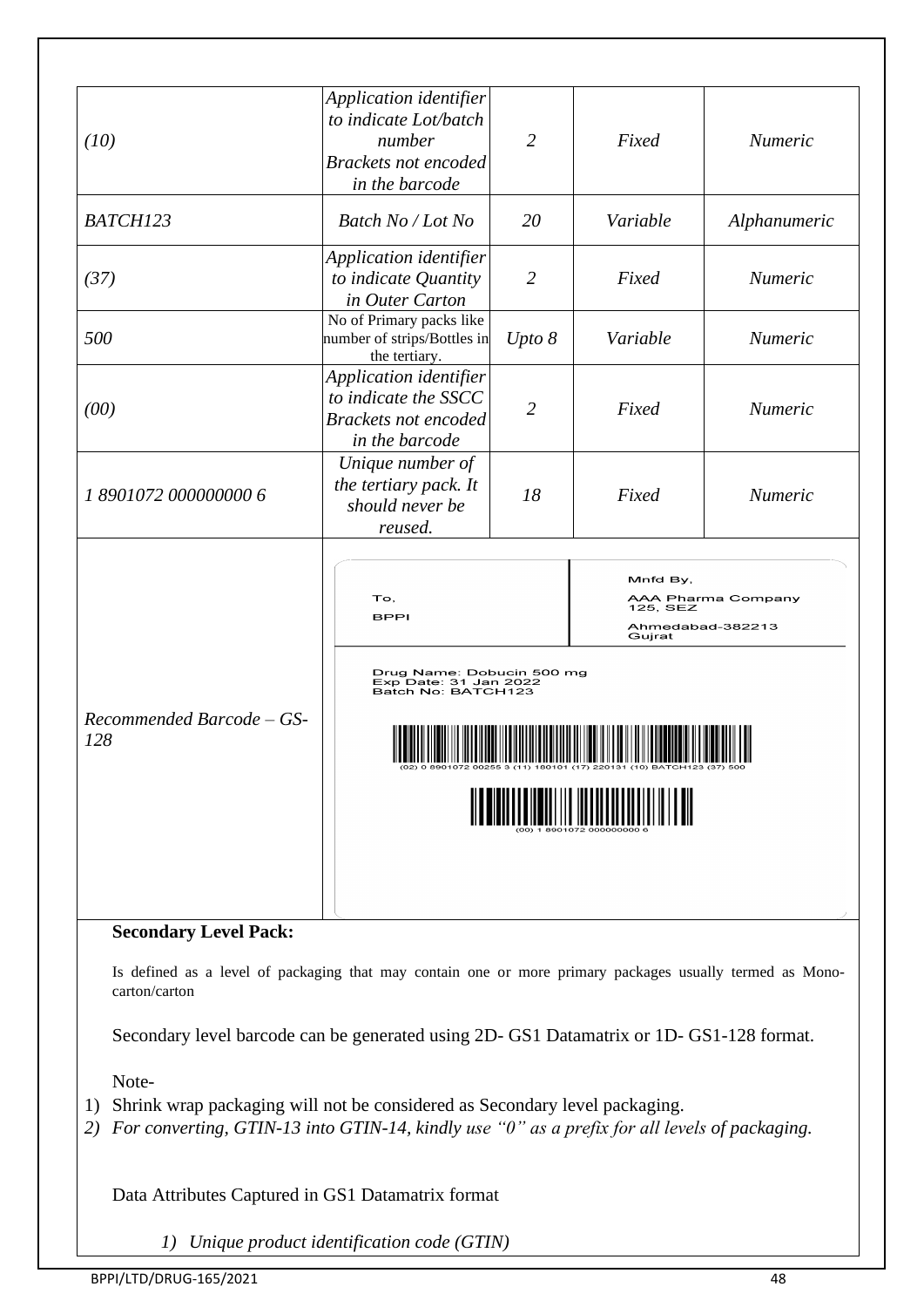| (10)                             | Application identifier<br>to indicate Lot/batch<br>number<br><b>Brackets not encoded</b><br>in the barcode | $\overline{2}$ | Fixed                                                                    | Numeric      |  |  |
|----------------------------------|------------------------------------------------------------------------------------------------------------|----------------|--------------------------------------------------------------------------|--------------|--|--|
| BATCH123                         | Batch No / Lot No                                                                                          | 20             | Variable                                                                 | Alphanumeric |  |  |
| (37)                             | Application identifier<br>to indicate Quantity<br>in Outer Carton                                          | $\overline{2}$ | Fixed                                                                    | Numeric      |  |  |
| 500                              | No of Primary packs like<br>number of strips/Bottles in<br>the tertiary.                                   | Upto 8         | Variable                                                                 | Numeric      |  |  |
| (00)                             | Application identifier<br>to indicate the SSCC<br><b>Brackets not encoded</b><br>in the barcode            | 2              | Fixed                                                                    | Numeric      |  |  |
| 1 8901072 000000000 6            | Unique number of<br>the tertiary pack. It<br>should never be<br>reused.                                    | 18             | Fixed                                                                    | Numeric      |  |  |
|                                  | To,<br><b>BPPI</b>                                                                                         |                | Mnfd By,<br>AAA Pharma Company<br>125, SEZ<br>Ahmedabad-382213<br>Gujrat |              |  |  |
|                                  | Drug Name: Dobucin 500 mg<br>Exp Date: 31 Jan 2022<br>Batch No: BATCH123                                   |                |                                                                          |              |  |  |
| Recommended Barcode - GS-<br>128 |                                                                                                            |                |                                                                          |              |  |  |
| <b>Secondary Level Pack:</b>     |                                                                                                            |                |                                                                          |              |  |  |

Secondary level barcode can be generated using 2D- GS1 Datamatrix or 1D- GS1-128 format.

Note-

- 1) Shrink wrap packaging will not be considered as Secondary level packaging.
- *2) For converting, GTIN-13 into GTIN-14, kindly use "0" as a prefix for all levels of packaging.*

Data Attributes Captured in GS1 Datamatrix format

*1) Unique product identification code (GTIN)*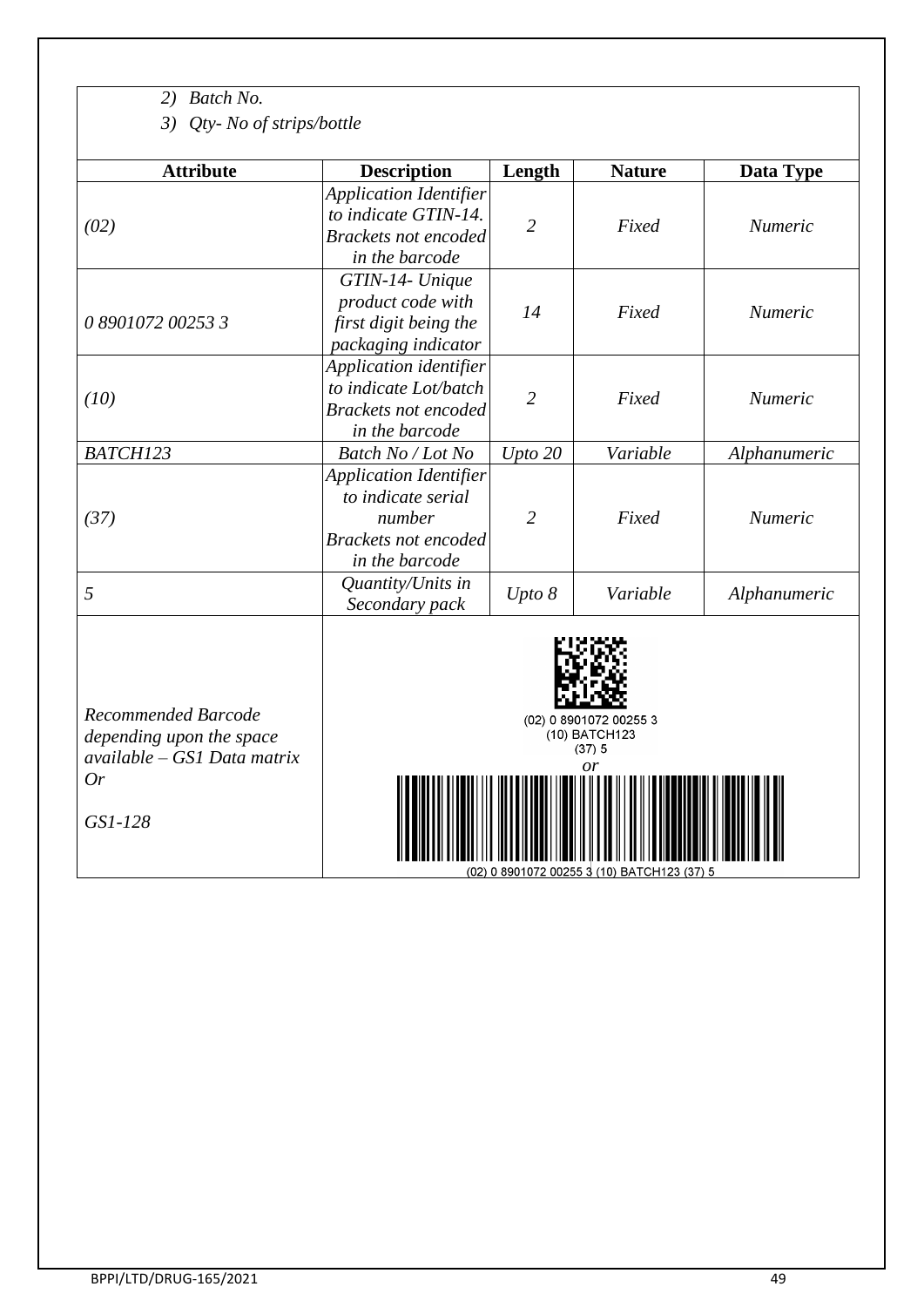*2) Batch No.*

*3) Qty- No of strips/bottle*

| <b>Attribute</b>  | <b>Description</b>                                                                                             | Length         | <b>Nature</b> | Data Type      |
|-------------------|----------------------------------------------------------------------------------------------------------------|----------------|---------------|----------------|
| (02)              | <b>Application Identifier</b><br>to indicate GTIN-14.<br><b>Brackets not encoded</b><br>in the barcode         | $\overline{2}$ | Fixed         | <b>Numeric</b> |
| 0 8901072 00253 3 | GTIN-14- Unique<br>product code with<br>first digit being the<br>packaging indicator                           | 14             | Fixed         | <b>Numeric</b> |
| (10)              | Application identifier<br>to indicate Lot/batch<br><b>Brackets not encoded</b><br>in the barcode               | $\overline{2}$ | Fixed         | <i>Numeric</i> |
| BATCH123          | Batch No / Lot No                                                                                              | Upto 20        | Variable      | Alphanumeric   |
| (37)              | <b>Application Identifier</b><br>to indicate serial<br>number<br><b>Brackets not encoded</b><br>in the barcode | $\overline{2}$ | Fixed         | <b>Numeric</b> |
| 5                 | Quantity/Units in<br>Secondary pack                                                                            | Upto 8         | Variable      | Alphanumeric   |
|                   |                                                                                                                |                |               |                |

*Recommended Barcode depending upon the space available – GS1 Data matrix Or*

*GS1-128*



 $(02)$  0 8901072 00255 3<br>  $(10)$  BATCH123<br>  $(37)$  5<br>
or



(02) 0 8901072 00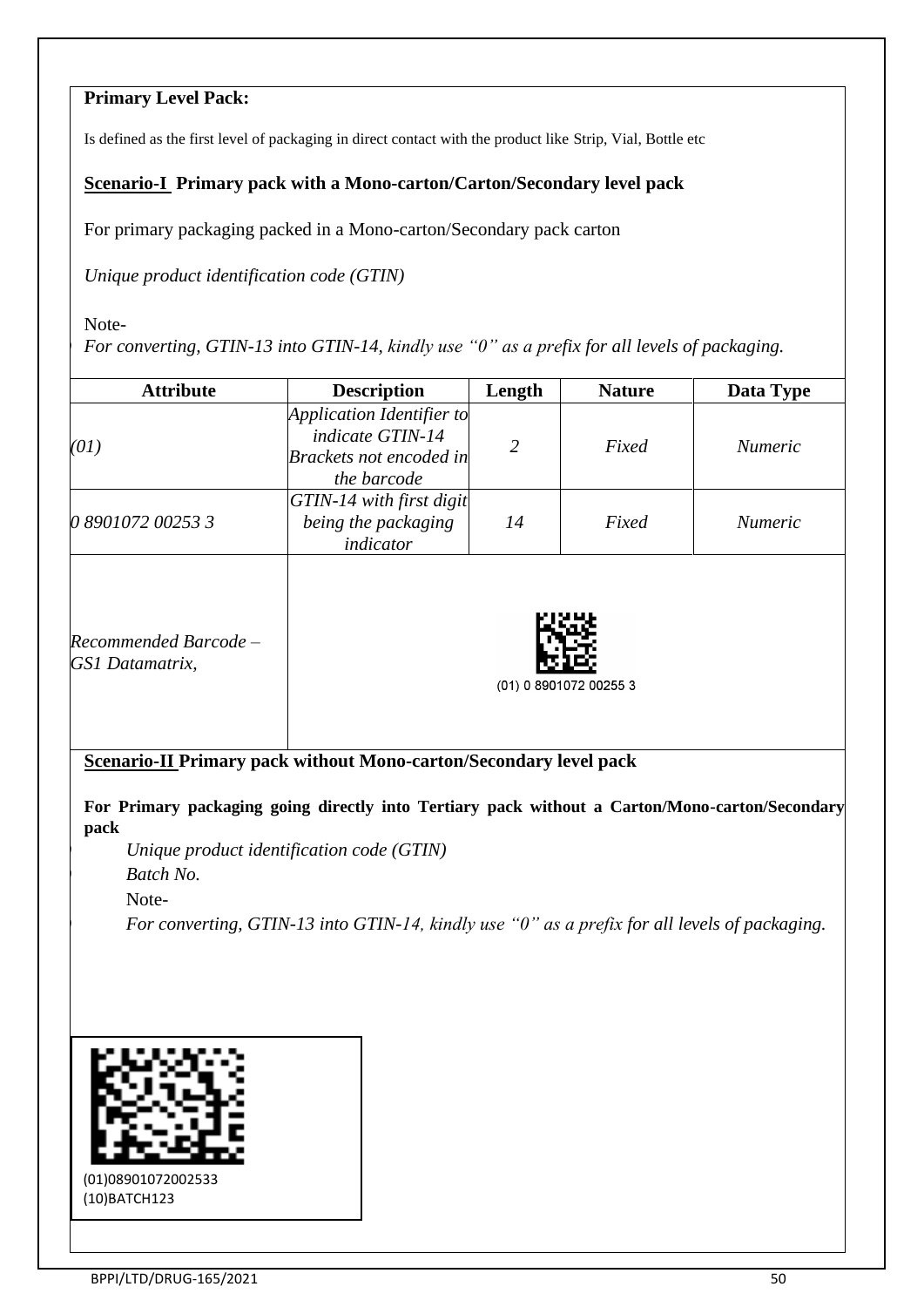### **Primary Level Pack:**

Is defined as the first level of packaging in direct contact with the product like Strip, Vial, Bottle etc

### **Scenario-I Primary pack with a Mono-carton/Carton/Secondary level pack**

For primary packaging packed in a Mono-carton/Secondary pack carton

*Unique product identification code (GTIN)* 

Note-

*1) For converting, GTIN-13 into GTIN-14, kindly use "0" as a prefix for all levels of packaging.*

| <b>Attribute</b>                         | <b>Description</b>                                                                             | Length         | <b>Nature</b>          | Data Type      |
|------------------------------------------|------------------------------------------------------------------------------------------------|----------------|------------------------|----------------|
| (01)                                     | Application Identifier to<br>indicate GTIN-14<br><b>Brackets not encoded in</b><br>the barcode | $\overline{2}$ | Fixed                  | <i>Numeric</i> |
| 0 8901072 00253 3                        | GTIN-14 with first digit<br>being the packaging<br>indicator                                   | 14             | Fixed                  | <i>Numeric</i> |
| Recommended Barcode –<br>GS1 Datamatrix, |                                                                                                |                | (01) 0 8901072 00255 3 |                |

**Scenario-II Primary pack without Mono-carton/Secondary level pack**

**For Primary packaging going directly into Tertiary pack without a Carton/Mono-carton/Secondary pack**

*1) Unique product identification code (GTIN) 2) Batch No.* Note-

*1) For converting, GTIN-13 into GTIN-14, kindly use "0" as a prefix for all levels of packaging.*



(10)BATCH123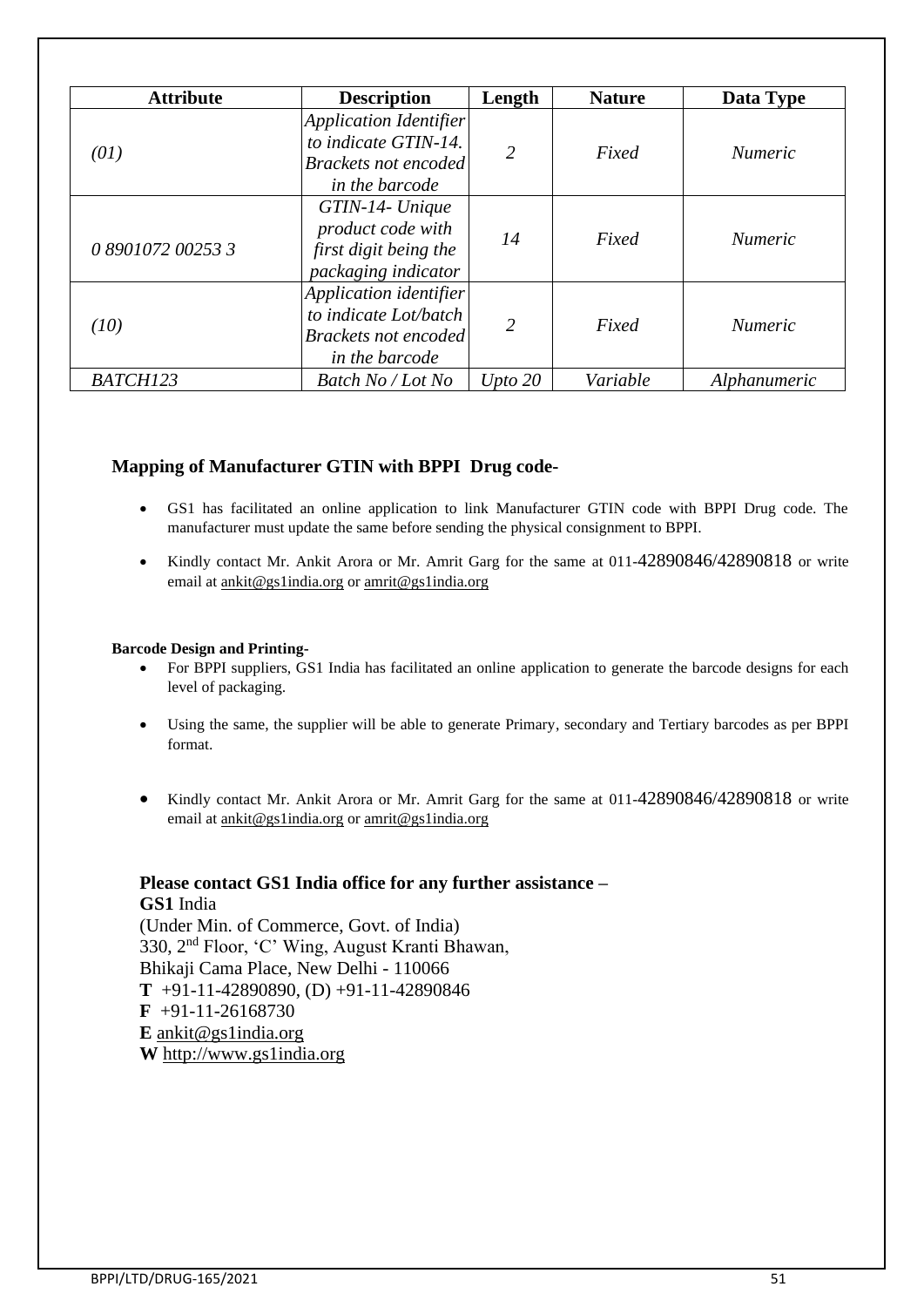| <b>Attribute</b>  | <b>Description</b>                                                                                     | Length         | <b>Nature</b> | Data Type      |
|-------------------|--------------------------------------------------------------------------------------------------------|----------------|---------------|----------------|
| (01)              | <b>Application Identifier</b><br>to indicate GTIN-14.<br><b>Brackets not encoded</b><br>in the barcode | $\mathfrak{D}$ | Fixed         | <i>Numeric</i> |
| 0 8901072 00253 3 | GTIN-14- Unique<br>product code with<br>first digit being the<br>packaging indicator                   | 14             | Fixed         | <i>Numeric</i> |
| (10)              | Application identifier<br>to indicate Lot/batch<br><b>Brackets not encoded</b><br>in the barcode       | 2              | Fixed         | <i>Numeric</i> |
| BATCH123          | Batch No / Lot No                                                                                      | Upto $20$      | Variable      | Alphanumeric   |

### **Mapping of Manufacturer GTIN with BPPI Drug code-**

- GS1 has facilitated an online application to link Manufacturer GTIN code with BPPI Drug code. The manufacturer must update the same before sending the physical consignment to BPPI.
- Kindly contact Mr. Ankit Arora or Mr. Amrit Garg for the same at 011-42890846/42890818 or write email at [ankit@gs1india.org](mailto:ankit@gs1india.org) o[r amrit@gs1india.org](mailto:amrit@gs1india.org)

#### **Barcode Design and Printing-**

- For BPPI suppliers, GS1 India has facilitated an online application to generate the barcode designs for each level of packaging.
- Using the same, the supplier will be able to generate Primary, secondary and Tertiary barcodes as per BPPI format.
- Kindly contact Mr. Ankit Arora or Mr. Amrit Garg for the same at 011-42890846/42890818 or write email at [ankit@gs1india.org](mailto:ankit@gs1india.org) o[r amrit@gs1india.org](mailto:amrit@gs1india.org)

### **Please contact GS1 India office for any further assistance – GS1** India (Under Min. of Commerce, Govt. of India) 330, 2nd Floor, 'C' Wing, August Kranti Bhawan,

Bhikaji Cama Place, New Delhi - 110066 **T** +91-11-42890890, (D) +91-11-42890846 **F** +91-11-26168730 **E** [ankit@gs1india.org](mailto:ankit@gs1india.org) **W** [http://www.gs1india.org](http://www.gs1india.org/)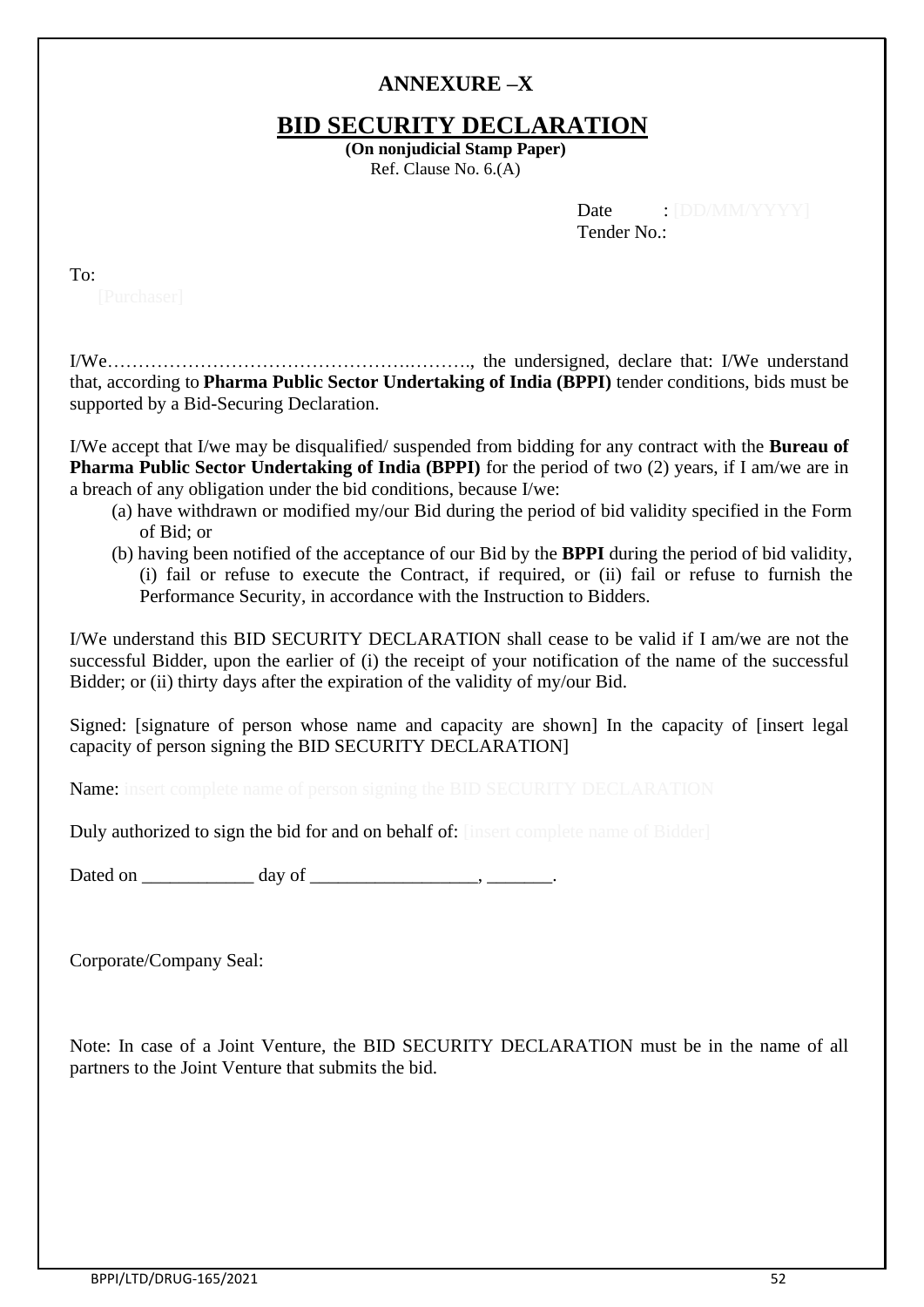# **ANNEXURE –X**

# **BID SECURITY DECLARATION**

**(On nonjudicial Stamp Paper)** Ref. Clause No. 6.(A)

| Date        |  |
|-------------|--|
| Tender No.: |  |

| I<br>$\sim$<br>$\sim$ |  |
|-----------------------|--|
|                       |  |

I

I/We………………………………………….………., the undersigned, declare that: I/We understand that, according to **Pharma Public Sector Undertaking of India (BPPI)** tender conditions, bids must be supported by a Bid-Securing Declaration.

I/We accept that I/we may be disqualified/ suspended from bidding for any contract with the **Bureau of Pharma Public Sector Undertaking of India (BPPI)** for the period of two (2) years, if I am/we are in a breach of any obligation under the bid conditions, because I/we:

- (a) have withdrawn or modified my/our Bid during the period of bid validity specified in the Form of Bid; or
- (b) having been notified of the acceptance of our Bid by the **BPPI** during the period of bid validity, (i) fail or refuse to execute the Contract, if required, or (ii) fail or refuse to furnish the Performance Security, in accordance with the Instruction to Bidders.

I/We understand this BID SECURITY DECLARATION shall cease to be valid if I am/we are not the successful Bidder, upon the earlier of (i) the receipt of your notification of the name of the successful Bidder; or (ii) thirty days after the expiration of the validity of my/our Bid.

Signed: [signature of person whose name and capacity are shown] In the capacity of [insert legal capacity of person signing the BID SECURITY DECLARATION]

Name: insert complete name of person signing the BID SECURITY DECLARATION

Duly authorized to sign the bid for and on behalf of: [insert complete name of Bidder]

Dated on day of the contract of the contract of the contract of the contract of the contract of the contract of the contract of the contract of the contract of the contract of the contract of the contract of the contract o

Corporate/Company Seal:

Note: In case of a Joint Venture, the BID SECURITY DECLARATION must be in the name of all partners to the Joint Venture that submits the bid.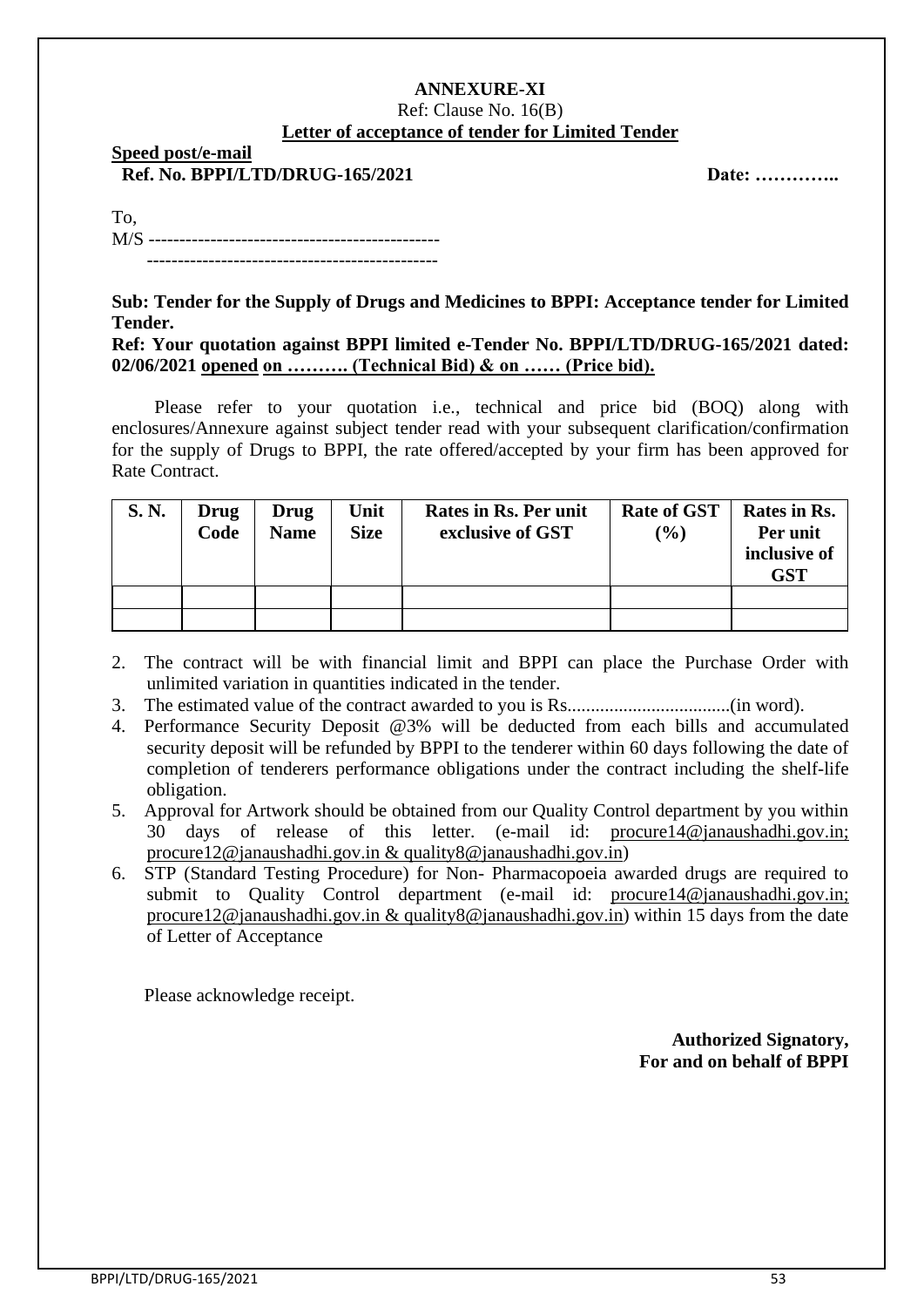#### **ANNEXURE-XI** Ref: Clause No. 16(B) **Letter of acceptance of tender for Limited Tender**

**Speed post/e-mail Ref. No. BPPI/LTD/DRUG-165/2021** Date: …………...

| To, |  |
|-----|--|
|     |  |
|     |  |

**Sub: Tender for the Supply of Drugs and Medicines to BPPI: Acceptance tender for Limited Tender.**

#### **Ref: Your quotation against BPPI limited e-Tender No. BPPI/LTD/DRUG-165/2021 dated: 02/06/2021 opened on ………. (Technical Bid) & on …… (Price bid).**

Please refer to your quotation i.e., technical and price bid (BOQ) along with enclosures/Annexure against subject tender read with your subsequent clarification/confirmation for the supply of Drugs to BPPI, the rate offered/accepted by your firm has been approved for Rate Contract.

| S.N. | Drug<br>Code | Drug<br><b>Name</b> | Unit<br><b>Size</b> | Rates in Rs. Per unit<br>exclusive of GST | <b>Rate of GST</b><br>$($ %) | Rates in Rs.<br>Per unit<br>inclusive of<br>GST |
|------|--------------|---------------------|---------------------|-------------------------------------------|------------------------------|-------------------------------------------------|
|      |              |                     |                     |                                           |                              |                                                 |
|      |              |                     |                     |                                           |                              |                                                 |

- 2. The contract will be with financial limit and BPPI can place the Purchase Order with unlimited variation in quantities indicated in the tender.
- 3. The estimated value of the contract awarded to you is Rs...................................(in word).
- 4. Performance Security Deposit @3% will be deducted from each bills and accumulated security deposit will be refunded by BPPI to the tenderer within 60 days following the date of completion of tenderers performance obligations under the contract including the shelf-life obligation.
- 5. Approval for Artwork should be obtained from our Quality Control department by you within 30 days of release of this letter. (e-mail id: [procure14@janaushadhi.gov.in;](mailto:procure14@janaushadhi.gov.in) [procure12@janaushadhi.gov.in](mailto:procure12@janaushadhi.gov.in) & [quality8@janaushadhi.gov.in\)](mailto:quality8@janaushadhi.gov.in)
- 6. STP (Standard Testing Procedure) for Non- Pharmacopoeia awarded drugs are required to submit to Quality Control department (e-mail id: [procure14@janaushadhi.gov.in;](mailto:procure14@janaushadhi.gov.in) [procure12@janaushadhi.gov.in](mailto:procure12@janaushadhi.gov.in) & [quality8@janaushadhi.gov.in\)](mailto:quality8@janaushadhi.gov.in) within 15 days from the date of Letter of Acceptance

Please acknowledge receipt.

**Authorized Signatory, For and on behalf of BPPI**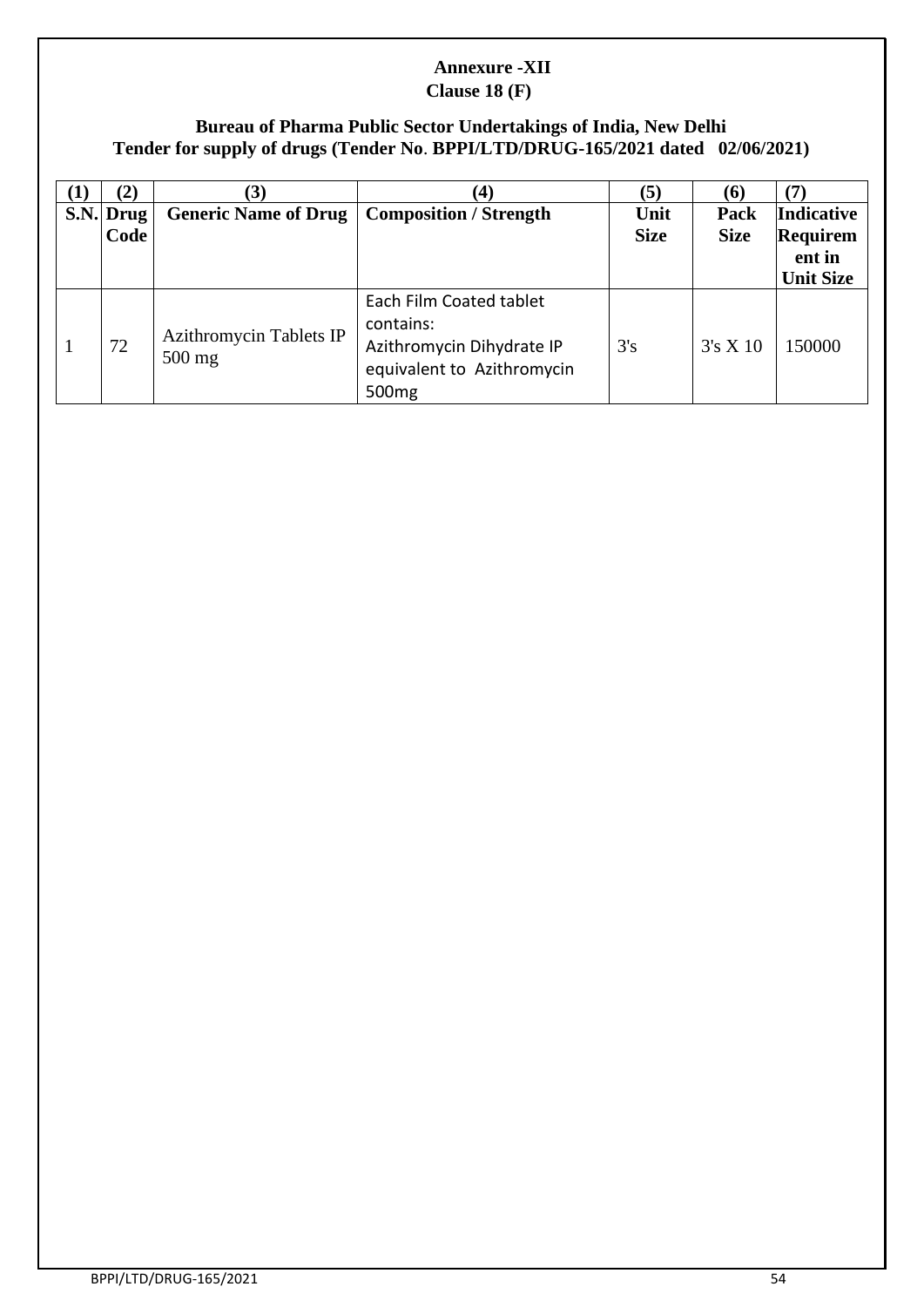# **Annexure -XII**

### **Clause 18 (F)**

### **Bureau of Pharma Public Sector Undertakings of India, New Delhi Tender for supply of drugs (Tender No**. **BPPI/LTD/DRUG-165/2021 dated 02/06/2021)**

| $\bf{(1)}$ | (2)                 | (3)                                 | (4)                                                                                                                  | (5)                 | (6)                 | (7)                                                         |
|------------|---------------------|-------------------------------------|----------------------------------------------------------------------------------------------------------------------|---------------------|---------------------|-------------------------------------------------------------|
|            | $S.N.$ Drug<br>Code | <b>Generic Name of Drug</b>         | <b>Composition / Strength</b>                                                                                        | Unit<br><b>Size</b> | Pack<br><b>Size</b> | <b>Indicative</b><br>Requirem<br>ent in<br><b>Unit Size</b> |
|            | 72                  | Azithromycin Tablets IP<br>$500$ mg | Each Film Coated tablet<br>contains:<br>Azithromycin Dihydrate IP<br>equivalent to Azithromycin<br>500 <sub>mg</sub> | 3's                 | 3's X10             | 150000                                                      |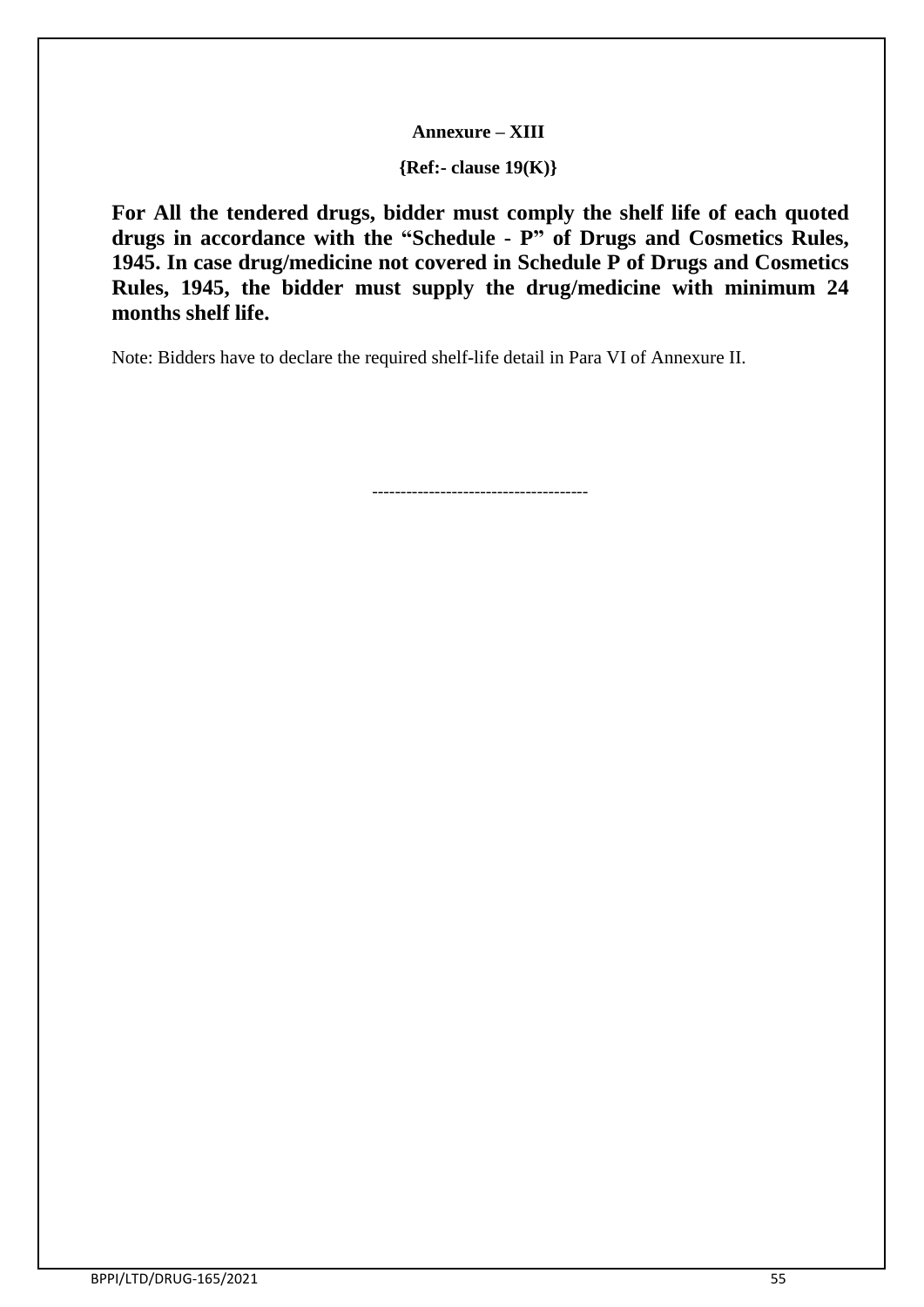#### **Annexure – XIII**

**{Ref:- clause 19(K)}**

**For All the tendered drugs, bidder must comply the shelf life of each quoted drugs in accordance with the "Schedule - P" of Drugs and Cosmetics Rules, 1945. In case drug/medicine not covered in Schedule P of Drugs and Cosmetics Rules, 1945, the bidder must supply the drug/medicine with minimum 24 months shelf life.**

Note: Bidders have to declare the required shelf-life detail in Para VI of Annexure II.

--------------------------------------